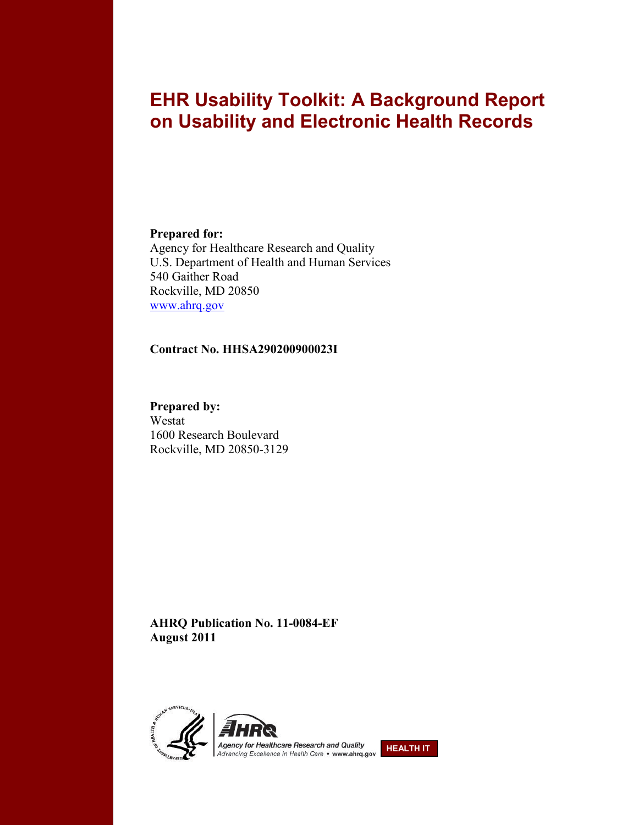# **EHR Usability Toolkit: A Background Report on Usability and Electronic Health Records**

#### **Prepared for:**

Agency for Healthcare Research and Quality U.S. Department of Health and Human Services 540 Gaither Road Rockville, MD 20850 [www.ahrq.gov](http://www.ahrq.gov/)

#### **Contract No. HHSA290200900023I**

**Prepared by:**  Westat 1600 Research Boulevard Rockville, MD 20850-3129

**AHRQ Publication No. 11-0084-EF August 2011**



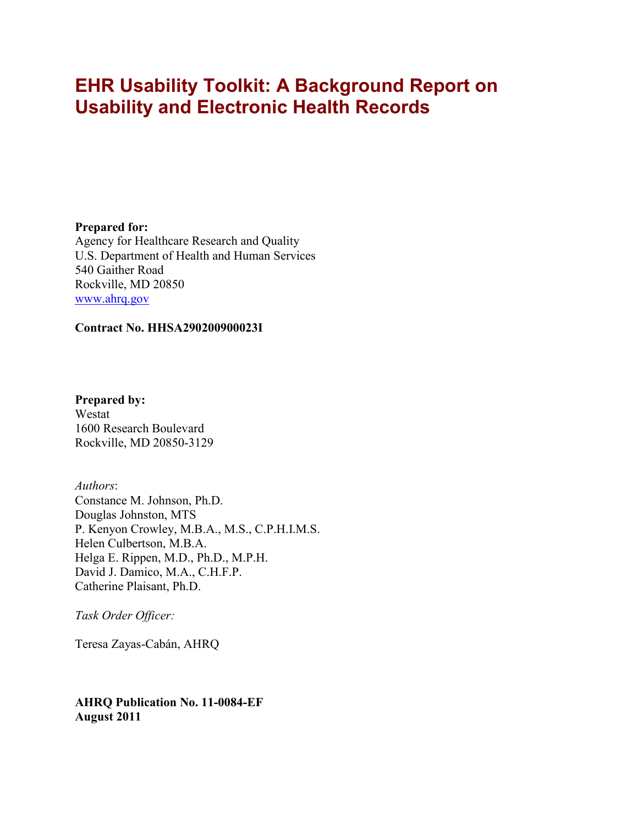# **EHR Usability Toolkit: A Background Report on Usability and Electronic Health Records**

**Prepared for:** Agency for Healthcare Research and Quality U.S. Department of Health and Human Services 540 Gaither Road Rockville, MD 20850 [www.ahrq.gov](http://www.ahrq.gov/)

#### **Contract No. HHSA290200900023I**

**Prepared by:** Westat 1600 Research Boulevard Rockville, MD 20850-3129

*Authors*: Constance M. Johnson, Ph.D. Douglas Johnston, MTS P. Kenyon Crowley, M.B.A., M.S., C.P.H.I.M.S. Helen Culbertson, M.B.A. Helga E. Rippen, M.D., Ph.D., M.P.H. David J. Damico, M.A., C.H.F.P. Catherine Plaisant, Ph.D.

*Task Order Officer:*

Teresa Zayas-Cabán, AHRQ

**AHRQ Publication No. 11-0084-EF August 2011**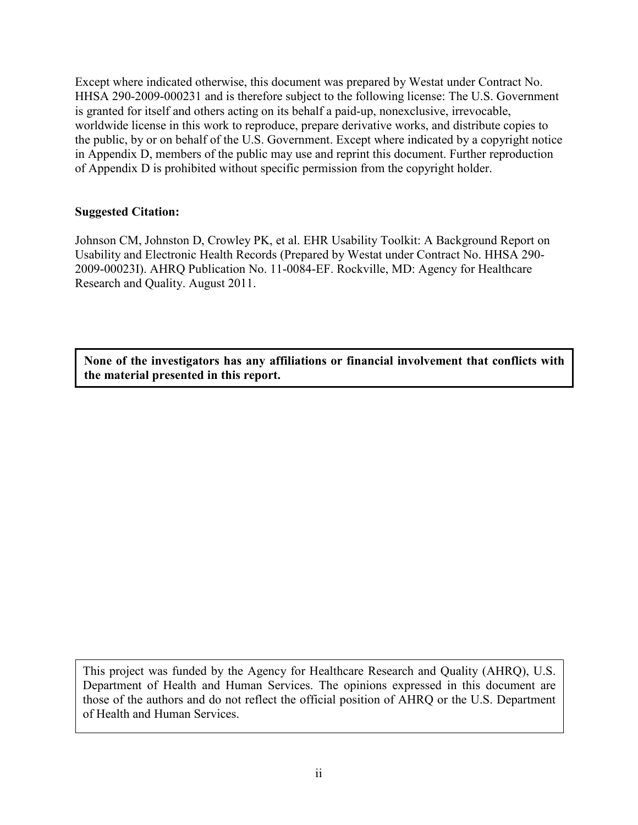Except where indicated otherwise, this document was prepared by Westat under Contract No. HHSA 290-2009-000231 and is therefore subject to the following license: The U.S. Government is granted for itself and others acting on its behalf a paid-up, nonexclusive, irrevocable, worldwide license in this work to reproduce, prepare derivative works, and distribute copies to the public, by or on behalf of the U.S. Government. Except where indicated by a copyright notice in Appendix D, members of the public may use and reprint this document. Further reproduction of Appendix D is prohibited without specific permission from the copyright holder.

#### **Suggested Citation:**

Johnson CM, Johnston D, Crowley PK, et al. EHR Usability Toolkit: A Background Report on Usability and Electronic Health Records (Prepared by Westat under Contract No. HHSA 290- 2009-00023I). AHRQ Publication No. 11-0084-EF. Rockville, MD: Agency for Healthcare Research and Quality. August 2011.

**None of the investigators has any affiliations or financial involvement that conflicts with the material presented in this report.**

This project was funded by the Agency for Healthcare Research and Quality (AHRQ), U.S. Department of Health and Human Services. The opinions expressed in this document are those of the authors and do not reflect the official position of AHRQ or the U.S. Department of Health and Human Services.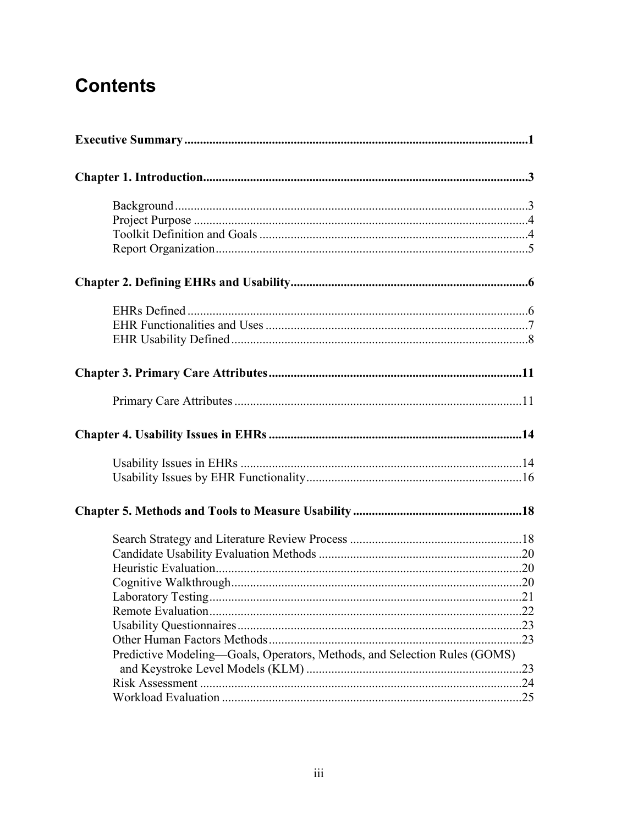# **Contents**

| Laboratory Testing                                                        |  |  |  |
|---------------------------------------------------------------------------|--|--|--|
|                                                                           |  |  |  |
|                                                                           |  |  |  |
|                                                                           |  |  |  |
| Predictive Modeling-Goals, Operators, Methods, and Selection Rules (GOMS) |  |  |  |
|                                                                           |  |  |  |
|                                                                           |  |  |  |
|                                                                           |  |  |  |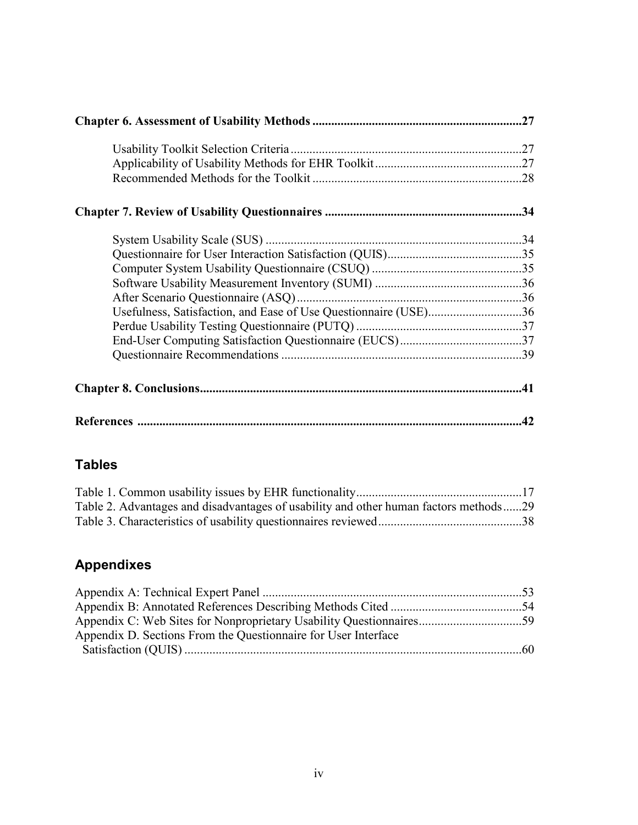| Usefulness, Satisfaction, and Ease of Use Questionnaire (USE)36 |    |
|-----------------------------------------------------------------|----|
|                                                                 |    |
|                                                                 |    |
|                                                                 |    |
|                                                                 |    |
|                                                                 | 42 |

### **Tables**

| Table 2. Advantages and disadvantages of usability and other human factors methods29 |  |
|--------------------------------------------------------------------------------------|--|
|                                                                                      |  |

# **Appendixes**

| Appendix D. Sections From the Questionnaire for User Interface |  |
|----------------------------------------------------------------|--|
|                                                                |  |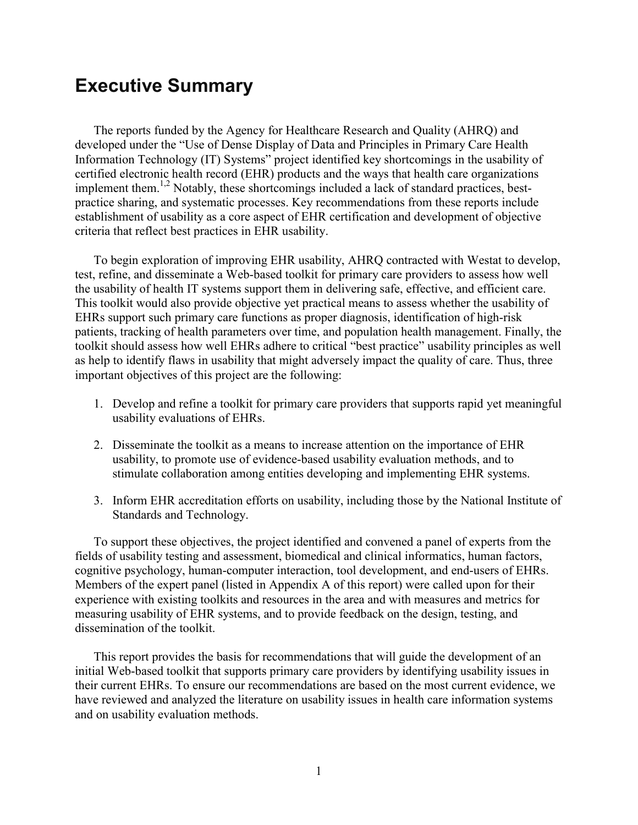# **Executive Summary**

The reports funded by the Agency for Healthcare Research and Quality (AHRQ) and developed under the "Use of Dense Display of Data and Principles in Primary Care Health Information Technology (IT) Systems" project identified key shortcomings in the usability of certified electronic health record (EHR) products and the ways that health care organizations implement them.<sup>1,2</sup> Notably, these shortcomings included a lack of standard practices, bestpractice sharing, and systematic processes. Key recommendations from these reports include establishment of usability as a core aspect of EHR certification and development of objective criteria that reflect best practices in EHR usability.

To begin exploration of improving EHR usability, AHRQ contracted with Westat to develop, test, refine, and disseminate a Web-based toolkit for primary care providers to assess how well the usability of health IT systems support them in delivering safe, effective, and efficient care. This toolkit would also provide objective yet practical means to assess whether the usability of EHRs support such primary care functions as proper diagnosis, identification of high-risk patients, tracking of health parameters over time, and population health management. Finally, the toolkit should assess how well EHRs adhere to critical "best practice" usability principles as well as help to identify flaws in usability that might adversely impact the quality of care. Thus, three important objectives of this project are the following:

- 1. Develop and refine a toolkit for primary care providers that supports rapid yet meaningful usability evaluations of EHRs.
- 2. Disseminate the toolkit as a means to increase attention on the importance of EHR usability, to promote use of evidence-based usability evaluation methods, and to stimulate collaboration among entities developing and implementing EHR systems.
- 3. Inform EHR accreditation efforts on usability, including those by the National Institute of Standards and Technology.

To support these objectives, the project identified and convened a panel of experts from the fields of usability testing and assessment, biomedical and clinical informatics, human factors, cognitive psychology, human-computer interaction, tool development, and end-users of EHRs. Members of the expert panel (listed in Appendix A of this report) were called upon for their experience with existing toolkits and resources in the area and with measures and metrics for measuring usability of EHR systems, and to provide feedback on the design, testing, and dissemination of the toolkit.

This report provides the basis for recommendations that will guide the development of an initial Web-based toolkit that supports primary care providers by identifying usability issues in their current EHRs. To ensure our recommendations are based on the most current evidence, we have reviewed and analyzed the literature on usability issues in health care information systems and on usability evaluation methods.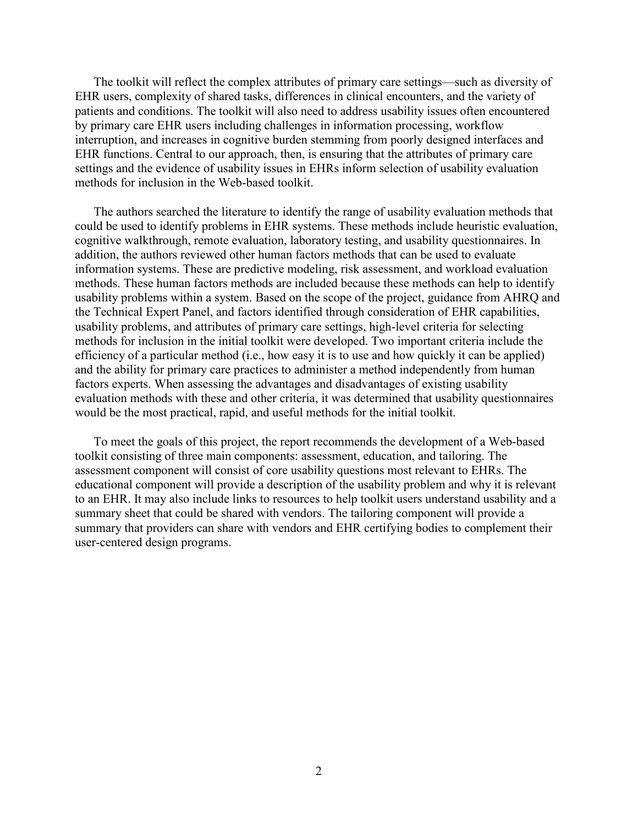The toolkit will reflect the complex attributes of primary care settings—such as diversity of EHR users, complexity of shared tasks, differences in clinical encounters, and the variety of patients and conditions. The toolkit will also need to address usability issues often encountered by primary care EHR users including challenges in information processing, workflow interruption, and increases in cognitive burden stemming from poorly designed interfaces and EHR functions. Central to our approach, then, is ensuring that the attributes of primary care settings and the evidence of usability issues in EHRs inform selection of usability evaluation methods for inclusion in the Web-based toolkit.

The authors searched the literature to identify the range of usability evaluation methods that could be used to identify problems in EHR systems. These methods include heuristic evaluation, cognitive walkthrough, remote evaluation, laboratory testing, and usability questionnaires. In addition, the authors reviewed other human factors methods that can be used to evaluate information systems. These are predictive modeling, risk assessment, and workload evaluation methods. These human factors methods are included because these methods can help to identify usability problems within a system. Based on the scope of the project, guidance from AHRQ and the Technical Expert Panel, and factors identified through consideration of EHR capabilities, usability problems, and attributes of primary care settings, high-level criteria for selecting methods for inclusion in the initial toolkit were developed. Two important criteria include the efficiency of a particular method (i.e., how easy it is to use and how quickly it can be applied) and the ability for primary care practices to administer a method independently from human factors experts. When assessing the advantages and disadvantages of existing usability evaluation methods with these and other criteria, it was determined that usability questionnaires would be the most practical, rapid, and useful methods for the initial toolkit.

To meet the goals of this project, the report recommends the development of a Web-based toolkit consisting of three main components: assessment, education, and tailoring. The assessment component will consist of core usability questions most relevant to EHRs. The educational component will provide a description of the usability problem and why it is relevant to an EHR. It may also include links to resources to help toolkit users understand usability and a summary sheet that could be shared with vendors. The tailoring component will provide a summary that providers can share with vendors and EHR certifying bodies to complement their user-centered design programs.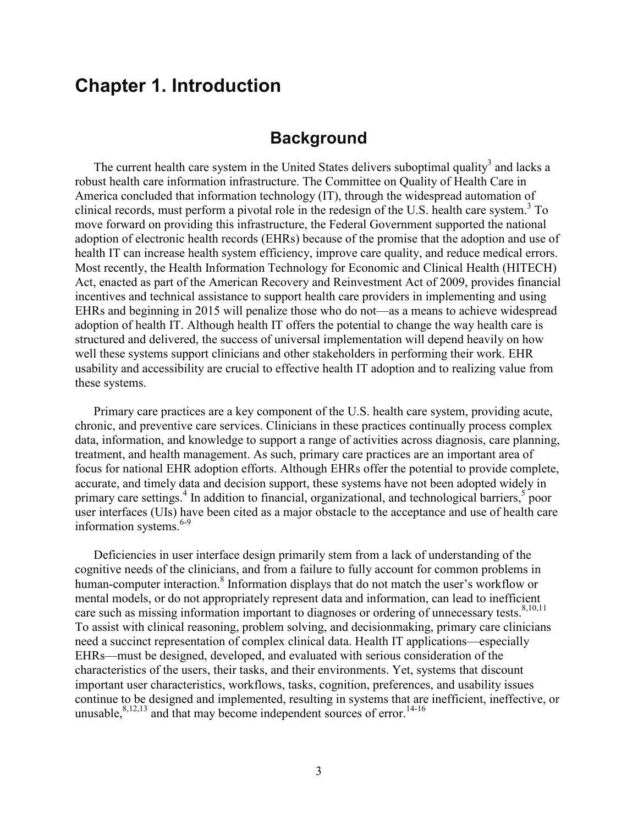# **Chapter 1. Introduction**

### **Background**

The current health care system in the United States delivers suboptimal quality<sup>3</sup> and lacks a robust health care information infrastructure. The Committee on Quality of Health Care in America concluded that information technology (IT), through the widespread automation of clinical records, must perform a pivotal role in the redesign of the U.S. health care system.<sup>3</sup> To move forward on providing this infrastructure, the Federal Government supported the national adoption of electronic health records (EHRs) because of the promise that the adoption and use of health IT can increase health system efficiency, improve care quality, and reduce medical errors. Most recently, the Health Information Technology for Economic and Clinical Health (HITECH) Act, enacted as part of the American Recovery and Reinvestment Act of 2009, provides financial incentives and technical assistance to support health care providers in implementing and using EHRs and beginning in 2015 will penalize those who do not—as a means to achieve widespread adoption of health IT. Although health IT offers the potential to change the way health care is structured and delivered, the success of universal implementation will depend heavily on how well these systems support clinicians and other stakeholders in performing their work. EHR usability and accessibility are crucial to effective health IT adoption and to realizing value from these systems.

Primary care practices are a key component of the U.S. health care system, providing acute, chronic, and preventive care services. Clinicians in these practices continually process complex data, information, and knowledge to support a range of activities across diagnosis, care planning, treatment, and health management. As such, primary care practices are an important area of focus for national EHR adoption efforts. Although EHRs offer the potential to provide complete, accurate, and timely data and decision support, these systems have not been adopted widely in primary care settings.<sup>4</sup> In addition to financial, organizational, and technological barriers,<sup>5</sup> poor user interfaces (UIs) have been cited as a major obstacle to the acceptance and use of health care information systems. $6-9$ 

Deficiencies in user interface design primarily stem from a lack of understanding of the cognitive needs of the clinicians, and from a failure to fully account for common problems in human-computer interaction.<sup>8</sup> Information displays that do not match the user's workflow or mental models, or do not appropriately represent data and information, can lead to inefficient care such as missing information important to diagnoses or ordering of unnecessary tests.<sup>8,10,11</sup> To assist with clinical reasoning, problem solving, and decisionmaking, primary care clinicians need a succinct representation of complex clinical data. Health IT applications—especially EHRs—must be designed, developed, and evaluated with serious consideration of the characteristics of the users, their tasks, and their environments. Yet, systems that discount important user characteristics, workflows, tasks, cognition, preferences, and usability issues continue to be designed and implemented, resulting in systems that are inefficient, ineffective, or unusable, $8,12,13$  and that may become independent sources of error.<sup>14-16</sup>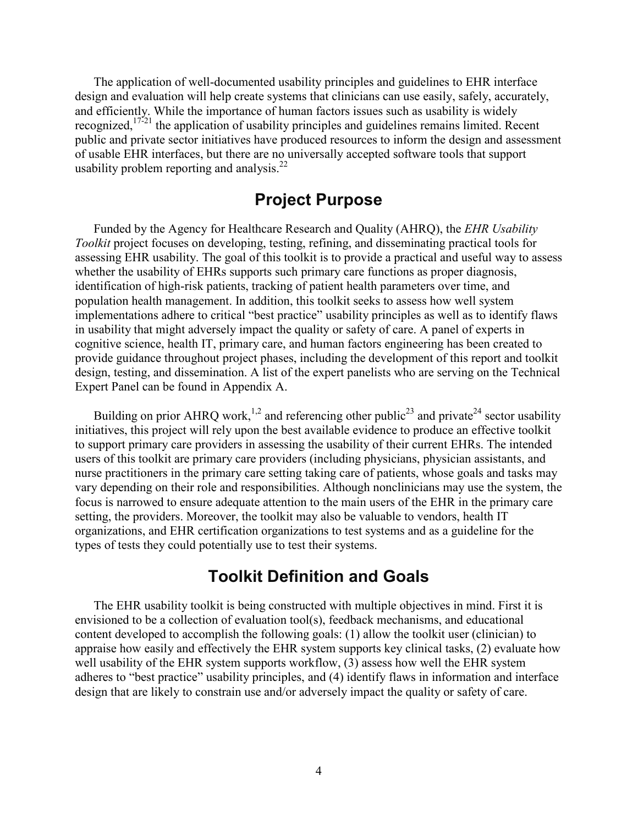The application of well-documented usability principles and guidelines to EHR interface design and evaluation will help create systems that clinicians can use easily, safely, accurately, and efficiently. While the importance of human factors issues such as usability is widely recognized,  $17\overline{21}$  the application of usability principles and guidelines remains limited. Recent public and private sector initiatives have produced resources to inform the design and assessment of usable EHR interfaces, but there are no universally accepted software tools that support usability problem reporting and analysis. $^{22}$ 

## **Project Purpose**

Funded by the Agency for Healthcare Research and Quality (AHRQ), the *EHR Usability Toolkit* project focuses on developing, testing, refining, and disseminating practical tools for assessing EHR usability. The goal of this toolkit is to provide a practical and useful way to assess whether the usability of EHRs supports such primary care functions as proper diagnosis, identification of high-risk patients, tracking of patient health parameters over time, and population health management. In addition, this toolkit seeks to assess how well system implementations adhere to critical "best practice" usability principles as well as to identify flaws in usability that might adversely impact the quality or safety of care. A panel of experts in cognitive science, health IT, primary care, and human factors engineering has been created to provide guidance throughout project phases, including the development of this report and toolkit design, testing, and dissemination. A list of the expert panelists who are serving on the Technical Expert Panel can be found in Appendix A.

Building on prior AHRQ work,<sup>1,2</sup> and referencing other public<sup>23</sup> and private<sup>24</sup> sector usability initiatives, this project will rely upon the best available evidence to produce an effective toolkit to support primary care providers in assessing the usability of their current EHRs. The intended users of this toolkit are primary care providers (including physicians, physician assistants, and nurse practitioners in the primary care setting taking care of patients, whose goals and tasks may vary depending on their role and responsibilities. Although nonclinicians may use the system, the focus is narrowed to ensure adequate attention to the main users of the EHR in the primary care setting, the providers. Moreover, the toolkit may also be valuable to vendors, health IT organizations, and EHR certification organizations to test systems and as a guideline for the types of tests they could potentially use to test their systems.

### **Toolkit Definition and Goals**

The EHR usability toolkit is being constructed with multiple objectives in mind. First it is envisioned to be a collection of evaluation tool(s), feedback mechanisms, and educational content developed to accomplish the following goals: (1) allow the toolkit user (clinician) to appraise how easily and effectively the EHR system supports key clinical tasks, (2) evaluate how well usability of the EHR system supports workflow, (3) assess how well the EHR system adheres to "best practice" usability principles, and (4) identify flaws in information and interface design that are likely to constrain use and/or adversely impact the quality or safety of care.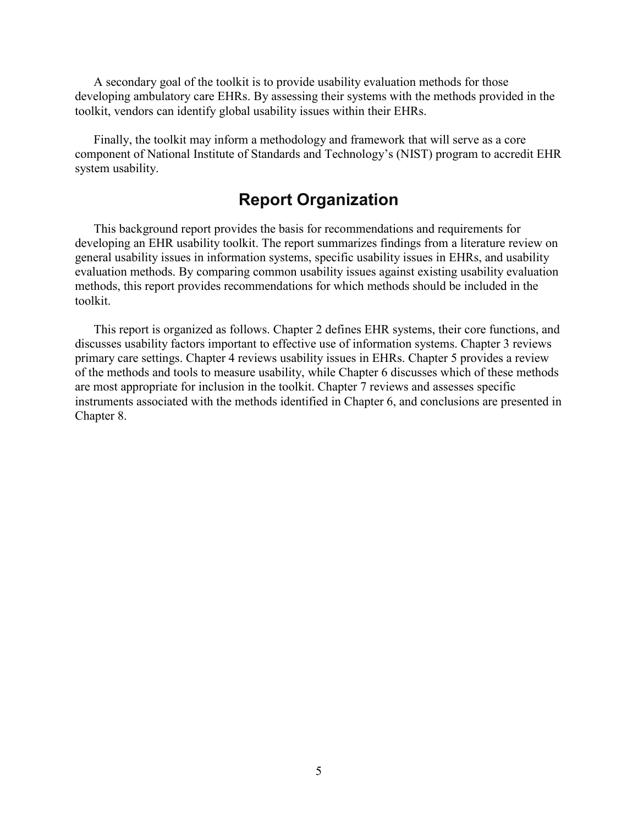A secondary goal of the toolkit is to provide usability evaluation methods for those developing ambulatory care EHRs. By assessing their systems with the methods provided in the toolkit, vendors can identify global usability issues within their EHRs.

Finally, the toolkit may inform a methodology and framework that will serve as a core component of National Institute of Standards and Technology's (NIST) program to accredit EHR system usability.

### **Report Organization**

This background report provides the basis for recommendations and requirements for developing an EHR usability toolkit. The report summarizes findings from a literature review on general usability issues in information systems, specific usability issues in EHRs, and usability evaluation methods. By comparing common usability issues against existing usability evaluation methods, this report provides recommendations for which methods should be included in the toolkit.

This report is organized as follows. Chapter 2 defines EHR systems, their core functions, and discusses usability factors important to effective use of information systems. Chapter 3 reviews primary care settings. Chapter 4 reviews usability issues in EHRs. Chapter 5 provides a review of the methods and tools to measure usability, while Chapter 6 discusses which of these methods are most appropriate for inclusion in the toolkit. Chapter 7 reviews and assesses specific instruments associated with the methods identified in Chapter 6, and conclusions are presented in Chapter 8.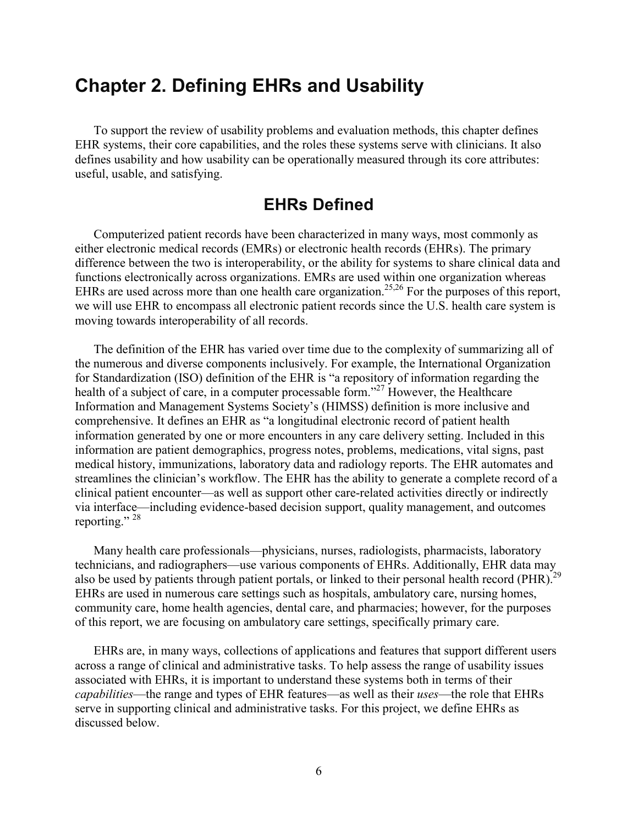# **Chapter 2. Defining EHRs and Usability**

To support the review of usability problems and evaluation methods, this chapter defines EHR systems, their core capabilities, and the roles these systems serve with clinicians. It also defines usability and how usability can be operationally measured through its core attributes: useful, usable, and satisfying.

### **EHRs Defined**

Computerized patient records have been characterized in many ways, most commonly as either electronic medical records (EMRs) or electronic health records (EHRs). The primary difference between the two is interoperability, or the ability for systems to share clinical data and functions electronically across organizations. EMRs are used within one organization whereas EHRs are used across more than one health care organization.<sup>25,26</sup> For the purposes of this report, we will use EHR to encompass all electronic patient records since the U.S. health care system is moving towards interoperability of all records.

The definition of the EHR has varied over time due to the complexity of summarizing all of the numerous and diverse components inclusively. For example, the International Organization for Standardization (ISO) definition of the EHR is "a repository of information regarding the health of a subject of care, in a computer processable form."<sup>27</sup> However, the Healthcare Information and Management Systems Society's (HIMSS) definition is more inclusive and comprehensive. It defines an EHR as "a longitudinal electronic record of patient health information generated by one or more encounters in any care delivery setting. Included in this information are patient demographics, progress notes, problems, medications, vital signs, past medical history, immunizations, laboratory data and radiology reports. The EHR automates and streamlines the clinician's workflow. The EHR has the ability to generate a complete record of a clinical patient encounter—as well as support other care-related activities directly or indirectly via interface—including evidence-based decision support, quality management, and outcomes reporting."  $^{28}$ 

Many health care professionals—physicians, nurses, radiologists, pharmacists, laboratory technicians, and radiographers—use various components of EHRs. Additionally, EHR data may also be used by patients through patient portals, or linked to their personal health record (PHR).<sup>2</sup> EHRs are used in numerous care settings such as hospitals, ambulatory care, nursing homes, community care, home health agencies, dental care, and pharmacies; however, for the purposes of this report, we are focusing on ambulatory care settings, specifically primary care.

EHRs are, in many ways, collections of applications and features that support different users across a range of clinical and administrative tasks. To help assess the range of usability issues associated with EHRs, it is important to understand these systems both in terms of their *capabilities*—the range and types of EHR features—as well as their *uses*—the role that EHRs serve in supporting clinical and administrative tasks. For this project, we define EHRs as discussed below.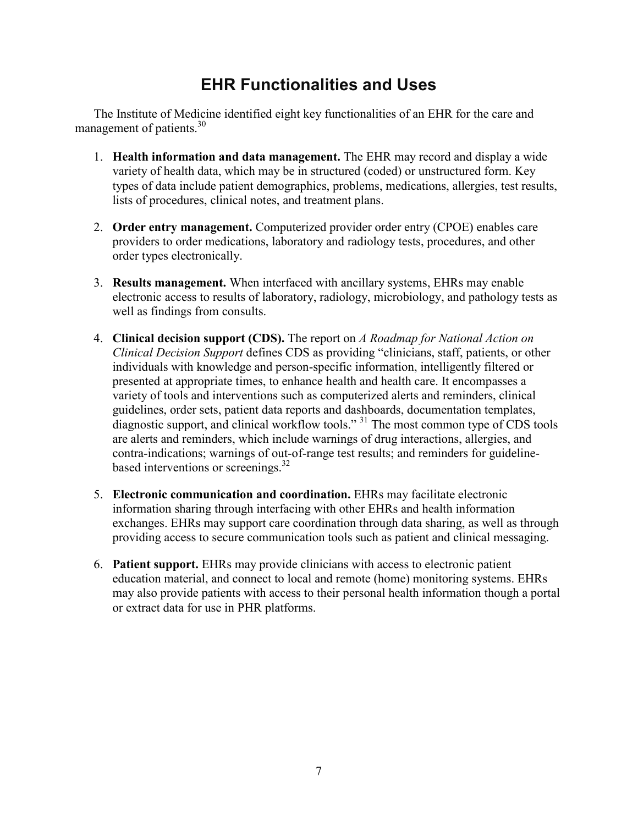# **EHR Functionalities and Uses**

The Institute of Medicine identified eight key functionalities of an EHR for the care and management of patients.<sup>30</sup>

- 1. **Health information and data management.** The EHR may record and display a wide variety of health data, which may be in structured (coded) or unstructured form. Key types of data include patient demographics, problems, medications, allergies, test results, lists of procedures, clinical notes, and treatment plans.
- 2. **Order entry management.** Computerized provider order entry (CPOE) enables care providers to order medications, laboratory and radiology tests, procedures, and other order types electronically.
- 3. **Results management.** When interfaced with ancillary systems, EHRs may enable electronic access to results of laboratory, radiology, microbiology, and pathology tests as well as findings from consults.
- 4. **Clinical decision support (CDS).** The report on *A Roadmap for National Action on Clinical Decision Support* defines CDS as providing "clinicians, staff, patients, or other individuals with knowledge and person-specific information, intelligently filtered or presented at appropriate times, to enhance health and health care. It encompasses a variety of tools and interventions such as computerized alerts and reminders, clinical guidelines, order sets, patient data reports and dashboards, documentation templates, diagnostic support, and clinical workflow tools."<sup>31</sup> The most common type of CDS tools are alerts and reminders, which include warnings of drug interactions, allergies, and contra-indications; warnings of out-of-range test results; and reminders for guidelinebased interventions or screenings. $32$
- 5. **Electronic communication and coordination.** EHRs may facilitate electronic information sharing through interfacing with other EHRs and health information exchanges. EHRs may support care coordination through data sharing, as well as through providing access to secure communication tools such as patient and clinical messaging.
- 6. **Patient support.** EHRs may provide clinicians with access to electronic patient education material, and connect to local and remote (home) monitoring systems. EHRs may also provide patients with access to their personal health information though a portal or extract data for use in PHR platforms.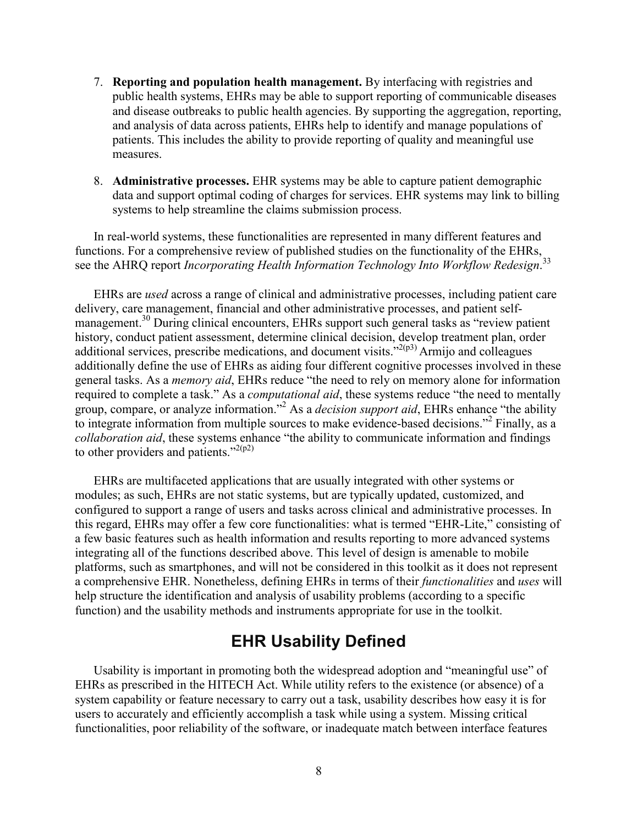- 7. **Reporting and population health management.** By interfacing with registries and public health systems, EHRs may be able to support reporting of communicable diseases and disease outbreaks to public health agencies. By supporting the aggregation, reporting, and analysis of data across patients, EHRs help to identify and manage populations of patients. This includes the ability to provide reporting of quality and meaningful use measures.
- 8. **Administrative processes.** EHR systems may be able to capture patient demographic data and support optimal coding of charges for services. EHR systems may link to billing systems to help streamline the claims submission process.

In real-world systems, these functionalities are represented in many different features and functions. For a comprehensive review of published studies on the functionality of the EHRs, see the AHRQ report *Incorporating Health Information Technology Into Workflow Redesign*.<sup>33</sup>

EHRs are *used* across a range of clinical and administrative processes, including patient care delivery, care management, financial and other administrative processes, and patient selfmanagement.<sup>30</sup> During clinical encounters, EHRs support such general tasks as "review patient" history, conduct patient assessment, determine clinical decision, develop treatment plan, order additional services, prescribe medications, and document visits."<sup>2(p3)</sup> Armijo and colleagues additionally define the use of EHRs as aiding four different cognitive processes involved in these general tasks. As a *memory aid*, EHRs reduce "the need to rely on memory alone for information required to complete a task." As a *computational aid*, these systems reduce "the need to mentally group, compare, or analyze information."2 As a *decision support aid*, EHRs enhance "the ability to integrate information from multiple sources to make evidence-based decisions."2 Finally, as a *collaboration aid*, these systems enhance "the ability to communicate information and findings to other providers and patients."<sup>2(p2)</sup>

EHRs are multifaceted applications that are usually integrated with other systems or modules; as such, EHRs are not static systems, but are typically updated, customized, and configured to support a range of users and tasks across clinical and administrative processes. In this regard, EHRs may offer a few core functionalities: what is termed "EHR-Lite," consisting of a few basic features such as health information and results reporting to more advanced systems integrating all of the functions described above. This level of design is amenable to mobile platforms, such as smartphones, and will not be considered in this toolkit as it does not represent a comprehensive EHR. Nonetheless, defining EHRs in terms of their *functionalities* and *uses* will help structure the identification and analysis of usability problems (according to a specific function) and the usability methods and instruments appropriate for use in the toolkit.

## **EHR Usability Defined**

Usability is important in promoting both the widespread adoption and "meaningful use" of EHRs as prescribed in the HITECH Act. While utility refers to the existence (or absence) of a system capability or feature necessary to carry out a task, usability describes how easy it is for users to accurately and efficiently accomplish a task while using a system. Missing critical functionalities, poor reliability of the software, or inadequate match between interface features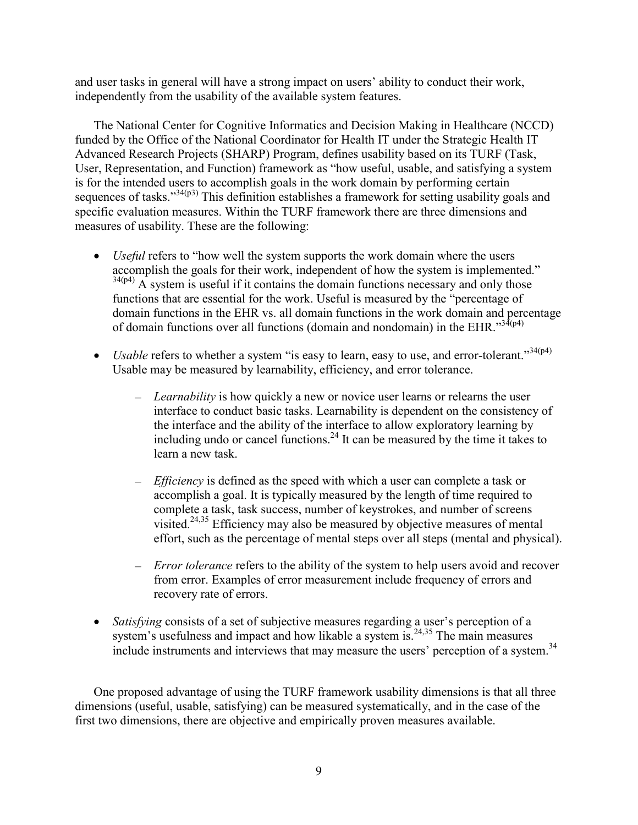and user tasks in general will have a strong impact on users' ability to conduct their work, independently from the usability of the available system features.

The National Center for Cognitive Informatics and Decision Making in Healthcare (NCCD) funded by the Office of the National Coordinator for Health IT under the Strategic Health IT Advanced Research Projects (SHARP) Program, defines usability based on its TURF (Task, User, Representation, and Function) framework as "how useful, usable, and satisfying a system is for the intended users to accomplish goals in the work domain by performing certain sequences of tasks."<sup>34(p3)</sup> This definition establishes a framework for setting usability goals and specific evaluation measures. Within the TURF framework there are three dimensions and measures of usability. These are the following:

- *Useful* refers to "how well the system supports the work domain where the users accomplish the goals for their work, independent of how the system is implemented."  $34(p4)$  A system is useful if it contains the domain functions necessary and only those functions that are essential for the work. Useful is measured by the "percentage of domain functions in the EHR vs. all domain functions in the work domain and percentage of domain functions over all functions (domain and nondomain) in the EHR. $^{334(p4)}$
- *Usable* refers to whether a system "is easy to learn, easy to use, and error-tolerant."<sup>34(p4)</sup> Usable may be measured by learnability, efficiency, and error tolerance.
	- *Learnability* is how quickly a new or novice user learns or relearns the user interface to conduct basic tasks. Learnability is dependent on the consistency of the interface and the ability of the interface to allow exploratory learning by including undo or cancel functions.<sup>24</sup> It can be measured by the time it takes to learn a new task.
	- *Efficiency* is defined as the speed with which a user can complete a task or accomplish a goal. It is typically measured by the length of time required to complete a task, task success, number of keystrokes, and number of screens visited.24,35 Efficiency may also be measured by objective measures of mental effort, such as the percentage of mental steps over all steps (mental and physical).
	- *Error tolerance* refers to the ability of the system to help users avoid and recover from error. Examples of error measurement include frequency of errors and recovery rate of errors.
- *Satisfying* consists of a set of subjective measures regarding a user's perception of a system's usefulness and impact and how likable a system is.<sup>24,35</sup> The main measures include instruments and interviews that may measure the users' perception of a system.<sup>34</sup>

One proposed advantage of using the TURF framework usability dimensions is that all three dimensions (useful, usable, satisfying) can be measured systematically, and in the case of the first two dimensions, there are objective and empirically proven measures available.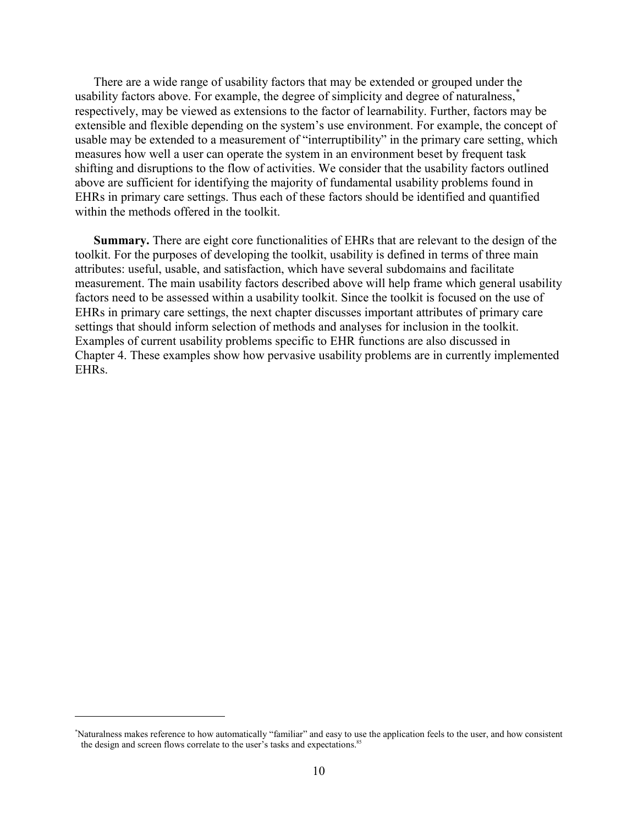There are a wide range of usability factors that may be extended or grouped under the usability factors above. For example, the degree of simplicity and degree of naturalness,<sup>\*</sup> respectively, may be viewed as extensions to the factor of learnability. Further, factors may be extensible and flexible depending on the system's use environment. For example, the concept of usable may be extended to a measurement of "interruptibility" in the primary care setting, which measures how well a user can operate the system in an environment beset by frequent task shifting and disruptions to the flow of activities. We consider that the usability factors outlined above are sufficient for identifying the majority of fundamental usability problems found in EHRs in primary care settings. Thus each of these factors should be identified and quantified within the methods offered in the toolkit.

**Summary.** There are eight core functionalities of EHRs that are relevant to the design of the toolkit. For the purposes of developing the toolkit, usability is defined in terms of three main attributes: useful, usable, and satisfaction, which have several subdomains and facilitate measurement. The main usability factors described above will help frame which general usability factors need to be assessed within a usability toolkit. Since the toolkit is focused on the use of EHRs in primary care settings, the next chapter discusses important attributes of primary care settings that should inform selection of methods and analyses for inclusion in the toolkit. Examples of current usability problems specific to EHR functions are also discussed in Chapter 4. These examples show how pervasive usability problems are in currently implemented EHRs.

 $\overline{a}$ 

<sup>\*</sup> Naturalness makes reference to how automatically "familiar" and easy to use the application feels to the user, and how consistent the design and screen flows correlate to the user's tasks and expectations.<sup>85</sup>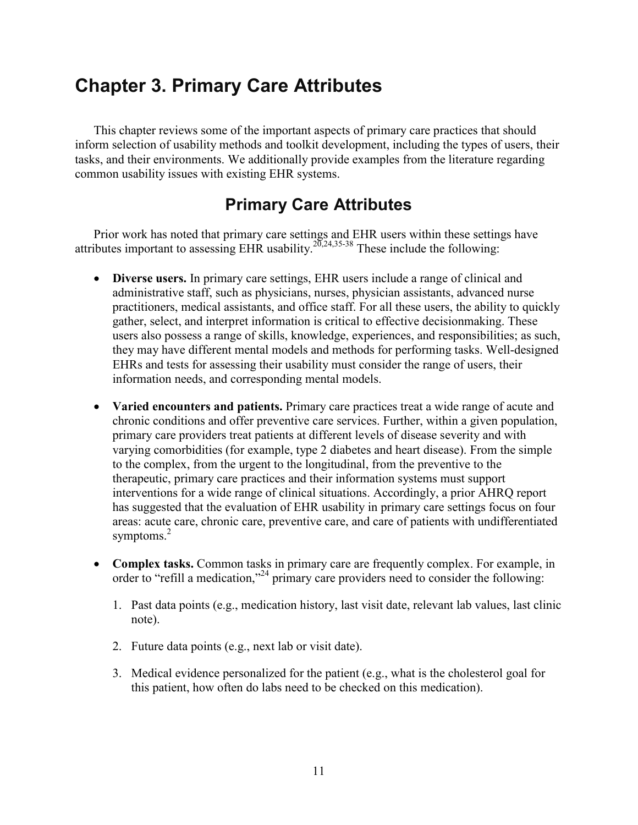# **Chapter 3. Primary Care Attributes**

This chapter reviews some of the important aspects of primary care practices that should inform selection of usability methods and toolkit development, including the types of users, their tasks, and their environments. We additionally provide examples from the literature regarding common usability issues with existing EHR systems.

# **Primary Care Attributes**

Prior work has noted that primary care settings and EHR users within these settings have attributes important to assessing EHR usability.<sup>20,24,35-38</sup> These include the following:

- **Diverse users.** In primary care settings, EHR users include a range of clinical and administrative staff, such as physicians, nurses, physician assistants, advanced nurse practitioners, medical assistants, and office staff. For all these users, the ability to quickly gather, select, and interpret information is critical to effective decisionmaking. These users also possess a range of skills, knowledge, experiences, and responsibilities; as such, they may have different mental models and methods for performing tasks. Well-designed EHRs and tests for assessing their usability must consider the range of users, their information needs, and corresponding mental models.
- **Varied encounters and patients.** Primary care practices treat a wide range of acute and chronic conditions and offer preventive care services. Further, within a given population, primary care providers treat patients at different levels of disease severity and with varying comorbidities (for example, type 2 diabetes and heart disease). From the simple to the complex, from the urgent to the longitudinal, from the preventive to the therapeutic, primary care practices and their information systems must support interventions for a wide range of clinical situations. Accordingly, a prior AHRQ report has suggested that the evaluation of EHR usability in primary care settings focus on four areas: acute care, chronic care, preventive care, and care of patients with undifferentiated symptoms. $2$
- **Complex tasks.** Common tasks in primary care are frequently complex. For example, in order to "refill a medication,"24 primary care providers need to consider the following:
	- 1. Past data points (e.g., medication history, last visit date, relevant lab values, last clinic note).
	- 2. Future data points (e.g., next lab or visit date).
	- 3. Medical evidence personalized for the patient (e.g., what is the cholesterol goal for this patient, how often do labs need to be checked on this medication).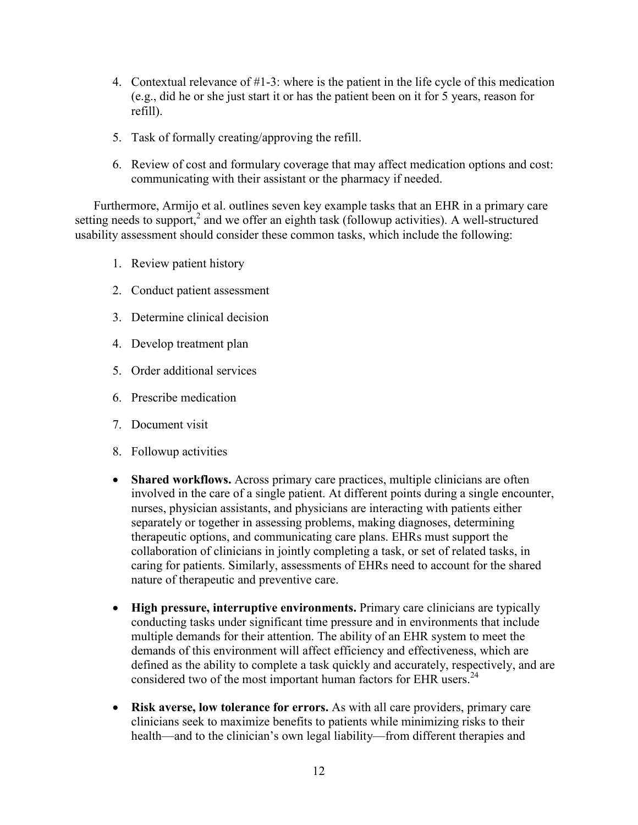- 4. Contextual relevance of #1-3: where is the patient in the life cycle of this medication (e.g., did he or she just start it or has the patient been on it for 5 years, reason for refill).
- 5. Task of formally creating/approving the refill.
- 6. Review of cost and formulary coverage that may affect medication options and cost: communicating with their assistant or the pharmacy if needed.

Furthermore, Armijo et al. outlines seven key example tasks that an EHR in a primary care setting needs to support,<sup>2</sup> and we offer an eighth task (followup activities). A well-structured usability assessment should consider these common tasks, which include the following:

- 1. Review patient history
- 2. Conduct patient assessment
- 3. Determine clinical decision
- 4. Develop treatment plan
- 5. Order additional services
- 6. Prescribe medication
- 7. Document visit
- 8. Followup activities
- **Shared workflows.** Across primary care practices, multiple clinicians are often involved in the care of a single patient. At different points during a single encounter, nurses, physician assistants, and physicians are interacting with patients either separately or together in assessing problems, making diagnoses, determining therapeutic options, and communicating care plans. EHRs must support the collaboration of clinicians in jointly completing a task, or set of related tasks, in caring for patients. Similarly, assessments of EHRs need to account for the shared nature of therapeutic and preventive care.
- **High pressure, interruptive environments.** Primary care clinicians are typically conducting tasks under significant time pressure and in environments that include multiple demands for their attention. The ability of an EHR system to meet the demands of this environment will affect efficiency and effectiveness, which are defined as the ability to complete a task quickly and accurately, respectively, and are considered two of the most important human factors for EHR users.<sup>24</sup>
- **Risk averse, low tolerance for errors.** As with all care providers, primary care clinicians seek to maximize benefits to patients while minimizing risks to their health—and to the clinician's own legal liability—from different therapies and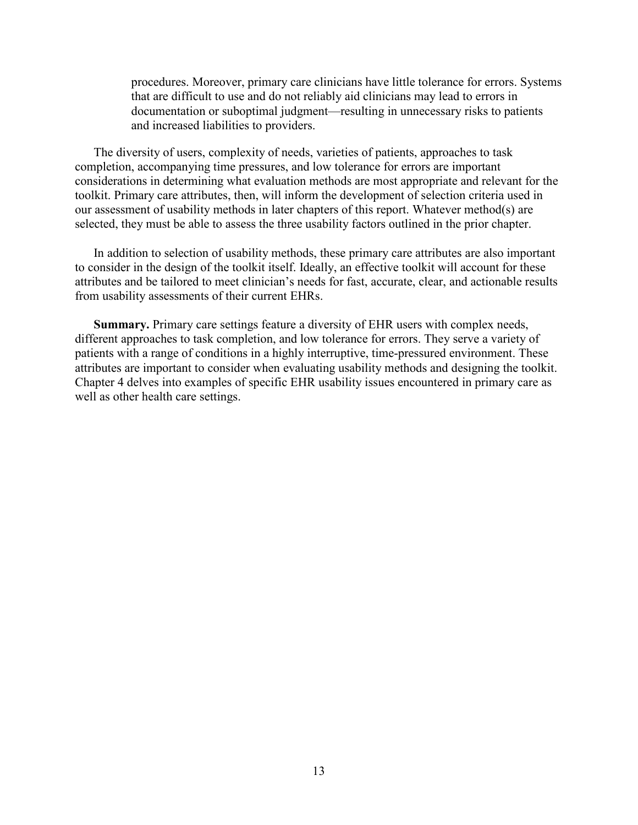procedures. Moreover, primary care clinicians have little tolerance for errors. Systems that are difficult to use and do not reliably aid clinicians may lead to errors in documentation or suboptimal judgment—resulting in unnecessary risks to patients and increased liabilities to providers.

The diversity of users, complexity of needs, varieties of patients, approaches to task completion, accompanying time pressures, and low tolerance for errors are important considerations in determining what evaluation methods are most appropriate and relevant for the toolkit. Primary care attributes, then, will inform the development of selection criteria used in our assessment of usability methods in later chapters of this report. Whatever method(s) are selected, they must be able to assess the three usability factors outlined in the prior chapter.

In addition to selection of usability methods, these primary care attributes are also important to consider in the design of the toolkit itself. Ideally, an effective toolkit will account for these attributes and be tailored to meet clinician's needs for fast, accurate, clear, and actionable results from usability assessments of their current EHRs.

**Summary.** Primary care settings feature a diversity of EHR users with complex needs, different approaches to task completion, and low tolerance for errors. They serve a variety of patients with a range of conditions in a highly interruptive, time-pressured environment. These attributes are important to consider when evaluating usability methods and designing the toolkit. Chapter 4 delves into examples of specific EHR usability issues encountered in primary care as well as other health care settings.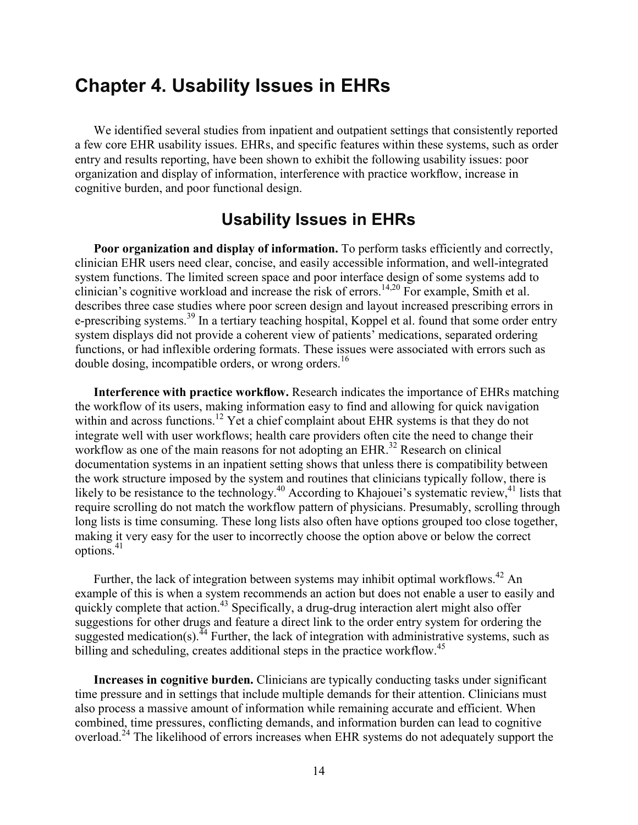# **Chapter 4. Usability Issues in EHRs**

We identified several studies from inpatient and outpatient settings that consistently reported a few core EHR usability issues. EHRs, and specific features within these systems, such as order entry and results reporting, have been shown to exhibit the following usability issues: poor organization and display of information, interference with practice workflow, increase in cognitive burden, and poor functional design.

## **Usability Issues in EHRs**

**Poor organization and display of information.** To perform tasks efficiently and correctly, clinician EHR users need clear, concise, and easily accessible information, and well-integrated system functions. The limited screen space and poor interface design of some systems add to clinician's cognitive workload and increase the risk of errors.<sup>14,20</sup> For example, Smith et al. describes three case studies where poor screen design and layout increased prescribing errors in e-prescribing systems.<sup>39</sup> In a tertiary teaching hospital, Koppel et al. found that some order entry system displays did not provide a coherent view of patients' medications, separated ordering functions, or had inflexible ordering formats. These issues were associated with errors such as double dosing, incompatible orders, or wrong orders.<sup>16</sup>

**Interference with practice workflow.** Research indicates the importance of EHRs matching the workflow of its users, making information easy to find and allowing for quick navigation within and across functions.<sup>12</sup> Yet a chief complaint about EHR systems is that they do not integrate well with user workflows; health care providers often cite the need to change their workflow as one of the main reasons for not adopting an  $EHR$ <sup>32</sup> Research on clinical documentation systems in an inpatient setting shows that unless there is compatibility between the work structure imposed by the system and routines that clinicians typically follow, there is likely to be resistance to the technology.<sup>40</sup> According to Khajouei's systematic review,<sup>41</sup> lists that require scrolling do not match the workflow pattern of physicians. Presumably, scrolling through long lists is time consuming. These long lists also often have options grouped too close together, making it very easy for the user to incorrectly choose the option above or below the correct options.<sup>41</sup>

Further, the lack of integration between systems may inhibit optimal workflows.<sup>42</sup> An example of this is when a system recommends an action but does not enable a user to easily and quickly complete that action.<sup>43</sup> Specifically, a drug-drug interaction alert might also offer suggestions for other drugs and feature a direct link to the order entry system for ordering the suggested medication(s).<sup> $44$ </sup> Further, the lack of integration with administrative systems, such as billing and scheduling, creates additional steps in the practice workflow.<sup>45</sup>

**Increases in cognitive burden.** Clinicians are typically conducting tasks under significant time pressure and in settings that include multiple demands for their attention. Clinicians must also process a massive amount of information while remaining accurate and efficient. When combined, time pressures, conflicting demands, and information burden can lead to cognitive overload.<sup>24</sup> The likelihood of errors increases when EHR systems do not adequately support the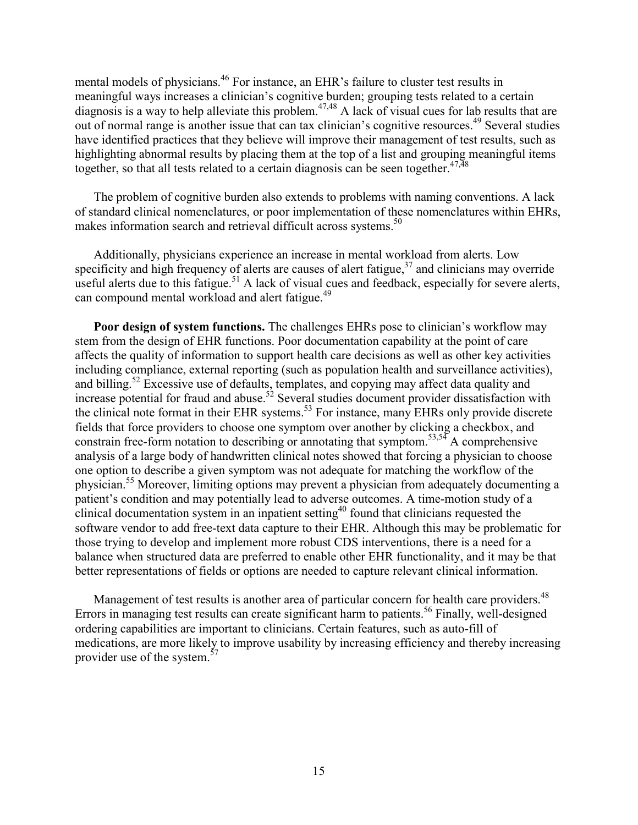mental models of physicians.<sup>46</sup> For instance, an EHR's failure to cluster test results in meaningful ways increases a clinician's cognitive burden; grouping tests related to a certain diagnosis is a way to help alleviate this problem.<sup>47,48</sup> A lack of visual cues for lab results that are out of normal range is another issue that can tax clinician's cognitive resources.49 Several studies have identified practices that they believe will improve their management of test results, such as highlighting abnormal results by placing them at the top of a list and grouping meaningful items together, so that all tests related to a certain diagnosis can be seen together.<sup>47,48</sup>

The problem of cognitive burden also extends to problems with naming conventions. A lack of standard clinical nomenclatures, or poor implementation of these nomenclatures within EHRs, makes information search and retrieval difficult across systems.<sup>50</sup>

Additionally, physicians experience an increase in mental workload from alerts. Low specificity and high frequency of alerts are causes of alert fatigue,  $37$  and clinicians may override useful alerts due to this fatigue.<sup>51</sup> A lack of visual cues and feedback, especially for severe alerts, can compound mental workload and alert fatigue.<sup>49</sup>

**Poor design of system functions.** The challenges EHRs pose to clinician's workflow may stem from the design of EHR functions. Poor documentation capability at the point of care affects the quality of information to support health care decisions as well as other key activities including compliance, external reporting (such as population health and surveillance activities), and billing.<sup>52</sup> Excessive use of defaults, templates, and copying may affect data quality and increase potential for fraud and abuse.<sup>52</sup> Several studies document provider dissatisfaction with the clinical note format in their EHR systems.<sup>53</sup> For instance, many EHRs only provide discrete fields that force providers to choose one symptom over another by clicking a checkbox, and constrain free-form notation to describing or annotating that symptom.<sup>53,54</sup> A comprehensive analysis of a large body of handwritten clinical notes showed that forcing a physician to choose one option to describe a given symptom was not adequate for matching the workflow of the physician.55 Moreover, limiting options may prevent a physician from adequately documenting a patient's condition and may potentially lead to adverse outcomes. A time-motion study of a clinical documentation system in an inpatient setting<sup>40</sup> found that clinicians requested the software vendor to add free-text data capture to their EHR. Although this may be problematic for those trying to develop and implement more robust CDS interventions, there is a need for a balance when structured data are preferred to enable other EHR functionality, and it may be that better representations of fields or options are needed to capture relevant clinical information.

Management of test results is another area of particular concern for health care providers.<sup>48</sup> Errors in managing test results can create significant harm to patients.<sup>56</sup> Finally, well-designed ordering capabilities are important to clinicians. Certain features, such as auto-fill of medications, are more likely to improve usability by increasing efficiency and thereby increasing provider use of the system.<sup>57</sup>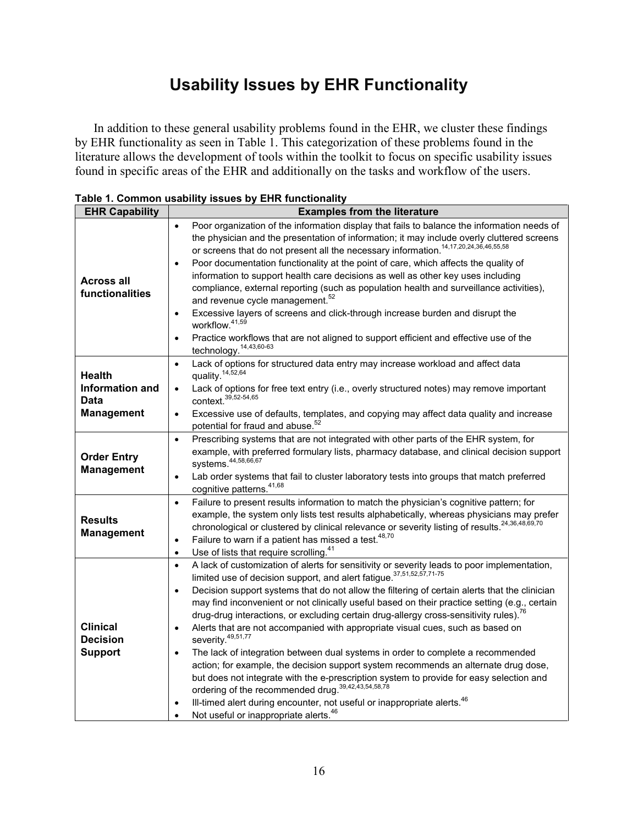# **Usability Issues by EHR Functionality**

In addition to these general usability problems found in the EHR, we cluster these findings by EHR functionality as seen in Table 1. This categorization of these problems found in the literature allows the development of tools within the toolkit to focus on specific usability issues found in specific areas of the EHR and additionally on the tasks and workflow of the users.

| <b>EHR Capability</b>                                | <b>Examples from the literature</b>                                                                                                                                                                                                                                                                                                                                                                                                                                                                                                                                                                                                                                                                                                                                                                                                                                                                                                                                                                                                                                                                                             |
|------------------------------------------------------|---------------------------------------------------------------------------------------------------------------------------------------------------------------------------------------------------------------------------------------------------------------------------------------------------------------------------------------------------------------------------------------------------------------------------------------------------------------------------------------------------------------------------------------------------------------------------------------------------------------------------------------------------------------------------------------------------------------------------------------------------------------------------------------------------------------------------------------------------------------------------------------------------------------------------------------------------------------------------------------------------------------------------------------------------------------------------------------------------------------------------------|
|                                                      | Poor organization of the information display that fails to balance the information needs of<br>$\bullet$<br>the physician and the presentation of information; it may include overly cluttered screens<br>or screens that do not present all the necessary information. <sup>14,17,20,24,36,46,55,58</sup>                                                                                                                                                                                                                                                                                                                                                                                                                                                                                                                                                                                                                                                                                                                                                                                                                      |
| <b>Across all</b><br>functionalities                 | Poor documentation functionality at the point of care, which affects the quality of<br>$\bullet$<br>information to support health care decisions as well as other key uses including<br>compliance, external reporting (such as population health and surveillance activities),                                                                                                                                                                                                                                                                                                                                                                                                                                                                                                                                                                                                                                                                                                                                                                                                                                                 |
|                                                      | and revenue cycle management. <sup>52</sup><br>Excessive layers of screens and click-through increase burden and disrupt the<br>٠<br>workflow. <sup>41,59</sup><br>Practice workflows that are not aligned to support efficient and effective use of the<br>$\bullet$                                                                                                                                                                                                                                                                                                                                                                                                                                                                                                                                                                                                                                                                                                                                                                                                                                                           |
|                                                      | technology. <sup>14,43,60-63</sup>                                                                                                                                                                                                                                                                                                                                                                                                                                                                                                                                                                                                                                                                                                                                                                                                                                                                                                                                                                                                                                                                                              |
| <b>Health</b>                                        | Lack of options for structured data entry may increase workload and affect data<br>$\bullet$<br>quality. <sup>14,52,64</sup>                                                                                                                                                                                                                                                                                                                                                                                                                                                                                                                                                                                                                                                                                                                                                                                                                                                                                                                                                                                                    |
| Information and<br>Data                              | Lack of options for free text entry (i.e., overly structured notes) may remove important<br>$\bullet$<br>context. 39,52-54,65                                                                                                                                                                                                                                                                                                                                                                                                                                                                                                                                                                                                                                                                                                                                                                                                                                                                                                                                                                                                   |
| <b>Management</b>                                    | Excessive use of defaults, templates, and copying may affect data quality and increase<br>$\bullet$<br>potential for fraud and abuse. <sup>52</sup>                                                                                                                                                                                                                                                                                                                                                                                                                                                                                                                                                                                                                                                                                                                                                                                                                                                                                                                                                                             |
| <b>Order Entry</b><br><b>Management</b>              | Prescribing systems that are not integrated with other parts of the EHR system, for<br>$\bullet$<br>example, with preferred formulary lists, pharmacy database, and clinical decision support<br>systems. 44,58,66,67<br>Lab order systems that fail to cluster laboratory tests into groups that match preferred<br>$\bullet$<br>cognitive patterns. 41,68                                                                                                                                                                                                                                                                                                                                                                                                                                                                                                                                                                                                                                                                                                                                                                     |
| <b>Results</b><br><b>Management</b>                  | Failure to present results information to match the physician's cognitive pattern; for<br>$\bullet$<br>example, the system only lists test results alphabetically, whereas physicians may prefer<br>chronological or clustered by clinical relevance or severity listing of results. <sup>24,36,48,69,70</sup><br>Failure to warn if a patient has missed a test. <sup>48,70</sup><br>$\bullet$<br>Use of lists that require scrolling. <sup>41</sup><br>$\bullet$                                                                                                                                                                                                                                                                                                                                                                                                                                                                                                                                                                                                                                                              |
| <b>Clinical</b><br><b>Decision</b><br><b>Support</b> | A lack of customization of alerts for sensitivity or severity leads to poor implementation,<br>$\bullet$<br>limited use of decision support, and alert fatigue. 37,51,52,57,71-75<br>Decision support systems that do not allow the filtering of certain alerts that the clinician<br>$\bullet$<br>may find inconvenient or not clinically useful based on their practice setting (e.g., certain<br>drug-drug interactions, or excluding certain drug-allergy cross-sensitivity rules). <sup>76</sup><br>Alerts that are not accompanied with appropriate visual cues, such as based on<br>$\bullet$<br>severity. <sup>49,51,77</sup><br>The lack of integration between dual systems in order to complete a recommended<br>$\bullet$<br>action; for example, the decision support system recommends an alternate drug dose,<br>but does not integrate with the e-prescription system to provide for easy selection and<br>ordering of the recommended drug. 39,42,43,54,58,78<br>Ill-timed alert during encounter, not useful or inappropriate alerts. <sup>46</sup><br>٠<br>Not useful or inappropriate alerts. <sup>46</sup> |

**Table 1. Common usability issues by EHR functionality**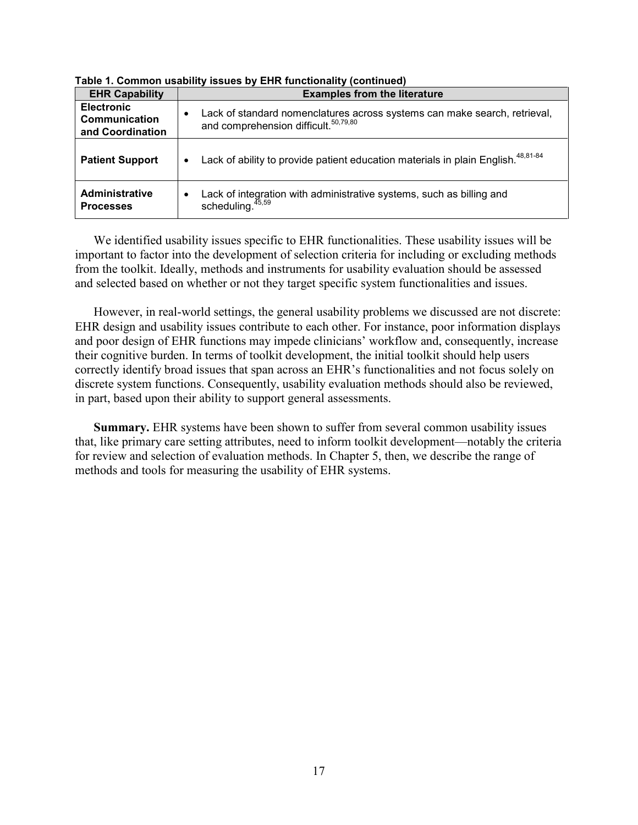| <b>EHR Capability</b>                                  | <b>Examples from the literature</b>                                                                                                        |
|--------------------------------------------------------|--------------------------------------------------------------------------------------------------------------------------------------------|
| <b>Electronic</b><br>Communication<br>and Coordination | Lack of standard nomenclatures across systems can make search, retrieval,<br>$\bullet$<br>and comprehension difficult. <sup>50,79,80</sup> |
| <b>Patient Support</b>                                 | Lack of ability to provide patient education materials in plain English. <sup>48,81-84</sup><br>٠                                          |
| <b>Administrative</b><br><b>Processes</b>              | Lack of integration with administrative systems, such as billing and<br>٠<br>scheduling. <sup>45,59</sup>                                  |

**Table 1. Common usability issues by EHR functionality (continued)**

We identified usability issues specific to EHR functionalities. These usability issues will be important to factor into the development of selection criteria for including or excluding methods from the toolkit. Ideally, methods and instruments for usability evaluation should be assessed and selected based on whether or not they target specific system functionalities and issues.

However, in real-world settings, the general usability problems we discussed are not discrete: EHR design and usability issues contribute to each other. For instance, poor information displays and poor design of EHR functions may impede clinicians' workflow and, consequently, increase their cognitive burden. In terms of toolkit development, the initial toolkit should help users correctly identify broad issues that span across an EHR's functionalities and not focus solely on discrete system functions. Consequently, usability evaluation methods should also be reviewed, in part, based upon their ability to support general assessments.

**Summary.** EHR systems have been shown to suffer from several common usability issues that, like primary care setting attributes, need to inform toolkit development—notably the criteria for review and selection of evaluation methods. In Chapter 5, then, we describe the range of methods and tools for measuring the usability of EHR systems.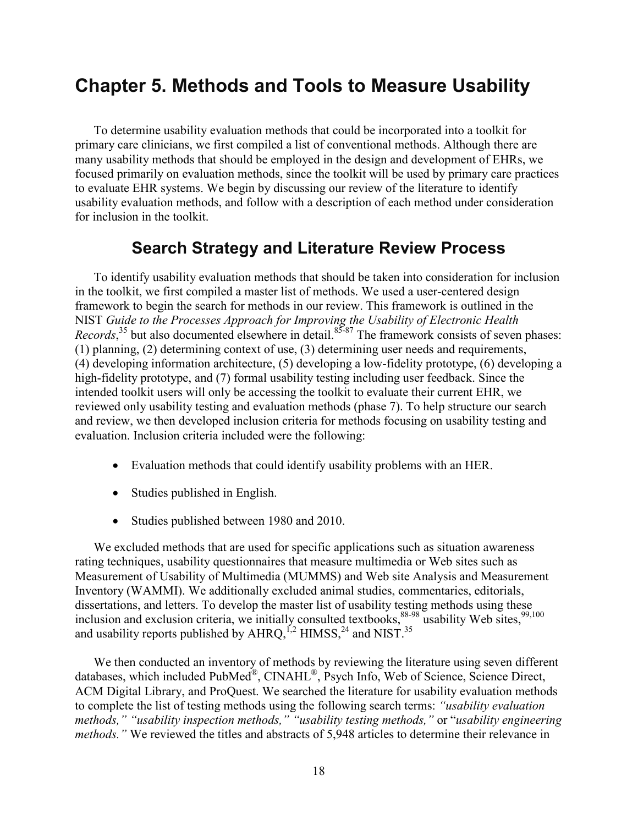# **Chapter 5. Methods and Tools to Measure Usability**

To determine usability evaluation methods that could be incorporated into a toolkit for primary care clinicians, we first compiled a list of conventional methods. Although there are many usability methods that should be employed in the design and development of EHRs, we focused primarily on evaluation methods, since the toolkit will be used by primary care practices to evaluate EHR systems. We begin by discussing our review of the literature to identify usability evaluation methods, and follow with a description of each method under consideration for inclusion in the toolkit.

### **Search Strategy and Literature Review Process**

To identify usability evaluation methods that should be taken into consideration for inclusion in the toolkit, we first compiled a master list of methods. We used a user-centered design framework to begin the search for methods in our review. This framework is outlined in the NIST *Guide to the Processes Approach for Improving the Usability of Electronic Health Records*,<sup>35</sup> but also documented elsewhere in detail.<sup>85-87</sup> The framework consists of seven phases: (1) planning, (2) determining context of use, (3) determining user needs and requirements, (4) developing information architecture, (5) developing a low-fidelity prototype, (6) developing a high-fidelity prototype, and (7) formal usability testing including user feedback. Since the intended toolkit users will only be accessing the toolkit to evaluate their current EHR, we reviewed only usability testing and evaluation methods (phase 7). To help structure our search and review, we then developed inclusion criteria for methods focusing on usability testing and evaluation. Inclusion criteria included were the following:

- Evaluation methods that could identify usability problems with an HER.
- Studies published in English.
- Studies published between 1980 and 2010.

We excluded methods that are used for specific applications such as situation awareness rating techniques, usability questionnaires that measure multimedia or Web sites such as Measurement of Usability of Multimedia (MUMMS) and Web site Analysis and Measurement Inventory (WAMMI). We additionally excluded animal studies, commentaries, editorials, dissertations, and letters. To develop the master list of usability testing methods using these inclusion and exclusion criteria, we initially consulted textbooks,  $88-98$  usability Web sites,  $99,100$ and usability reports published by AHRQ,  $^{1,2}$  HIMSS,  $^{24}$  and NIST.<sup>35</sup>

We then conducted an inventory of methods by reviewing the literature using seven different databases, which included PubMed<sup>®</sup>, CINAHL<sup>®</sup>, Psych Info, Web of Science, Science Direct, ACM Digital Library, and ProQuest. We searched the literature for usability evaluation methods to complete the list of testing methods using the following search terms: *"usability evaluation methods," "usability inspection methods," "usability testing methods,"* or "*usability engineering methods.*" We reviewed the titles and abstracts of 5,948 articles to determine their relevance in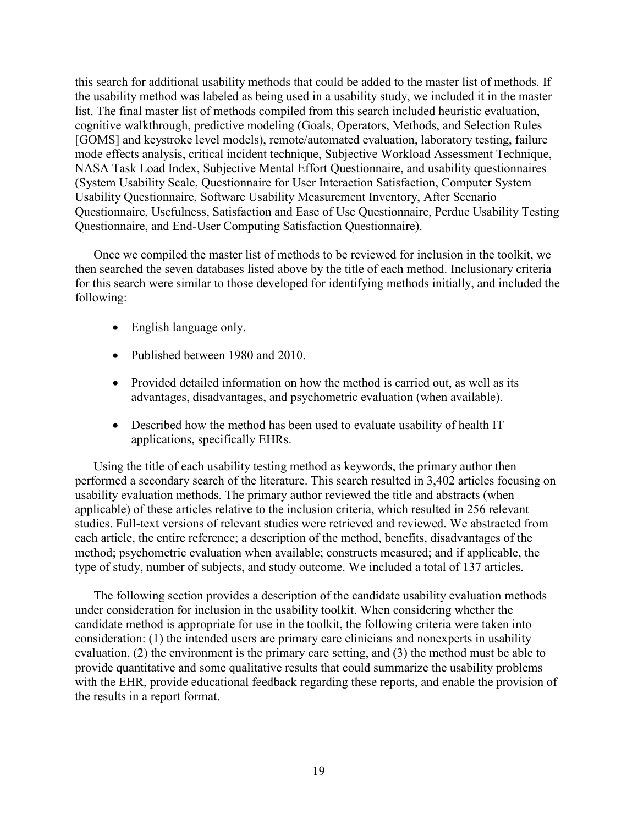this search for additional usability methods that could be added to the master list of methods. If the usability method was labeled as being used in a usability study, we included it in the master list. The final master list of methods compiled from this search included heuristic evaluation, cognitive walkthrough, predictive modeling (Goals, Operators, Methods, and Selection Rules [GOMS] and keystroke level models), remote/automated evaluation, laboratory testing, failure mode effects analysis, critical incident technique, Subjective Workload Assessment Technique, NASA Task Load Index, Subjective Mental Effort Questionnaire, and usability questionnaires (System Usability Scale, Questionnaire for User Interaction Satisfaction, Computer System Usability Questionnaire, Software Usability Measurement Inventory, After Scenario Questionnaire, Usefulness, Satisfaction and Ease of Use Questionnaire, Perdue Usability Testing Questionnaire, and End-User Computing Satisfaction Questionnaire).

Once we compiled the master list of methods to be reviewed for inclusion in the toolkit, we then searched the seven databases listed above by the title of each method. Inclusionary criteria for this search were similar to those developed for identifying methods initially, and included the following:

- English language only.
- Published between 1980 and 2010.
- Provided detailed information on how the method is carried out, as well as its advantages, disadvantages, and psychometric evaluation (when available).
- Described how the method has been used to evaluate usability of health IT applications, specifically EHRs.

Using the title of each usability testing method as keywords, the primary author then performed a secondary search of the literature. This search resulted in 3,402 articles focusing on usability evaluation methods. The primary author reviewed the title and abstracts (when applicable) of these articles relative to the inclusion criteria, which resulted in 256 relevant studies. Full-text versions of relevant studies were retrieved and reviewed. We abstracted from each article, the entire reference; a description of the method, benefits, disadvantages of the method; psychometric evaluation when available; constructs measured; and if applicable, the type of study, number of subjects, and study outcome. We included a total of 137 articles.

The following section provides a description of the candidate usability evaluation methods under consideration for inclusion in the usability toolkit. When considering whether the candidate method is appropriate for use in the toolkit, the following criteria were taken into consideration: (1) the intended users are primary care clinicians and nonexperts in usability evaluation, (2) the environment is the primary care setting, and (3) the method must be able to provide quantitative and some qualitative results that could summarize the usability problems with the EHR, provide educational feedback regarding these reports, and enable the provision of the results in a report format.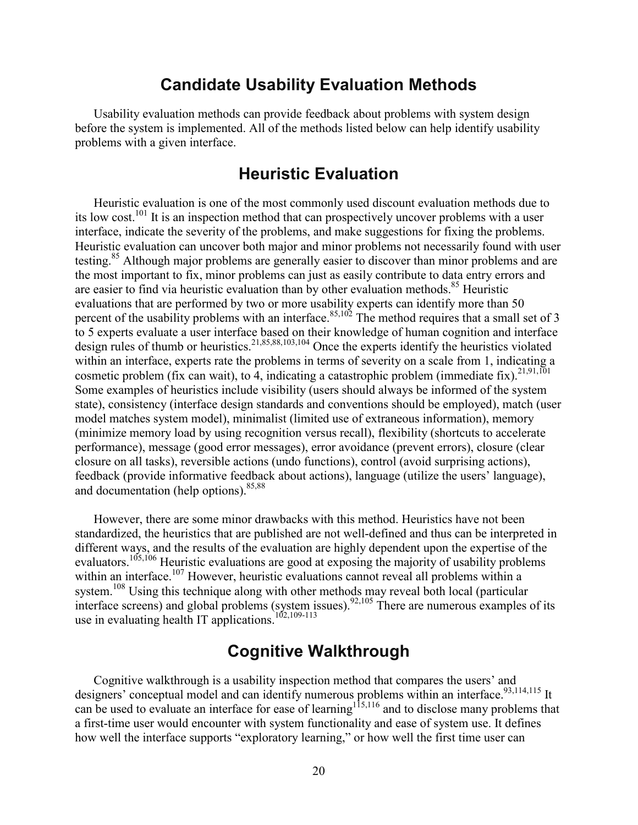### **Candidate Usability Evaluation Methods**

Usability evaluation methods can provide feedback about problems with system design before the system is implemented. All of the methods listed below can help identify usability problems with a given interface.

## **Heuristic Evaluation**

Heuristic evaluation is one of the most commonly used discount evaluation methods due to its low cost.<sup>101</sup> It is an inspection method that can prospectively uncover problems with a user interface, indicate the severity of the problems, and make suggestions for fixing the problems. Heuristic evaluation can uncover both major and minor problems not necessarily found with user testing.<sup>85</sup> Although major problems are generally easier to discover than minor problems and are the most important to fix, minor problems can just as easily contribute to data entry errors and are easier to find via heuristic evaluation than by other evaluation methods.<sup>85</sup> Heuristic evaluations that are performed by two or more usability experts can identify more than 50 percent of the usability problems with an interface.  $85,102$  The method requires that a small set of 3 to 5 experts evaluate a user interface based on their knowledge of human cognition and interface design rules of thumb or heuristics.21,85,88,103,104 Once the experts identify the heuristics violated within an interface, experts rate the problems in terms of severity on a scale from 1, indicating a cosmetic problem (fix can wait), to 4, indicating a catastrophic problem (immediate fix).<sup>21,91,101</sup> Some examples of heuristics include visibility (users should always be informed of the system state), consistency (interface design standards and conventions should be employed), match (user model matches system model), minimalist (limited use of extraneous information), memory (minimize memory load by using recognition versus recall), flexibility (shortcuts to accelerate performance), message (good error messages), error avoidance (prevent errors), closure (clear closure on all tasks), reversible actions (undo functions), control (avoid surprising actions), feedback (provide informative feedback about actions), language (utilize the users' language), and documentation (help options).  $85,88$ 

However, there are some minor drawbacks with this method. Heuristics have not been standardized, the heuristics that are published are not well-defined and thus can be interpreted in different ways, and the results of the evaluation are highly dependent upon the expertise of the evaluators.<sup>105,106</sup> Heuristic evaluations are good at exposing the majority of usability problems within an interface.<sup>107</sup> However, heuristic evaluations cannot reveal all problems within a system.<sup>108</sup> Using this technique along with other methods may reveal both local (particular interface screens) and global problems (system issues).  $92,105$  There are numerous examples of its use in evaluating health IT applications.<sup>102,109-113</sup>

## **Cognitive Walkthrough**

Cognitive walkthrough is a usability inspection method that compares the users' and designers' conceptual model and can identify numerous problems within an interface.<sup>93,114,115</sup> It can be used to evaluate an interface for ease of learning<sup>115,116</sup> and to disclose many problems that a first-time user would encounter with system functionality and ease of system use. It defines how well the interface supports "exploratory learning," or how well the first time user can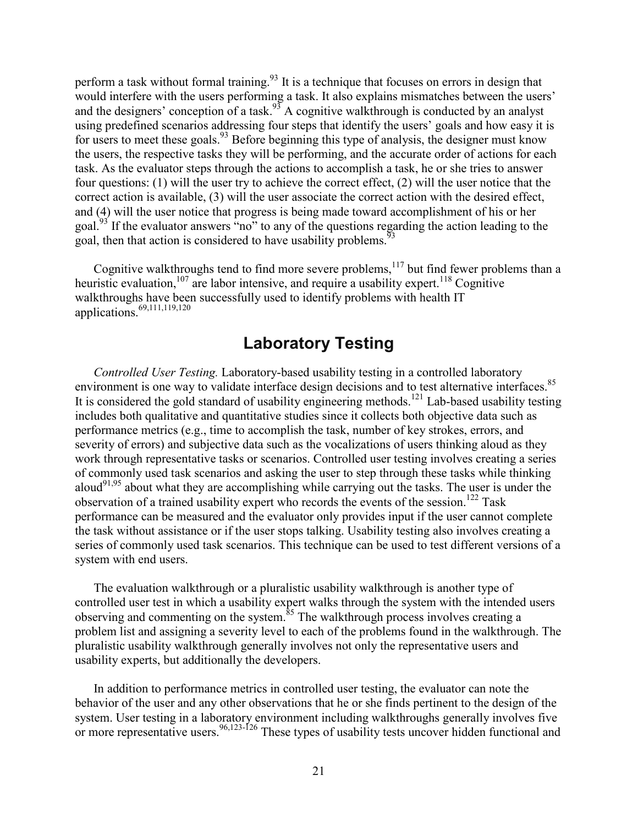perform a task without formal training.<sup>93</sup> It is a technique that focuses on errors in design that would interfere with the users performing a task. It also explains mismatches between the users' and the designers' conception of a task.<sup>93</sup> A cognitive walkthrough is conducted by an analyst using predefined scenarios addressing four steps that identify the users' goals and how easy it is for users to meet these goals.<sup>93</sup> Before beginning this type of analysis, the designer must know the users, the respective tasks they will be performing, and the accurate order of actions for each task. As the evaluator steps through the actions to accomplish a task, he or she tries to answer four questions: (1) will the user try to achieve the correct effect, (2) will the user notice that the correct action is available, (3) will the user associate the correct action with the desired effect, and (4) will the user notice that progress is being made toward accomplishment of his or her goal.93 If the evaluator answers "no" to any of the questions regarding the action leading to the goal, then that action is considered to have usability problems.<sup>93</sup>

Cognitive walkthroughs tend to find more severe problems, $117$  but find fewer problems than a heuristic evaluation, $107$  are labor intensive, and require a usability expert.  $118$  Cognitive walkthroughs have been successfully used to identify problems with health IT applications. $69,111,119,120$ 

# **Laboratory Testing**

*Controlled User Testing.* Laboratory-based usability testing in a controlled laboratory environment is one way to validate interface design decisions and to test alternative interfaces.<sup>85</sup> It is considered the gold standard of usability engineering methods.<sup>121</sup> Lab-based usability testing includes both qualitative and quantitative studies since it collects both objective data such as performance metrics (e.g., time to accomplish the task, number of key strokes, errors, and severity of errors) and subjective data such as the vocalizations of users thinking aloud as they work through representative tasks or scenarios. Controlled user testing involves creating a series of commonly used task scenarios and asking the user to step through these tasks while thinking aloud<sup>91,95</sup> about what they are accomplishing while carrying out the tasks. The user is under the observation of a trained usability expert who records the events of the session.<sup>122</sup> Task performance can be measured and the evaluator only provides input if the user cannot complete the task without assistance or if the user stops talking. Usability testing also involves creating a series of commonly used task scenarios. This technique can be used to test different versions of a system with end users.

The evaluation walkthrough or a pluralistic usability walkthrough is another type of controlled user test in which a usability expert walks through the system with the intended users observing and commenting on the system.<sup>85</sup> The walkthrough process involves creating a problem list and assigning a severity level to each of the problems found in the walkthrough. The pluralistic usability walkthrough generally involves not only the representative users and usability experts, but additionally the developers.

In addition to performance metrics in controlled user testing, the evaluator can note the behavior of the user and any other observations that he or she finds pertinent to the design of the system. User testing in a laboratory environment including walkthroughs generally involves five or more representative users.<sup>96,123-126</sup> These types of usability tests uncover hidden functional and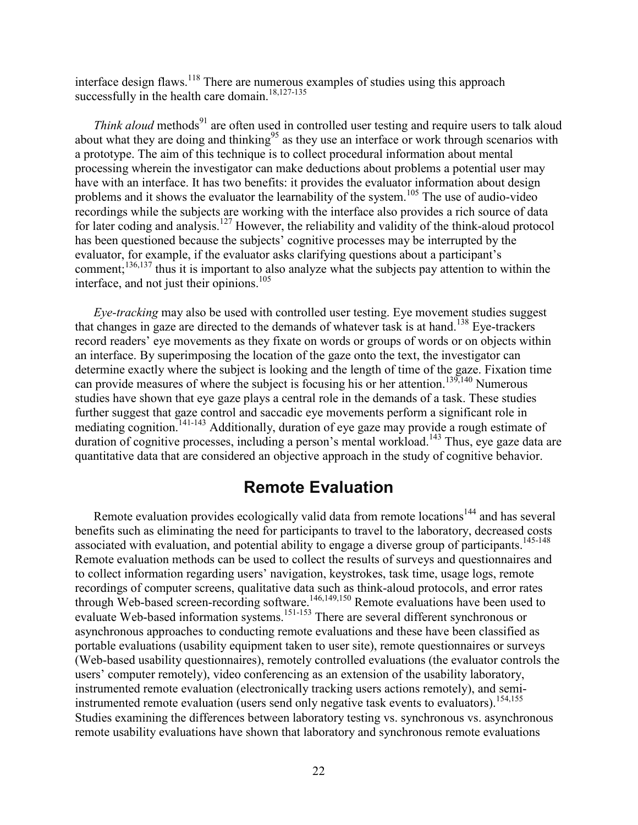interface design flaws.<sup>118</sup> There are numerous examples of studies using this approach successfully in the health care domain.<sup>18,127-135</sup>

*Think aloud* methods<sup>91</sup> are often used in controlled user testing and require users to talk aloud about what they are doing and thinking<sup>95</sup> as they use an interface or work through scenarios with a prototype. The aim of this technique is to collect procedural information about mental processing wherein the investigator can make deductions about problems a potential user may have with an interface. It has two benefits: it provides the evaluator information about design problems and it shows the evaluator the learnability of the system.<sup>105</sup> The use of audio-video recordings while the subjects are working with the interface also provides a rich source of data for later coding and analysis.<sup>127</sup> However, the reliability and validity of the think-aloud protocol has been questioned because the subjects' cognitive processes may be interrupted by the evaluator, for example, if the evaluator asks clarifying questions about a participant's comment;<sup>136,137</sup> thus it is important to also analyze what the subjects pay attention to within the interface, and not just their opinions.<sup>105</sup>

*Eye-tracking* may also be used with controlled user testing. Eye movement studies suggest that changes in gaze are directed to the demands of whatever task is at hand.<sup>138</sup> Eve-trackers record readers' eye movements as they fixate on words or groups of words or on objects within an interface. By superimposing the location of the gaze onto the text, the investigator can determine exactly where the subject is looking and the length of time of the gaze. Fixation time can provide measures of where the subject is focusing his or her attention.<sup>139,140</sup> Numerous studies have shown that eye gaze plays a central role in the demands of a task. These studies further suggest that gaze control and saccadic eye movements perform a significant role in mediating cognition.<sup>141-143</sup> Additionally, duration of eye gaze may provide a rough estimate of duration of cognitive processes, including a person's mental workload.<sup>143</sup> Thus, eye gaze data are quantitative data that are considered an objective approach in the study of cognitive behavior.

### **Remote Evaluation**

Remote evaluation provides ecologically valid data from remote locations<sup>144</sup> and has several benefits such as eliminating the need for participants to travel to the laboratory, decreased costs associated with evaluation, and potential ability to engage a diverse group of participants.<sup>145-148</sup> Remote evaluation methods can be used to collect the results of surveys and questionnaires and to collect information regarding users' navigation, keystrokes, task time, usage logs, remote recordings of computer screens, qualitative data such as think-aloud protocols, and error rates through Web-based screen-recording software.<sup>146,149,150</sup> Remote evaluations have been used to evaluate Web-based information systems.<sup>151-153</sup> There are several different synchronous or asynchronous approaches to conducting remote evaluations and these have been classified as portable evaluations (usability equipment taken to user site), remote questionnaires or surveys (Web-based usability questionnaires), remotely controlled evaluations (the evaluator controls the users' computer remotely), video conferencing as an extension of the usability laboratory, instrumented remote evaluation (electronically tracking users actions remotely), and semiinstrumented remote evaluation (users send only negative task events to evaluators).<sup>154,155</sup> Studies examining the differences between laboratory testing vs. synchronous vs. asynchronous remote usability evaluations have shown that laboratory and synchronous remote evaluations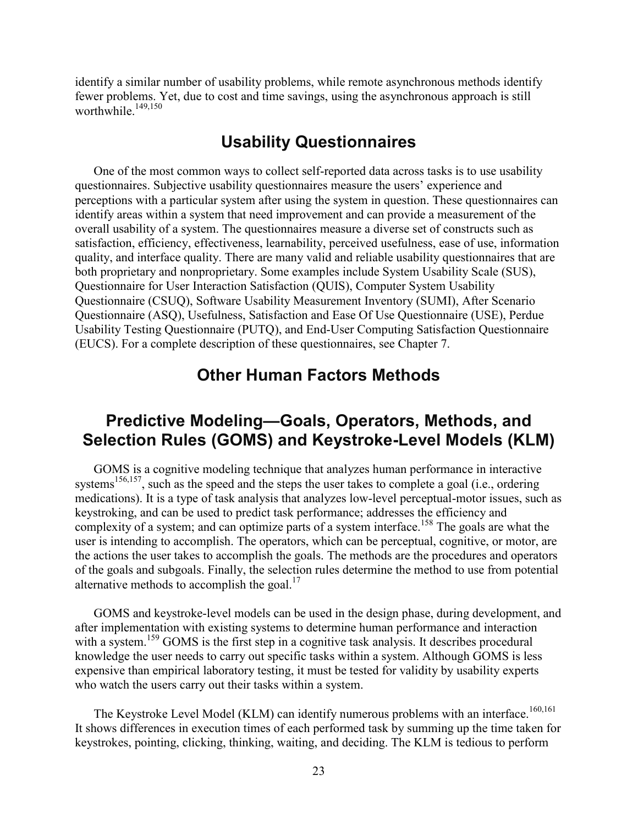identify a similar number of usability problems, while remote asynchronous methods identify fewer problems. Yet, due to cost and time savings, using the asynchronous approach is still worthwhile<sup>149,150</sup>

## **Usability Questionnaires**

One of the most common ways to collect self-reported data across tasks is to use usability questionnaires. Subjective usability questionnaires measure the users' experience and perceptions with a particular system after using the system in question. These questionnaires can identify areas within a system that need improvement and can provide a measurement of the overall usability of a system. The questionnaires measure a diverse set of constructs such as satisfaction, efficiency, effectiveness, learnability, perceived usefulness, ease of use, information quality, and interface quality. There are many valid and reliable usability questionnaires that are both proprietary and nonproprietary. Some examples include System Usability Scale (SUS), Questionnaire for User Interaction Satisfaction (QUIS), Computer System Usability Questionnaire (CSUQ), Software Usability Measurement Inventory (SUMI), After Scenario Questionnaire (ASQ), Usefulness, Satisfaction and Ease Of Use Questionnaire (USE), Perdue Usability Testing Questionnaire (PUTQ), and End-User Computing Satisfaction Questionnaire (EUCS). For a complete description of these questionnaires, see Chapter 7.

### **Other Human Factors Methods**

## **Predictive Modeling—Goals, Operators, Methods, and Selection Rules (GOMS) and Keystroke-Level Models (KLM)**

GOMS is a cognitive modeling technique that analyzes human performance in interactive systems<sup>156,157</sup>, such as the speed and the steps the user takes to complete a goal (i.e., ordering medications). It is a type of task analysis that analyzes low-level perceptual-motor issues, such as keystroking, and can be used to predict task performance; addresses the efficiency and complexity of a system; and can optimize parts of a system interface.<sup>158</sup> The goals are what the user is intending to accomplish. The operators, which can be perceptual, cognitive, or motor, are the actions the user takes to accomplish the goals. The methods are the procedures and operators of the goals and subgoals. Finally, the selection rules determine the method to use from potential alternative methods to accomplish the goal.<sup>17</sup>

GOMS and keystroke-level models can be used in the design phase, during development, and after implementation with existing systems to determine human performance and interaction with a system.<sup>159</sup> GOMS is the first step in a cognitive task analysis. It describes procedural knowledge the user needs to carry out specific tasks within a system. Although GOMS is less expensive than empirical laboratory testing, it must be tested for validity by usability experts who watch the users carry out their tasks within a system.

The Keystroke Level Model (KLM) can identify numerous problems with an interface.<sup>160,161</sup> It shows differences in execution times of each performed task by summing up the time taken for keystrokes, pointing, clicking, thinking, waiting, and deciding. The KLM is tedious to perform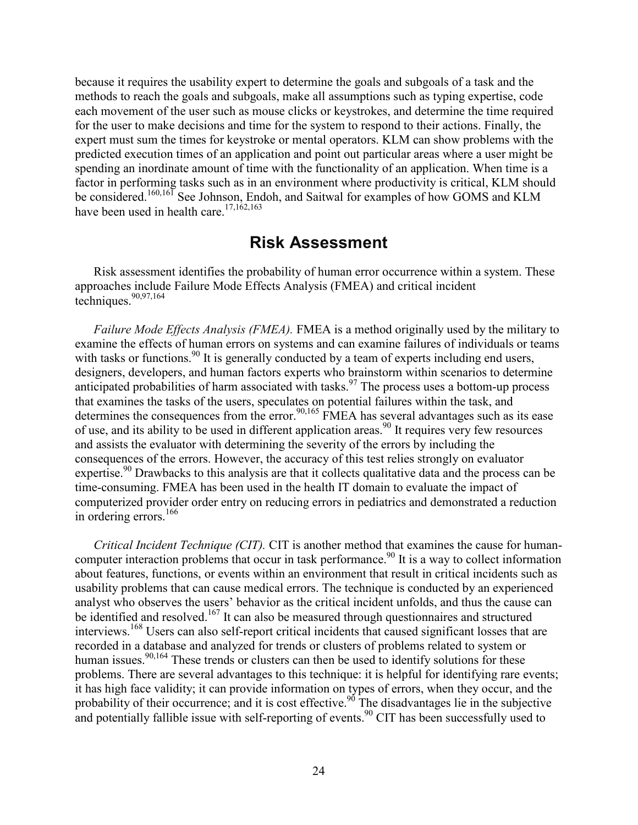because it requires the usability expert to determine the goals and subgoals of a task and the methods to reach the goals and subgoals, make all assumptions such as typing expertise, code each movement of the user such as mouse clicks or keystrokes, and determine the time required for the user to make decisions and time for the system to respond to their actions. Finally, the expert must sum the times for keystroke or mental operators. KLM can show problems with the predicted execution times of an application and point out particular areas where a user might be spending an inordinate amount of time with the functionality of an application. When time is a factor in performing tasks such as in an environment where productivity is critical, KLM should be considered.<sup>160,161</sup> See Johnson, Endoh, and Saitwal for examples of how GOMS and KLM have been used in health care.<sup>17,162,163</sup>

#### **Risk Assessment**

Risk assessment identifies the probability of human error occurrence within a system. These approaches include Failure Mode Effects Analysis (FMEA) and critical incident techniques.  $90,97,164$ 

*Failure Mode Effects Analysis (FMEA).* FMEA is a method originally used by the military to examine the effects of human errors on systems and can examine failures of individuals or teams with tasks or functions.<sup>90</sup> It is generally conducted by a team of experts including end users, designers, developers, and human factors experts who brainstorm within scenarios to determine anticipated probabilities of harm associated with tasks.<sup>97</sup> The process uses a bottom-up process that examines the tasks of the users, speculates on potential failures within the task, and determines the consequences from the error.<sup>90,165</sup> FMEA has several advantages such as its ease of use, and its ability to be used in different application areas.90 It requires very few resources and assists the evaluator with determining the severity of the errors by including the consequences of the errors. However, the accuracy of this test relies strongly on evaluator expertise.<sup>90</sup> Drawbacks to this analysis are that it collects qualitative data and the process can be time-consuming. FMEA has been used in the health IT domain to evaluate the impact of computerized provider order entry on reducing errors in pediatrics and demonstrated a reduction in ordering errors.<sup>166</sup>

*Critical Incident Technique (CIT).* CIT is another method that examines the cause for humancomputer interaction problems that occur in task performance.<sup>90</sup> It is a way to collect information about features, functions, or events within an environment that result in critical incidents such as usability problems that can cause medical errors. The technique is conducted by an experienced analyst who observes the users' behavior as the critical incident unfolds, and thus the cause can be identified and resolved.<sup>167</sup> It can also be measured through questionnaires and structured interviews.<sup>168</sup> Users can also self-report critical incidents that caused significant losses that are recorded in a database and analyzed for trends or clusters of problems related to system or human issues.<sup>90,164</sup> These trends or clusters can then be used to identify solutions for these problems. There are several advantages to this technique: it is helpful for identifying rare events; it has high face validity; it can provide information on types of errors, when they occur, and the probability of their occurrence; and it is cost effective.<sup>90</sup> The disadvantages lie in the subjective and potentially fallible issue with self-reporting of events.<sup>90</sup> CIT has been successfully used to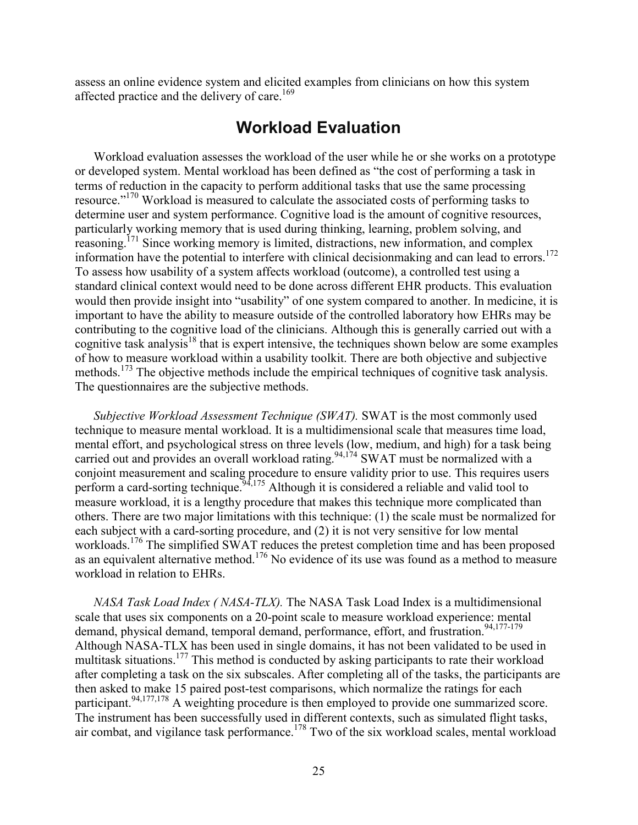assess an online evidence system and elicited examples from clinicians on how this system affected practice and the delivery of care.<sup>169</sup>

### **Workload Evaluation**

Workload evaluation assesses the workload of the user while he or she works on a prototype or developed system. Mental workload has been defined as "the cost of performing a task in terms of reduction in the capacity to perform additional tasks that use the same processing resource."<sup>170</sup> Workload is measured to calculate the associated costs of performing tasks to determine user and system performance. Cognitive load is the amount of cognitive resources, particularly working memory that is used during thinking, learning, problem solving, and reasoning.171 Since working memory is limited, distractions, new information, and complex information have the potential to interfere with clinical decision making and can lead to errors.<sup>172</sup> To assess how usability of a system affects workload (outcome), a controlled test using a standard clinical context would need to be done across different EHR products. This evaluation would then provide insight into "usability" of one system compared to another. In medicine, it is important to have the ability to measure outside of the controlled laboratory how EHRs may be contributing to the cognitive load of the clinicians. Although this is generally carried out with a cognitive task analysis<sup>18</sup> that is expert intensive, the techniques shown below are some examples of how to measure workload within a usability toolkit. There are both objective and subjective methods.<sup>173</sup> The objective methods include the empirical techniques of cognitive task analysis. The questionnaires are the subjective methods.

*Subjective Workload Assessment Technique (SWAT).* SWAT is the most commonly used technique to measure mental workload. It is a multidimensional scale that measures time load, mental effort, and psychological stress on three levels (low, medium, and high) for a task being carried out and provides an overall workload rating.<sup>94,174</sup> SWAT must be normalized with a conjoint measurement and scaling procedure to ensure validity prior to use. This requires users perform a card-sorting technique.  $94,175$  Although it is considered a reliable and valid tool to measure workload, it is a lengthy procedure that makes this technique more complicated than others. There are two major limitations with this technique: (1) the scale must be normalized for each subject with a card-sorting procedure, and (2) it is not very sensitive for low mental workloads.<sup>176</sup> The simplified SWAT reduces the pretest completion time and has been proposed as an equivalent alternative method.<sup>176</sup> No evidence of its use was found as a method to measure workload in relation to EHRs.

*NASA Task Load Index ( NASA-TLX).* The NASA Task Load Index is a multidimensional scale that uses six components on a 20-point scale to measure workload experience: mental demand, physical demand, temporal demand, performance, effort, and frustration.<sup>94,177-179</sup> Although NASA-TLX has been used in single domains, it has not been validated to be used in multitask situations.<sup>177</sup> This method is conducted by asking participants to rate their workload after completing a task on the six subscales. After completing all of the tasks, the participants are then asked to make 15 paired post-test comparisons, which normalize the ratings for each participant.<sup>94,177,178</sup> A weighting procedure is then employed to provide one summarized score. The instrument has been successfully used in different contexts, such as simulated flight tasks, air combat, and vigilance task performance.<sup>178</sup> Two of the six workload scales, mental workload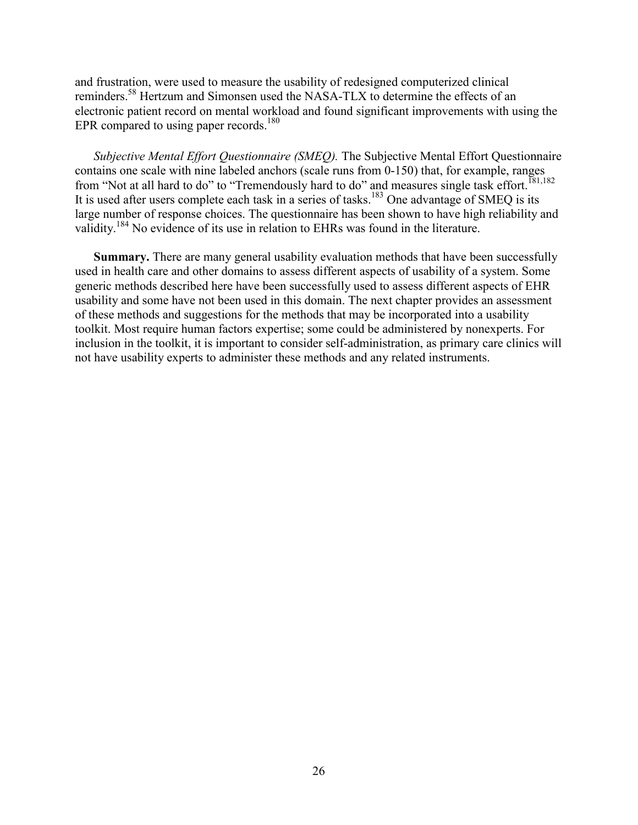and frustration, were used to measure the usability of redesigned computerized clinical reminders.58 Hertzum and Simonsen used the NASA-TLX to determine the effects of an electronic patient record on mental workload and found significant improvements with using the EPR compared to using paper records.<sup>180</sup>

*Subjective Mental Effort Questionnaire (SMEQ).* The Subjective Mental Effort Questionnaire contains one scale with nine labeled anchors (scale runs from 0-150) that, for example, ranges from "Not at all hard to do" to "Tremendously hard to do" and measures single task effort.<sup>181,182</sup> It is used after users complete each task in a series of tasks.<sup>183</sup> One advantage of SMEQ is its large number of response choices. The questionnaire has been shown to have high reliability and validity.<sup>184</sup> No evidence of its use in relation to EHRs was found in the literature.

**Summary.** There are many general usability evaluation methods that have been successfully used in health care and other domains to assess different aspects of usability of a system. Some generic methods described here have been successfully used to assess different aspects of EHR usability and some have not been used in this domain. The next chapter provides an assessment of these methods and suggestions for the methods that may be incorporated into a usability toolkit. Most require human factors expertise; some could be administered by nonexperts. For inclusion in the toolkit, it is important to consider self-administration, as primary care clinics will not have usability experts to administer these methods and any related instruments.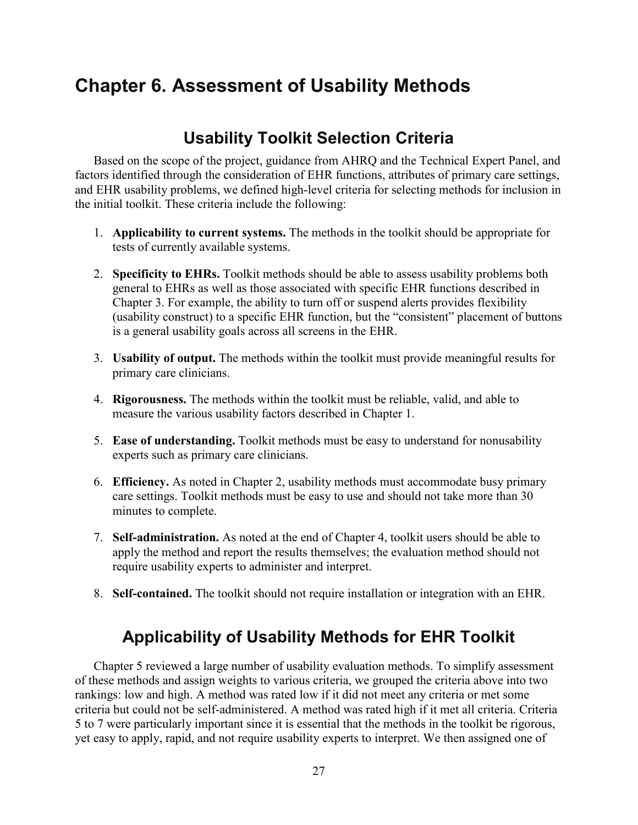# **Chapter 6. Assessment of Usability Methods**

# **Usability Toolkit Selection Criteria**

Based on the scope of the project, guidance from AHRQ and the Technical Expert Panel, and factors identified through the consideration of EHR functions, attributes of primary care settings, and EHR usability problems, we defined high-level criteria for selecting methods for inclusion in the initial toolkit. These criteria include the following:

- 1. **Applicability to current systems.** The methods in the toolkit should be appropriate for tests of currently available systems.
- 2. **Specificity to EHRs.** Toolkit methods should be able to assess usability problems both general to EHRs as well as those associated with specific EHR functions described in Chapter 3. For example, the ability to turn off or suspend alerts provides flexibility (usability construct) to a specific EHR function, but the "consistent" placement of buttons is a general usability goals across all screens in the EHR.
- 3. **Usability of output.** The methods within the toolkit must provide meaningful results for primary care clinicians.
- 4. **Rigorousness.** The methods within the toolkit must be reliable, valid, and able to measure the various usability factors described in Chapter 1.
- 5. **Ease of understanding.** Toolkit methods must be easy to understand for nonusability experts such as primary care clinicians.
- 6. **Efficiency.** As noted in Chapter 2, usability methods must accommodate busy primary care settings. Toolkit methods must be easy to use and should not take more than 30 minutes to complete.
- 7. **Self-administration.** As noted at the end of Chapter 4, toolkit users should be able to apply the method and report the results themselves; the evaluation method should not require usability experts to administer and interpret.
- 8. **Self-contained.** The toolkit should not require installation or integration with an EHR.

# **Applicability of Usability Methods for EHR Toolkit**

Chapter 5 reviewed a large number of usability evaluation methods. To simplify assessment of these methods and assign weights to various criteria, we grouped the criteria above into two rankings: low and high. A method was rated low if it did not meet any criteria or met some criteria but could not be self-administered. A method was rated high if it met all criteria. Criteria 5 to 7 were particularly important since it is essential that the methods in the toolkit be rigorous, yet easy to apply, rapid, and not require usability experts to interpret. We then assigned one of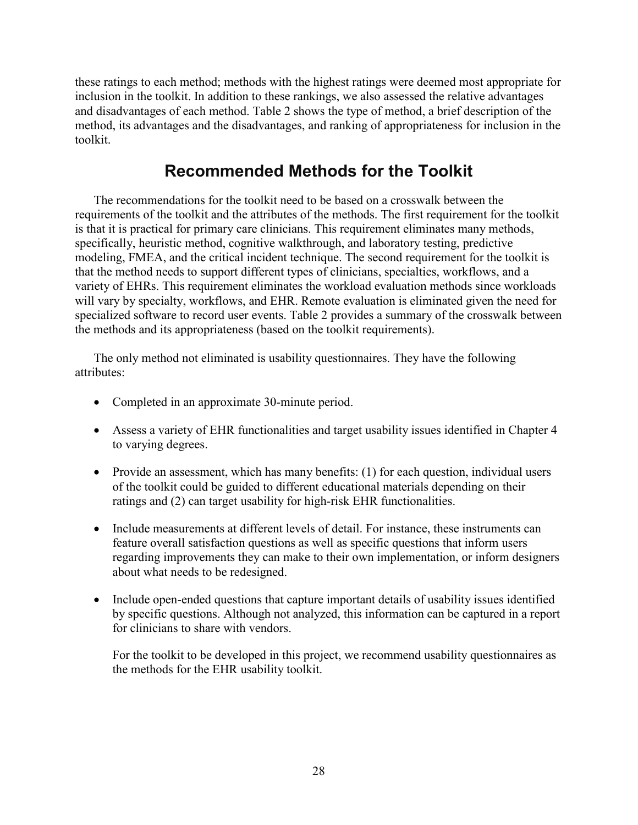these ratings to each method; methods with the highest ratings were deemed most appropriate for inclusion in the toolkit. In addition to these rankings, we also assessed the relative advantages and disadvantages of each method. Table 2 shows the type of method, a brief description of the method, its advantages and the disadvantages, and ranking of appropriateness for inclusion in the toolkit.

# **Recommended Methods for the Toolkit**

The recommendations for the toolkit need to be based on a crosswalk between the requirements of the toolkit and the attributes of the methods. The first requirement for the toolkit is that it is practical for primary care clinicians. This requirement eliminates many methods, specifically, heuristic method, cognitive walkthrough, and laboratory testing, predictive modeling, FMEA, and the critical incident technique. The second requirement for the toolkit is that the method needs to support different types of clinicians, specialties, workflows, and a variety of EHRs. This requirement eliminates the workload evaluation methods since workloads will vary by specialty, workflows, and EHR. Remote evaluation is eliminated given the need for specialized software to record user events. Table 2 provides a summary of the crosswalk between the methods and its appropriateness (based on the toolkit requirements).

The only method not eliminated is usability questionnaires. They have the following attributes:

- Completed in an approximate 30-minute period.
- Assess a variety of EHR functionalities and target usability issues identified in Chapter 4 to varying degrees.
- Provide an assessment, which has many benefits: (1) for each question, individual users of the toolkit could be guided to different educational materials depending on their ratings and (2) can target usability for high-risk EHR functionalities.
- Include measurements at different levels of detail. For instance, these instruments can feature overall satisfaction questions as well as specific questions that inform users regarding improvements they can make to their own implementation, or inform designers about what needs to be redesigned.
- Include open-ended questions that capture important details of usability issues identified by specific questions. Although not analyzed, this information can be captured in a report for clinicians to share with vendors.

For the toolkit to be developed in this project, we recommend usability questionnaires as the methods for the EHR usability toolkit.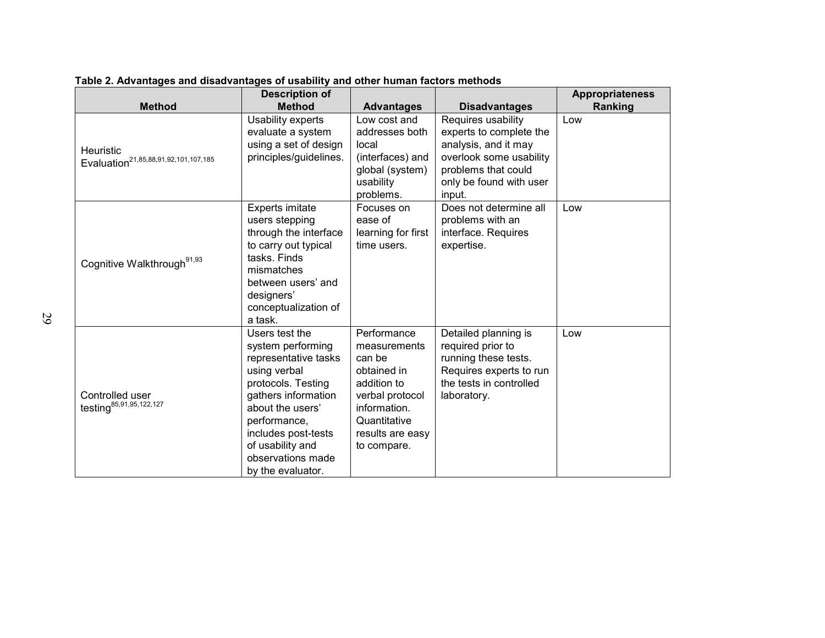|                                                                      | <b>Description of</b>                                                                                                                                                                                                                             |                                                                                                                                                           |                                                                                                                                                              | <b>Appropriateness</b> |
|----------------------------------------------------------------------|---------------------------------------------------------------------------------------------------------------------------------------------------------------------------------------------------------------------------------------------------|-----------------------------------------------------------------------------------------------------------------------------------------------------------|--------------------------------------------------------------------------------------------------------------------------------------------------------------|------------------------|
| <b>Method</b>                                                        | <b>Method</b>                                                                                                                                                                                                                                     | <b>Advantages</b>                                                                                                                                         | <b>Disadvantages</b>                                                                                                                                         | Ranking                |
| <b>Heuristic</b><br>Evaluation <sup>21,85,88,91,92,101,107,185</sup> | Usability experts<br>evaluate a system<br>using a set of design<br>principles/guidelines.                                                                                                                                                         | Low cost and<br>addresses both<br>local<br>(interfaces) and<br>global (system)<br>usability<br>problems.                                                  | Requires usability<br>experts to complete the<br>analysis, and it may<br>overlook some usability<br>problems that could<br>only be found with user<br>input. | Low                    |
| Cognitive Walkthrough <sup>91,93</sup>                               | Experts imitate<br>users stepping<br>through the interface<br>to carry out typical<br>tasks. Finds<br>mismatches<br>between users' and<br>designers'<br>conceptualization of<br>a task.                                                           | Focuses on<br>ease of<br>learning for first<br>time users.                                                                                                | Does not determine all<br>problems with an<br>interface. Requires<br>expertise.                                                                              | Low                    |
| Controlled user<br>testing <sup>85,91,95,122,127</sup>               | Users test the<br>system performing<br>representative tasks<br>using verbal<br>protocols. Testing<br>gathers information<br>about the users'<br>performance,<br>includes post-tests<br>of usability and<br>observations made<br>by the evaluator. | Performance<br>measurements<br>can be<br>obtained in<br>addition to<br>verbal protocol<br>information.<br>Quantitative<br>results are easy<br>to compare. | Detailed planning is<br>required prior to<br>running these tests.<br>Requires experts to run<br>the tests in controlled<br>laboratory.                       | Low                    |

**Table 2. Advantages and disadvantages of usability and other human factors methods**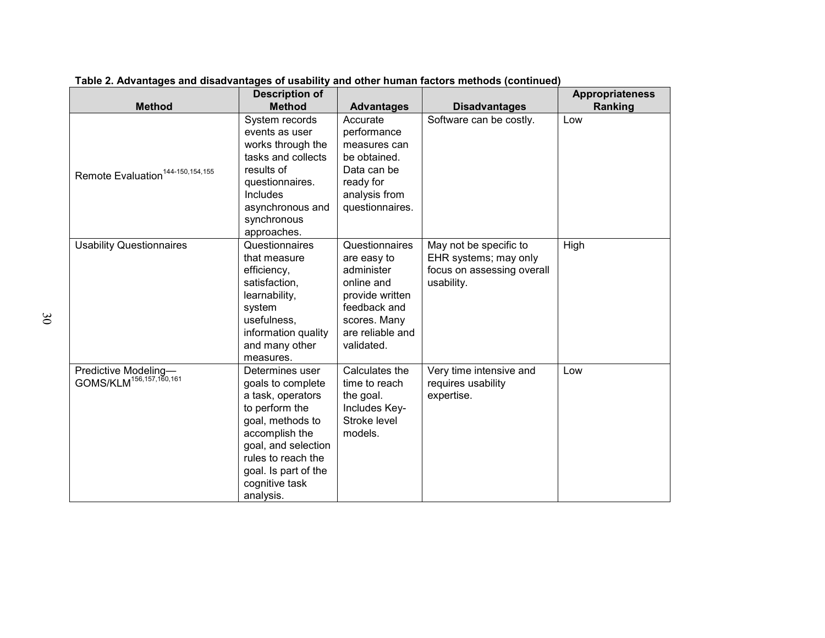|                                                             | <b>Description of</b>                                                                                                                                                                                                 |                                                                                                                                                |                                                                                             | <b>Appropriateness</b> |
|-------------------------------------------------------------|-----------------------------------------------------------------------------------------------------------------------------------------------------------------------------------------------------------------------|------------------------------------------------------------------------------------------------------------------------------------------------|---------------------------------------------------------------------------------------------|------------------------|
| <b>Method</b>                                               | <b>Method</b>                                                                                                                                                                                                         | <b>Advantages</b>                                                                                                                              | <b>Disadvantages</b>                                                                        | Ranking                |
| Remote Evaluation <sup>144-150, 154, 155</sup>              | System records<br>events as user<br>works through the<br>tasks and collects<br>results of<br>questionnaires.<br>Includes<br>asynchronous and<br>synchronous<br>approaches.                                            | Accurate<br>performance<br>measures can<br>be obtained.<br>Data can be<br>ready for<br>analysis from<br>questionnaires.                        | Software can be costly.                                                                     | Low                    |
| <b>Usability Questionnaires</b>                             | Questionnaires<br>that measure<br>efficiency,<br>satisfaction,<br>learnability,<br>system<br>usefulness,<br>information quality<br>and many other<br>measures.                                                        | Questionnaires<br>are easy to<br>administer<br>online and<br>provide written<br>feedback and<br>scores. Many<br>are reliable and<br>validated. | May not be specific to<br>EHR systems; may only<br>focus on assessing overall<br>usability. | High                   |
| Predictive Modeling-<br>GOMS/KLM <sup>156,157,160,161</sup> | Determines user<br>goals to complete<br>a task, operators<br>to perform the<br>goal, methods to<br>accomplish the<br>goal, and selection<br>rules to reach the<br>goal. Is part of the<br>cognitive task<br>analysis. | Calculates the<br>time to reach<br>the goal.<br>Includes Key-<br>Stroke level<br>models.                                                       | Very time intensive and<br>requires usability<br>expertise.                                 | Low                    |

**Table 2. Advantages and disadvantages of usability and other human factors methods (continued)**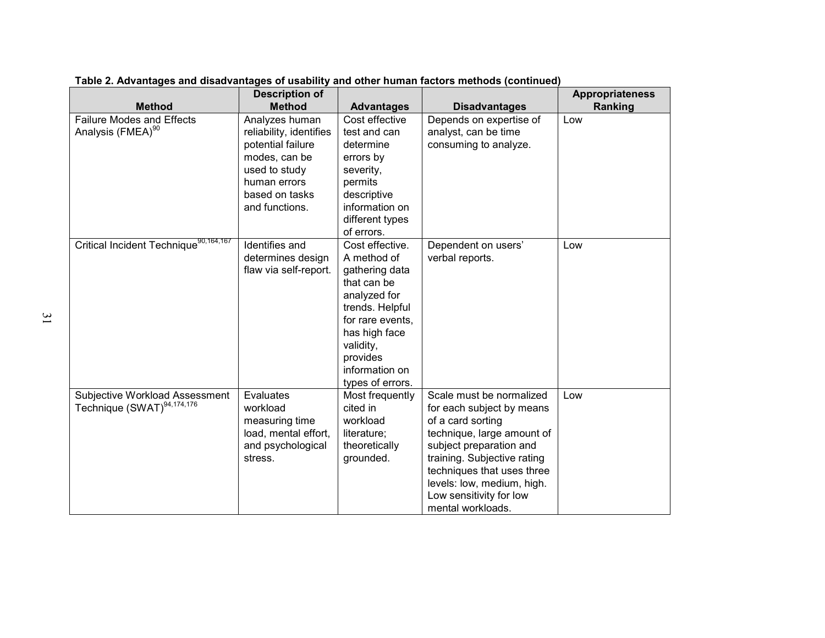| <b>Method</b>                                                            | <b>Description of</b><br><b>Method</b>                                                                                                               | <b>Advantages</b>                                                                                                                                                                                      | <b>Disadvantages</b>                                                                                                                                                                                                                                                           | <b>Appropriateness</b><br>Ranking |
|--------------------------------------------------------------------------|------------------------------------------------------------------------------------------------------------------------------------------------------|--------------------------------------------------------------------------------------------------------------------------------------------------------------------------------------------------------|--------------------------------------------------------------------------------------------------------------------------------------------------------------------------------------------------------------------------------------------------------------------------------|-----------------------------------|
| <b>Failure Modes and Effects</b><br>Analysis (FMEA) <sup>90</sup>        | Analyzes human<br>reliability, identifies<br>potential failure<br>modes, can be<br>used to study<br>human errors<br>based on tasks<br>and functions. | Cost effective<br>test and can<br>determine<br>errors by<br>severity,<br>permits<br>descriptive<br>information on<br>different types<br>of errors.                                                     | Depends on expertise of<br>analyst, can be time<br>consuming to analyze.                                                                                                                                                                                                       | Low                               |
| Critical Incident Technique <sup>90,164,167</sup>                        | Identifies and<br>determines design<br>flaw via self-report.                                                                                         | Cost effective.<br>A method of<br>gathering data<br>that can be<br>analyzed for<br>trends. Helpful<br>for rare events,<br>has high face<br>validity,<br>provides<br>information on<br>types of errors. | Dependent on users'<br>verbal reports.                                                                                                                                                                                                                                         | Low                               |
| Subjective Workload Assessment<br>Technique (SWAT) <sup>94,174,176</sup> | Evaluates<br>workload<br>measuring time<br>load, mental effort,<br>and psychological<br>stress.                                                      | Most frequently<br>cited in<br>workload<br>literature;<br>theoretically<br>grounded.                                                                                                                   | Scale must be normalized<br>for each subject by means<br>of a card sorting<br>technique, large amount of<br>subject preparation and<br>training. Subjective rating<br>techniques that uses three<br>levels: low, medium, high.<br>Low sensitivity for low<br>mental workloads. | Low                               |

**Table 2. Advantages and disadvantages of usability and other human factors methods (continued)**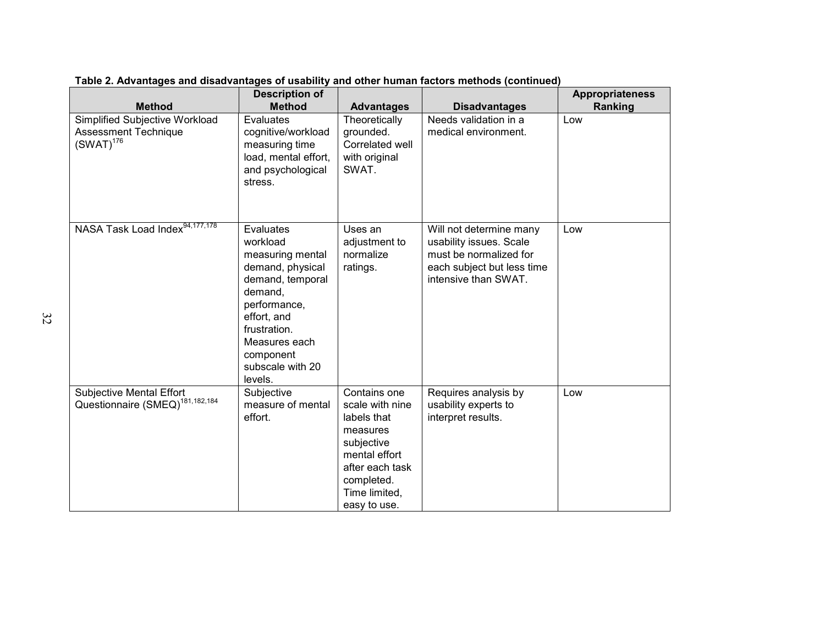| <b>Method</b>                                                                   | <b>Description of</b><br><b>Method</b>                                                                                                                                                                   | <b>Advantages</b>                                                                                                                                           | <b>Disadvantages</b>                                                                                                               | <b>Appropriateness</b><br>Ranking |
|---------------------------------------------------------------------------------|----------------------------------------------------------------------------------------------------------------------------------------------------------------------------------------------------------|-------------------------------------------------------------------------------------------------------------------------------------------------------------|------------------------------------------------------------------------------------------------------------------------------------|-----------------------------------|
| Simplified Subjective Workload<br><b>Assessment Technique</b><br>$(SWAT)^{176}$ | Evaluates<br>cognitive/workload<br>measuring time<br>load, mental effort,<br>and psychological<br>stress.                                                                                                | Theoretically<br>grounded.<br>Correlated well<br>with original<br>SWAT.                                                                                     | Needs validation in a<br>medical environment.                                                                                      | Low                               |
| NASA Task Load Index <sup>94,177,178</sup>                                      | Evaluates<br>workload<br>measuring mental<br>demand, physical<br>demand, temporal<br>demand,<br>performance,<br>effort, and<br>frustration.<br>Measures each<br>component<br>subscale with 20<br>levels. | Uses an<br>adjustment to<br>normalize<br>ratings.                                                                                                           | Will not determine many<br>usability issues. Scale<br>must be normalized for<br>each subject but less time<br>intensive than SWAT. | Low                               |
| Subjective Mental Effort<br>Questionnaire (SMEQ) <sup>181,182,184</sup>         | Subjective<br>measure of mental<br>effort.                                                                                                                                                               | Contains one<br>scale with nine<br>labels that<br>measures<br>subjective<br>mental effort<br>after each task<br>completed.<br>Time limited,<br>easy to use. | Requires analysis by<br>usability experts to<br>interpret results.                                                                 | Low                               |

**Table 2. Advantages and disadvantages of usability and other human factors methods (continued)**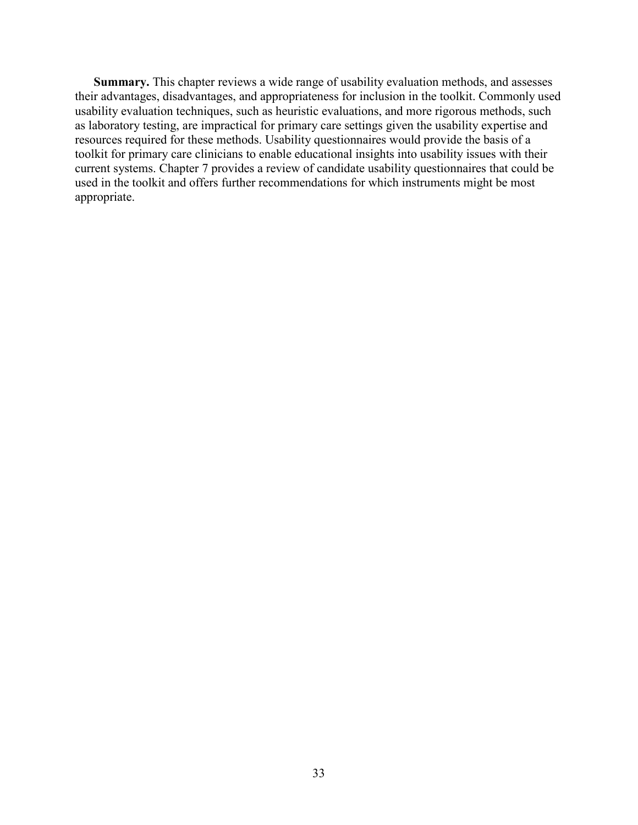**Summary.** This chapter reviews a wide range of usability evaluation methods, and assesses their advantages, disadvantages, and appropriateness for inclusion in the toolkit. Commonly used usability evaluation techniques, such as heuristic evaluations, and more rigorous methods, such as laboratory testing, are impractical for primary care settings given the usability expertise and resources required for these methods. Usability questionnaires would provide the basis of a toolkit for primary care clinicians to enable educational insights into usability issues with their current systems. Chapter 7 provides a review of candidate usability questionnaires that could be used in the toolkit and offers further recommendations for which instruments might be most appropriate.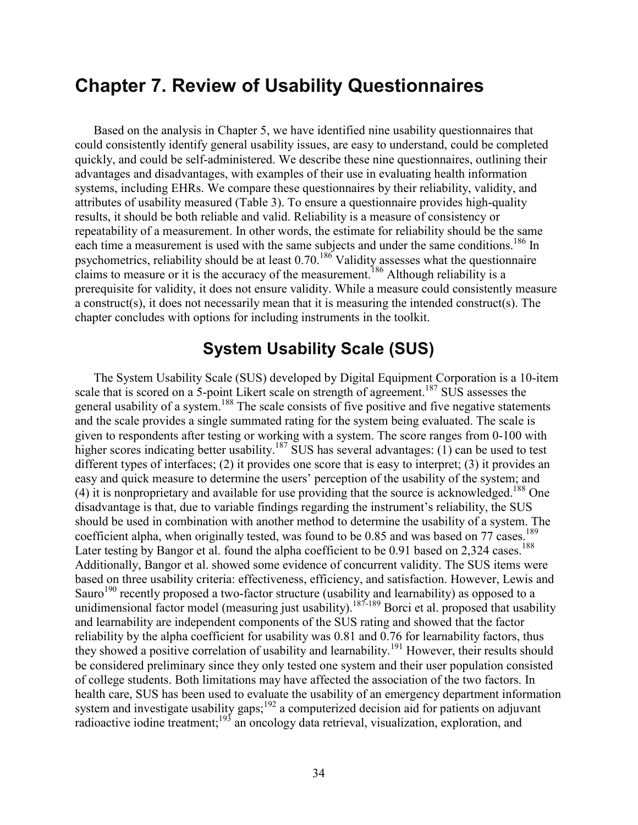# **Chapter 7. Review of Usability Questionnaires**

Based on the analysis in Chapter 5, we have identified nine usability questionnaires that could consistently identify general usability issues, are easy to understand, could be completed quickly, and could be self-administered. We describe these nine questionnaires, outlining their advantages and disadvantages, with examples of their use in evaluating health information systems, including EHRs. We compare these questionnaires by their reliability, validity, and attributes of usability measured (Table 3). To ensure a questionnaire provides high-quality results, it should be both reliable and valid. Reliability is a measure of consistency or repeatability of a measurement. In other words, the estimate for reliability should be the same each time a measurement is used with the same subjects and under the same conditions.<sup>186</sup> In psychometrics, reliability should be at least  $0.70$ .<sup>186</sup> Validity assesses what the questionnaire claims to measure or it is the accuracy of the measurement.<sup>186</sup> Although reliability is a prerequisite for validity, it does not ensure validity. While a measure could consistently measure a construct(s), it does not necessarily mean that it is measuring the intended construct(s). The chapter concludes with options for including instruments in the toolkit.

## **System Usability Scale (SUS)**

The System Usability Scale (SUS) developed by Digital Equipment Corporation is a 10-item scale that is scored on a 5-point Likert scale on strength of agreement.<sup>187</sup> SUS assesses the general usability of a system.<sup>188</sup> The scale consists of five positive and five negative statements and the scale provides a single summated rating for the system being evaluated. The scale is given to respondents after testing or working with a system. The score ranges from 0-100 with higher scores indicating better usability.<sup>187</sup> SUS has several advantages: (1) can be used to test different types of interfaces; (2) it provides one score that is easy to interpret; (3) it provides an easy and quick measure to determine the users' perception of the usability of the system; and  $(4)$  it is nonproprietary and available for use providing that the source is acknowledged.<sup>188</sup> One disadvantage is that, due to variable findings regarding the instrument's reliability, the SUS should be used in combination with another method to determine the usability of a system. The coefficient alpha, when originally tested, was found to be 0.85 and was based on 77 cases.<sup>189</sup> Later testing by Bangor et al. found the alpha coefficient to be 0.91 based on 2,324 cases.<sup>188</sup> Additionally, Bangor et al. showed some evidence of concurrent validity. The SUS items were based on three usability criteria: effectiveness, efficiency, and satisfaction. However, Lewis and Sauro<sup>190</sup> recently proposed a two-factor structure (usability and learnability) as opposed to a unidimensional factor model (measuring just usability).<sup>187-189</sup> Borci et al. proposed that usability and learnability are independent components of the SUS rating and showed that the factor reliability by the alpha coefficient for usability was 0.81 and 0.76 for learnability factors, thus they showed a positive correlation of usability and learnability.<sup>191</sup> However, their results should be considered preliminary since they only tested one system and their user population consisted of college students. Both limitations may have affected the association of the two factors. In health care, SUS has been used to evaluate the usability of an emergency department information system and investigate usability gaps;<sup>192</sup> a computerized decision aid for patients on adjuvant radioactive iodine treatment;<sup>193</sup> an oncology data retrieval, visualization, exploration, and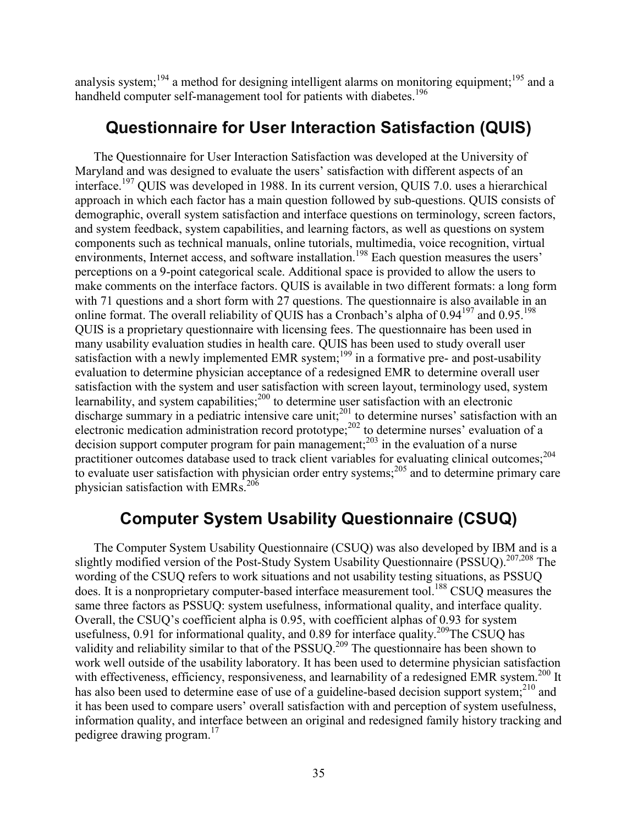analysis system;<sup>194</sup> a method for designing intelligent alarms on monitoring equipment;<sup>195</sup> and a handheld computer self-management tool for patients with diabetes.<sup>196</sup>

# **Questionnaire for User Interaction Satisfaction (QUIS)**

The Questionnaire for User Interaction Satisfaction was developed at the University of Maryland and was designed to evaluate the users' satisfaction with different aspects of an interface.197 QUIS was developed in 1988. In its current version, QUIS 7.0. uses a hierarchical approach in which each factor has a main question followed by sub-questions. QUIS consists of demographic, overall system satisfaction and interface questions on terminology, screen factors, and system feedback, system capabilities, and learning factors, as well as questions on system components such as technical manuals, online tutorials, multimedia, voice recognition, virtual environments, Internet access, and software installation.<sup>198</sup> Each question measures the users' perceptions on a 9-point categorical scale. Additional space is provided to allow the users to make comments on the interface factors. QUIS is available in two different formats: a long form with 71 questions and a short form with 27 questions. The questionnaire is also available in an online format. The overall reliability of QUIS has a Cronbach's alpha of  $0.94^{197}$  and  $0.95^{198}$ QUIS is a proprietary questionnaire with licensing fees. The questionnaire has been used in many usability evaluation studies in health care. QUIS has been used to study overall user satisfaction with a newly implemented EMR system;<sup>199</sup> in a formative pre- and post-usability evaluation to determine physician acceptance of a redesigned EMR to determine overall user satisfaction with the system and user satisfaction with screen layout, terminology used, system learnability, and system capabilities;<sup>200</sup> to determine user satisfaction with an electronic discharge summary in a pediatric intensive care unit;<sup>201</sup> to determine nurses' satisfaction with an electronic medication administration record prototype;<sup>202</sup> to determine nurses' evaluation of a decision support computer program for pain management;<sup>203</sup> in the evaluation of a nurse practitioner outcomes database used to track client variables for evaluating clinical outcomes;<sup>204</sup> to evaluate user satisfaction with physician order entry systems; $^{205}$  and to determine primary care physician satisfaction with EMRs. $^{206}$ 

# **Computer System Usability Questionnaire (CSUQ)**

The Computer System Usability Questionnaire (CSUQ) was also developed by IBM and is a slightly modified version of the Post-Study System Usability Questionnaire (PSSUQ).<sup>207,208</sup> The wording of the CSUQ refers to work situations and not usability testing situations, as PSSUQ does. It is a nonproprietary computer-based interface measurement tool.<sup>188</sup> CSUO measures the same three factors as PSSUQ: system usefulness, informational quality, and interface quality. Overall, the CSUQ's coefficient alpha is 0.95, with coefficient alphas of 0.93 for system usefulness,  $0.91$  for informational quality, and  $0.89$  for interface quality.<sup>209</sup>The CSUQ has validity and reliability similar to that of the PSSUQ.<sup>209</sup> The questionnaire has been shown to work well outside of the usability laboratory. It has been used to determine physician satisfaction with effectiveness, efficiency, responsiveness, and learnability of a redesigned EMR system.<sup>200</sup> It has also been used to determine ease of use of a guideline-based decision support system;<sup>210</sup> and it has been used to compare users' overall satisfaction with and perception of system usefulness, information quality, and interface between an original and redesigned family history tracking and pedigree drawing program.17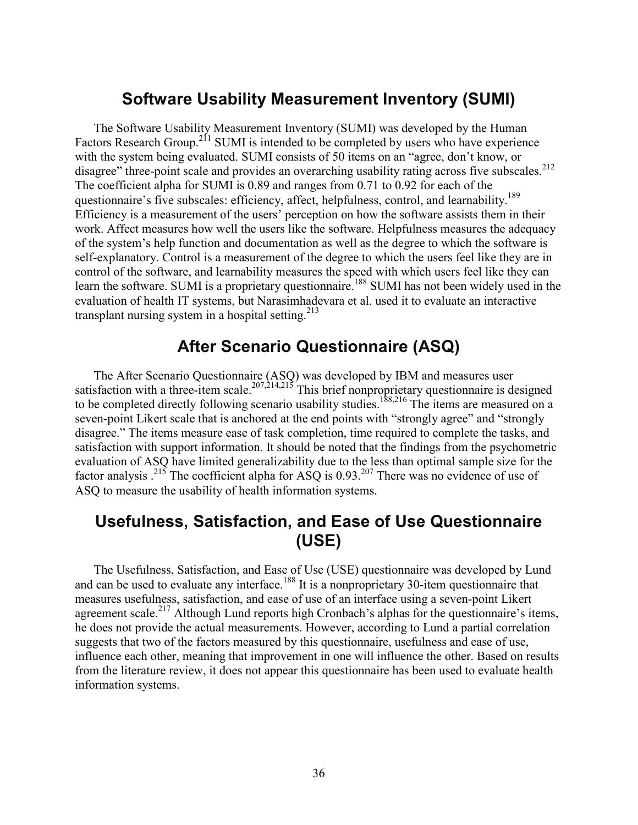## **Software Usability Measurement Inventory (SUMI)**

The Software Usability Measurement Inventory (SUMI) was developed by the Human Factors Research Group.<sup>211</sup> SUMI is intended to be completed by users who have experience with the system being evaluated. SUMI consists of 50 items on an "agree, don't know, or disagree" three-point scale and provides an overarching usability rating across five subscales.<sup>212</sup> The coefficient alpha for SUMI is 0.89 and ranges from 0.71 to 0.92 for each of the questionnaire's five subscales: efficiency, affect, helpfulness, control, and learnability.<sup>189</sup> Efficiency is a measurement of the users' perception on how the software assists them in their work. Affect measures how well the users like the software. Helpfulness measures the adequacy of the system's help function and documentation as well as the degree to which the software is self-explanatory. Control is a measurement of the degree to which the users feel like they are in control of the software, and learnability measures the speed with which users feel like they can learn the software. SUMI is a proprietary questionnaire.<sup>188</sup> SUMI has not been widely used in the evaluation of health IT systems, but Narasimhadevara et al. used it to evaluate an interactive transplant nursing system in a hospital setting. $213$ 

## **After Scenario Questionnaire (ASQ)**

The After Scenario Questionnaire (ASQ) was developed by IBM and measures user satisfaction with a three-item scale.<sup>207,214,215</sup> This brief nonproprietary questionnaire is designed to be completed directly following scenario usability studies.<sup>188,216</sup> The items are measured on a seven-point Likert scale that is anchored at the end points with "strongly agree" and "strongly disagree." The items measure ease of task completion, time required to complete the tasks, and satisfaction with support information. It should be noted that the findings from the psychometric evaluation of ASQ have limited generalizability due to the less than optimal sample size for the factor analysis  $^{215}$ . The coefficient alpha for ASQ is 0.93.<sup>207</sup> There was no evidence of use of ASQ to measure the usability of health information systems.

## **Usefulness, Satisfaction, and Ease of Use Questionnaire (USE)**

The Usefulness, Satisfaction, and Ease of Use (USE) questionnaire was developed by Lund and can be used to evaluate any interface.<sup>188</sup> It is a nonproprietary 30-item questionnaire that measures usefulness, satisfaction, and ease of use of an interface using a seven-point Likert agreement scale.<sup>217</sup> Although Lund reports high Cronbach's alphas for the questionnaire's items, he does not provide the actual measurements. However, according to Lund a partial correlation suggests that two of the factors measured by this questionnaire, usefulness and ease of use, influence each other, meaning that improvement in one will influence the other. Based on results from the literature review, it does not appear this questionnaire has been used to evaluate health information systems.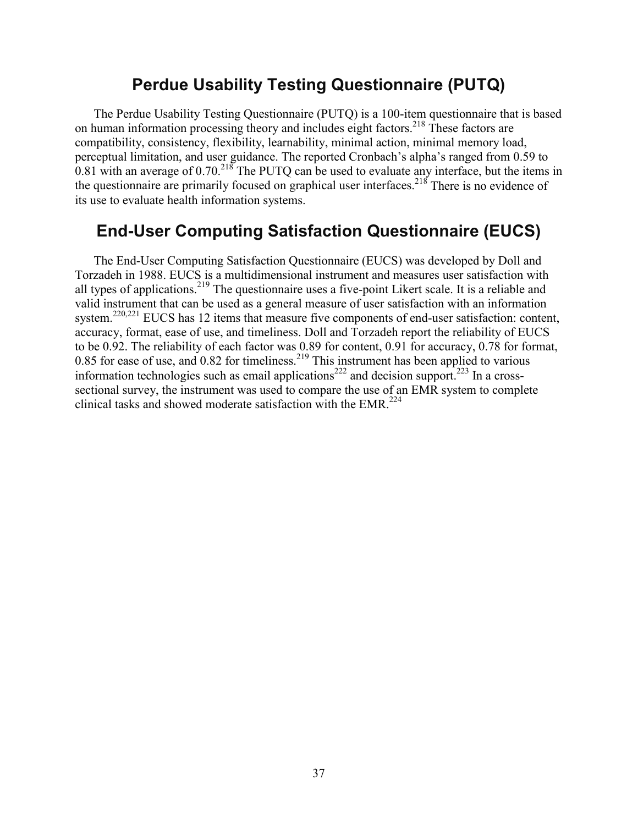## **Perdue Usability Testing Questionnaire (PUTQ)**

The Perdue Usability Testing Questionnaire (PUTQ) is a 100-item questionnaire that is based on human information processing theory and includes eight factors.218 These factors are compatibility, consistency, flexibility, learnability, minimal action, minimal memory load, perceptual limitation, and user guidance. The reported Cronbach's alpha's ranged from 0.59 to 0.81 with an average of  $0.70^{218}$  The PUTQ can be used to evaluate any interface, but the items in the questionnaire are primarily focused on graphical user interfaces.<sup>218</sup> There is no evidence of its use to evaluate health information systems.

## **End-User Computing Satisfaction Questionnaire (EUCS)**

The End-User Computing Satisfaction Questionnaire (EUCS) was developed by Doll and Torzadeh in 1988. EUCS is a multidimensional instrument and measures user satisfaction with all types of applications.<sup>219</sup> The questionnaire uses a five-point Likert scale. It is a reliable and valid instrument that can be used as a general measure of user satisfaction with an information system.<sup>220,221</sup> EUCS has 12 items that measure five components of end-user satisfaction: content, accuracy, format, ease of use, and timeliness. Doll and Torzadeh report the reliability of EUCS to be 0.92. The reliability of each factor was 0.89 for content, 0.91 for accuracy, 0.78 for format, 0.85 for ease of use, and 0.82 for timeliness.<sup>219</sup> This instrument has been applied to various information technologies such as email applications<sup>222</sup> and decision support.<sup>223</sup> In a crosssectional survey, the instrument was used to compare the use of an EMR system to complete clinical tasks and showed moderate satisfaction with the EMR.<sup>224</sup>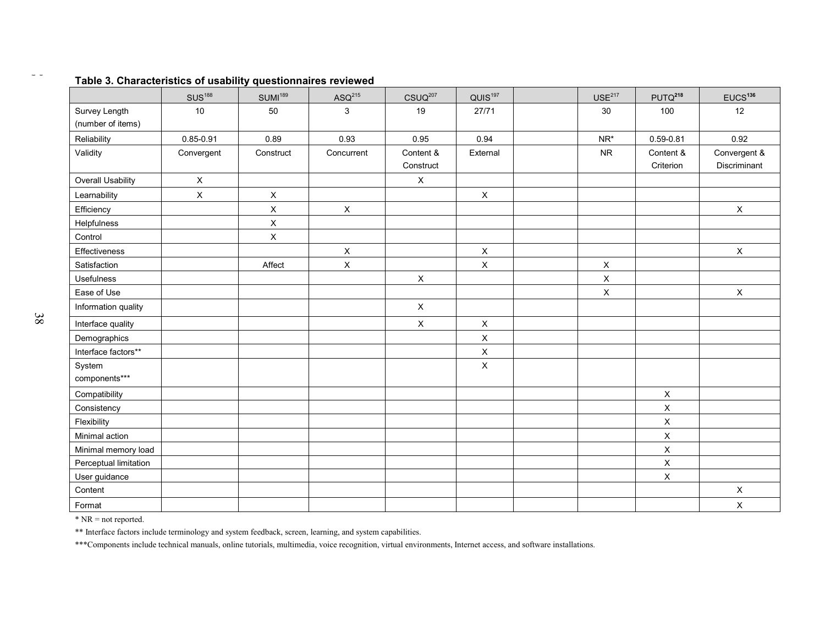|                                    | SUS <sup>188</sup> | SUMI <sup>189</sup> | $ASQ^{215}$  | $CSUQ^{207}$           | QUIS <sup>197</sup> | USE <sup>217</sup> | PUTQ <sup>218</sup>    | EUCS <sup>136</sup>          |
|------------------------------------|--------------------|---------------------|--------------|------------------------|---------------------|--------------------|------------------------|------------------------------|
| Survey Length<br>(number of items) | $10$               | 50                  | $\mathbf{3}$ | 19                     | 27/71               | 30                 | 100                    | 12                           |
| Reliability                        | 0.85-0.91          | 0.89                | 0.93         | 0.95                   | 0.94                | NR*                | $0.59 - 0.81$          | 0.92                         |
| Validity                           | Convergent         | Construct           | Concurrent   | Content &<br>Construct | External            | <b>NR</b>          | Content &<br>Criterion | Convergent &<br>Discriminant |
| Overall Usability                  | $\mathsf{X}$       |                     |              | $\mathsf X$            |                     |                    |                        |                              |
| Learnability                       | $\mathsf X$        | $\mathsf X$         |              |                        | $\mathsf X$         |                    |                        |                              |
| Efficiency                         |                    | $\mathsf{X}$        | $\mathsf X$  |                        |                     |                    |                        | $\mathsf X$                  |
| Helpfulness                        |                    | $\mathsf X$         |              |                        |                     |                    |                        |                              |
| Control                            |                    | $\times$            |              |                        |                     |                    |                        |                              |
| Effectiveness                      |                    |                     | $\mathsf X$  |                        | $\mathsf X$         |                    |                        | $\mathsf X$                  |
| Satisfaction                       |                    | Affect              | $\mathsf X$  |                        | $\mathsf X$         | $\mathsf X$        |                        |                              |
| Usefulness                         |                    |                     |              | $\mathsf X$            |                     | $\mathsf X$        |                        |                              |
| Ease of Use                        |                    |                     |              |                        |                     | $\mathsf X$        |                        | $\mathsf X$                  |
| Information quality                |                    |                     |              | $\mathsf{X}$           |                     |                    |                        |                              |
| Interface quality                  |                    |                     |              | $\mathsf X$            | $\mathsf X$         |                    |                        |                              |
| Demographics                       |                    |                     |              |                        | $\pmb{\times}$      |                    |                        |                              |
| Interface factors**                |                    |                     |              |                        | $\pmb{\times}$      |                    |                        |                              |
| System<br>components***            |                    |                     |              |                        | $\pmb{\times}$      |                    |                        |                              |
| Compatibility                      |                    |                     |              |                        |                     |                    | $\mathsf X$            |                              |
| Consistency                        |                    |                     |              |                        |                     |                    | $\mathsf X$            |                              |
| Flexibility                        |                    |                     |              |                        |                     |                    | $\mathsf X$            |                              |
| Minimal action                     |                    |                     |              |                        |                     |                    | $\mathsf X$            |                              |
| Minimal memory load                |                    |                     |              |                        |                     |                    | $\mathsf X$            |                              |
| Perceptual limitation              |                    |                     |              |                        |                     |                    | $\mathsf X$            |                              |
| User guidance                      |                    |                     |              |                        |                     |                    | $\mathsf X$            |                              |
| Content                            |                    |                     |              |                        |                     |                    |                        | $\mathsf X$                  |
| Format                             |                    |                     |              |                        |                     |                    |                        | $\mathsf X$                  |

#### **Table 3. Characteristics of usability questionnaires reviewed**

\* NR = not reported.

\*\* Interface factors include terminology and system feedback, screen, learning, and system capabilities.

\*\*\*Components include technical manuals, online tutorials, multimedia, voice recognition, virtual environments, Internet access, and software installations.

 $\sim$   $\sim$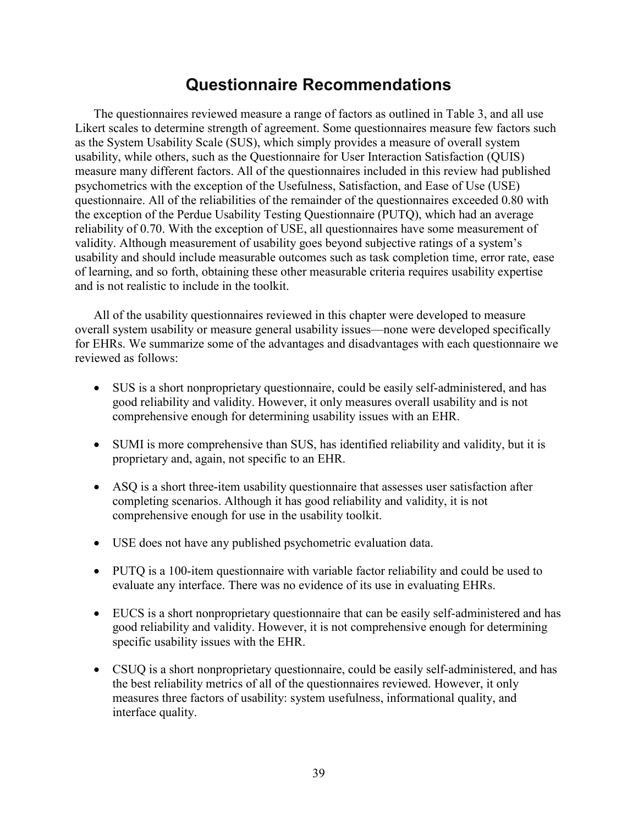# **Questionnaire Recommendations**

The questionnaires reviewed measure a range of factors as outlined in Table 3, and all use Likert scales to determine strength of agreement. Some questionnaires measure few factors such as the System Usability Scale (SUS), which simply provides a measure of overall system usability, while others, such as the Questionnaire for User Interaction Satisfaction (QUIS) measure many different factors. All of the questionnaires included in this review had published psychometrics with the exception of the Usefulness, Satisfaction, and Ease of Use (USE) questionnaire. All of the reliabilities of the remainder of the questionnaires exceeded 0.80 with the exception of the Perdue Usability Testing Questionnaire (PUTQ), which had an average reliability of 0.70. With the exception of USE, all questionnaires have some measurement of validity. Although measurement of usability goes beyond subjective ratings of a system's usability and should include measurable outcomes such as task completion time, error rate, ease of learning, and so forth, obtaining these other measurable criteria requires usability expertise and is not realistic to include in the toolkit.

All of the usability questionnaires reviewed in this chapter were developed to measure overall system usability or measure general usability issues—none were developed specifically for EHRs. We summarize some of the advantages and disadvantages with each questionnaire we reviewed as follows:

- SUS is a short nonproprietary questionnaire, could be easily self-administered, and has good reliability and validity. However, it only measures overall usability and is not comprehensive enough for determining usability issues with an EHR.
- SUMI is more comprehensive than SUS, has identified reliability and validity, but it is proprietary and, again, not specific to an EHR.
- ASQ is a short three-item usability questionnaire that assesses user satisfaction after completing scenarios. Although it has good reliability and validity, it is not comprehensive enough for use in the usability toolkit.
- USE does not have any published psychometric evaluation data.
- PUTQ is a 100-item questionnaire with variable factor reliability and could be used to evaluate any interface. There was no evidence of its use in evaluating EHRs.
- EUCS is a short nonproprietary questionnaire that can be easily self-administered and has good reliability and validity. However, it is not comprehensive enough for determining specific usability issues with the EHR.
- CSUQ is a short nonproprietary questionnaire, could be easily self-administered, and has the best reliability metrics of all of the questionnaires reviewed. However, it only measures three factors of usability: system usefulness, informational quality, and interface quality.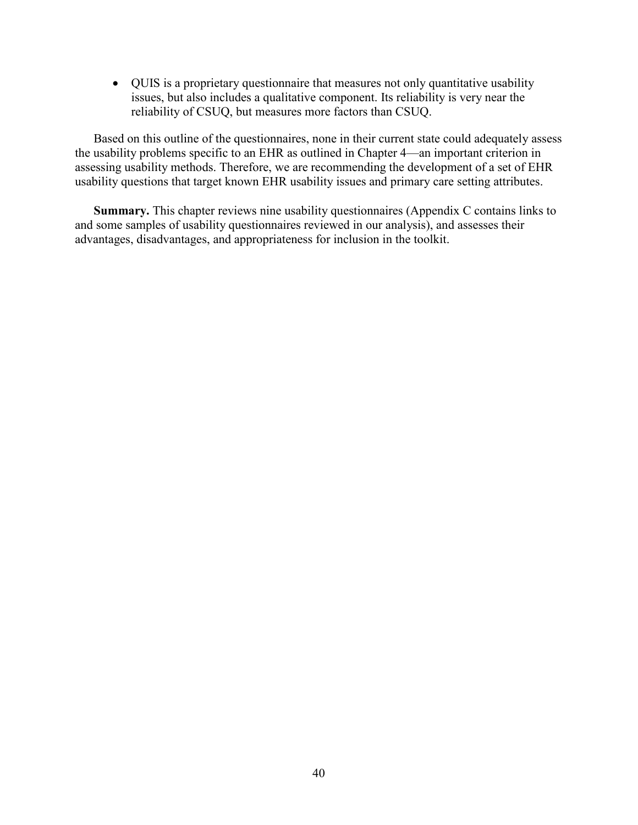• QUIS is a proprietary questionnaire that measures not only quantitative usability issues, but also includes a qualitative component. Its reliability is very near the reliability of CSUQ, but measures more factors than CSUQ.

Based on this outline of the questionnaires, none in their current state could adequately assess the usability problems specific to an EHR as outlined in Chapter 4—an important criterion in assessing usability methods. Therefore, we are recommending the development of a set of EHR usability questions that target known EHR usability issues and primary care setting attributes.

**Summary.** This chapter reviews nine usability questionnaires (Appendix C contains links to and some samples of usability questionnaires reviewed in our analysis), and assesses their advantages, disadvantages, and appropriateness for inclusion in the toolkit.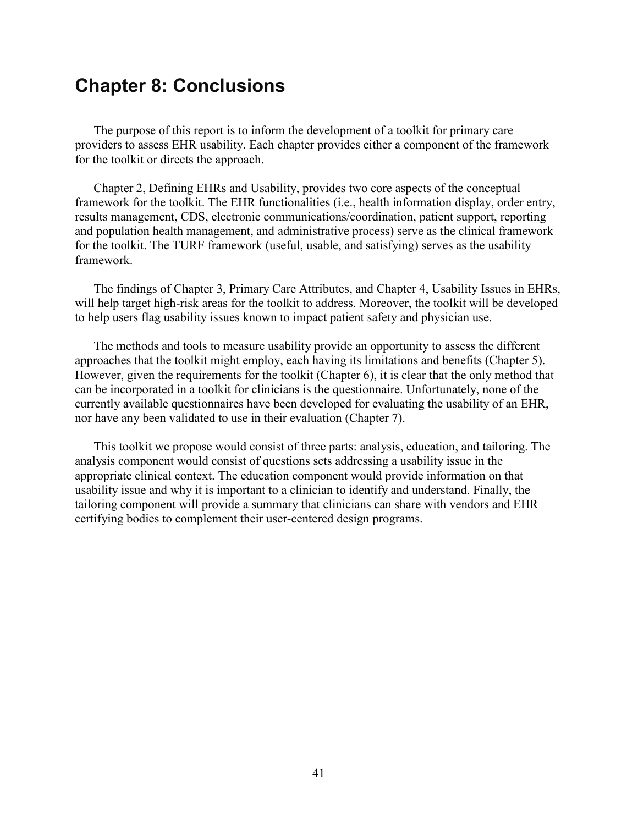# **Chapter 8: Conclusions**

The purpose of this report is to inform the development of a toolkit for primary care providers to assess EHR usability. Each chapter provides either a component of the framework for the toolkit or directs the approach.

Chapter 2, Defining EHRs and Usability, provides two core aspects of the conceptual framework for the toolkit. The EHR functionalities (i.e., health information display, order entry, results management, CDS, electronic communications/coordination, patient support, reporting and population health management, and administrative process) serve as the clinical framework for the toolkit. The TURF framework (useful, usable, and satisfying) serves as the usability framework.

The findings of Chapter 3, Primary Care Attributes, and Chapter 4, Usability Issues in EHRs, will help target high-risk areas for the toolkit to address. Moreover, the toolkit will be developed to help users flag usability issues known to impact patient safety and physician use.

The methods and tools to measure usability provide an opportunity to assess the different approaches that the toolkit might employ, each having its limitations and benefits (Chapter 5). However, given the requirements for the toolkit (Chapter 6), it is clear that the only method that can be incorporated in a toolkit for clinicians is the questionnaire. Unfortunately, none of the currently available questionnaires have been developed for evaluating the usability of an EHR, nor have any been validated to use in their evaluation (Chapter 7).

This toolkit we propose would consist of three parts: analysis, education, and tailoring. The analysis component would consist of questions sets addressing a usability issue in the appropriate clinical context. The education component would provide information on that usability issue and why it is important to a clinician to identify and understand. Finally, the tailoring component will provide a summary that clinicians can share with vendors and EHR certifying bodies to complement their user-centered design programs.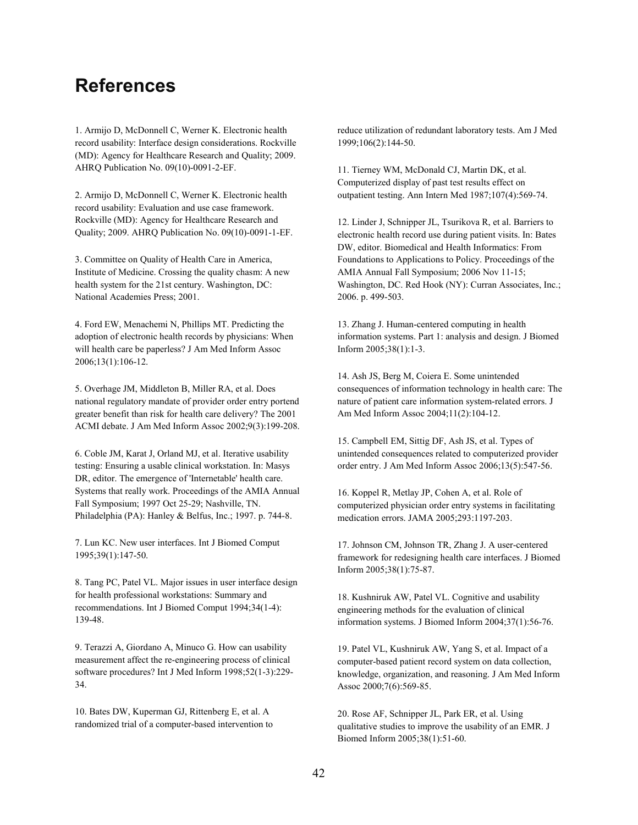# **References**

1. Armijo D, McDonnell C, Werner K. Electronic health record usability: Interface design considerations. Rockville (MD): Agency for Healthcare Research and Quality; 2009. AHRQ Publication No. 09(10)-0091-2-EF.

2. Armijo D, McDonnell C, Werner K. Electronic health record usability: Evaluation and use case framework. Rockville (MD): Agency for Healthcare Research and Quality; 2009. AHRQ Publication No. 09(10)-0091-1-EF.

3. Committee on Quality of Health Care in America, Institute of Medicine. Crossing the quality chasm: A new health system for the 21st century. Washington, DC: National Academies Press; 2001.

4. Ford EW, Menachemi N, Phillips MT. Predicting the adoption of electronic health records by physicians: When will health care be paperless? J Am Med Inform Assoc 2006;13(1):106-12.

5. Overhage JM, Middleton B, Miller RA, et al. Does national regulatory mandate of provider order entry portend greater benefit than risk for health care delivery? The 2001 ACMI debate. J Am Med Inform Assoc 2002;9(3):199-208.

6. Coble JM, Karat J, Orland MJ, et al. Iterative usability testing: Ensuring a usable clinical workstation. In: Masys DR, editor. The emergence of 'Internetable' health care. Systems that really work. Proceedings of the AMIA Annual Fall Symposium; 1997 Oct 25-29; Nashville, TN. Philadelphia (PA): Hanley & Belfus, Inc.; 1997. p. 744-8.

7. Lun KC. New user interfaces. Int J Biomed Comput 1995;39(1):147-50.

8. Tang PC, Patel VL. Major issues in user interface design for health professional workstations: Summary and recommendations. Int J Biomed Comput 1994;34(1-4): 139-48.

9. Terazzi A, Giordano A, Minuco G. How can usability measurement affect the re-engineering process of clinical software procedures? Int J Med Inform 1998;52(1-3):229- 34.

10. Bates DW, Kuperman GJ, Rittenberg E, et al. A randomized trial of a computer-based intervention to reduce utilization of redundant laboratory tests. Am J Med 1999;106(2):144-50.

11. Tierney WM, McDonald CJ, Martin DK, et al. Computerized display of past test results effect on outpatient testing. Ann Intern Med 1987;107(4):569-74.

12. Linder J, Schnipper JL, Tsurikova R, et al. Barriers to electronic health record use during patient visits. In: Bates DW, editor. Biomedical and Health Informatics: From Foundations to Applications to Policy. Proceedings of the AMIA Annual Fall Symposium; 2006 Nov 11-15; Washington, DC. Red Hook (NY): Curran Associates, Inc.; 2006. p. 499-503.

13. Zhang J. Human-centered computing in health information systems. Part 1: analysis and design. J Biomed Inform 2005;38(1):1-3.

14. Ash JS, Berg M, Coiera E. Some unintended consequences of information technology in health care: The nature of patient care information system-related errors. J Am Med Inform Assoc 2004;11(2):104-12.

15. Campbell EM, Sittig DF, Ash JS, et al. Types of unintended consequences related to computerized provider order entry. J Am Med Inform Assoc 2006;13(5):547-56.

16. Koppel R, Metlay JP, Cohen A, et al. Role of computerized physician order entry systems in facilitating medication errors. JAMA 2005;293:1197-203.

17. Johnson CM, Johnson TR, Zhang J. A user-centered framework for redesigning health care interfaces. J Biomed Inform 2005;38(1):75-87.

18. Kushniruk AW, Patel VL. Cognitive and usability engineering methods for the evaluation of clinical information systems. J Biomed Inform 2004;37(1):56-76.

19. Patel VL, Kushniruk AW, Yang S, et al. Impact of a computer-based patient record system on data collection, knowledge, organization, and reasoning. J Am Med Inform Assoc 2000;7(6):569-85.

20. Rose AF, Schnipper JL, Park ER, et al. Using qualitative studies to improve the usability of an EMR. J Biomed Inform 2005;38(1):51-60.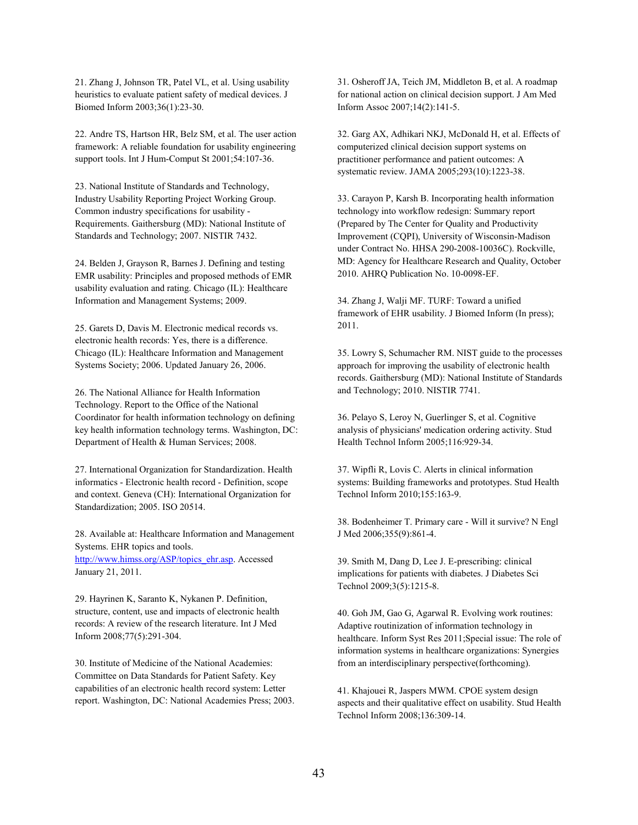21. Zhang J, Johnson TR, Patel VL, et al. Using usability heuristics to evaluate patient safety of medical devices. J Biomed Inform 2003;36(1):23-30.

22. Andre TS, Hartson HR, Belz SM, et al. The user action framework: A reliable foundation for usability engineering support tools. Int J Hum-Comput St 2001;54:107-36.

23. National Institute of Standards and Technology, Industry Usability Reporting Project Working Group. Common industry specifications for usability - Requirements. Gaithersburg (MD): National Institute of Standards and Technology; 2007. NISTIR 7432.

24. Belden J, Grayson R, Barnes J. Defining and testing EMR usability: Principles and proposed methods of EMR usability evaluation and rating. Chicago (IL): Healthcare Information and Management Systems; 2009.

25. Garets D, Davis M. Electronic medical records vs. electronic health records: Yes, there is a difference. Chicago (IL): Healthcare Information and Management Systems Society; 2006. Updated January 26, 2006.

26. The National Alliance for Health Information Technology. Report to the Office of the National Coordinator for health information technology on defining key health information technology terms. Washington, DC: Department of Health & Human Services; 2008.

27. International Organization for Standardization. Health informatics - Electronic health record - Definition, scope and context. Geneva (CH): International Organization for Standardization; 2005. ISO 20514.

28. Available at: Healthcare Information and Management Systems. EHR topics and tools. [http://www.himss.org/ASP/topics\\_ehr.asp.](http://www.himss.org/ASP/topics_ehr.asp) Accessed January 21, 2011.

29. Hayrinen K, Saranto K, Nykanen P. Definition, structure, content, use and impacts of electronic health records: A review of the research literature. Int J Med Inform 2008;77(5):291-304.

30. Institute of Medicine of the National Academies: Committee on Data Standards for Patient Safety. Key capabilities of an electronic health record system: Letter report. Washington, DC: National Academies Press; 2003. 31. Osheroff JA, Teich JM, Middleton B, et al. A roadmap for national action on clinical decision support. J Am Med Inform Assoc 2007;14(2):141-5.

32. Garg AX, Adhikari NKJ, McDonald H, et al. Effects of computerized clinical decision support systems on practitioner performance and patient outcomes: A systematic review. JAMA 2005;293(10):1223-38.

33. Carayon P, Karsh B. Incorporating health information technology into workflow redesign: Summary report (Prepared by The Center for Quality and Productivity Improvement (CQPI), University of Wisconsin-Madison under Contract No. HHSA 290-2008-10036C). Rockville, MD: Agency for Healthcare Research and Quality, October 2010. AHRQ Publication No. 10-0098-EF.

34. Zhang J, Walji MF. TURF: Toward a unified framework of EHR usability. J Biomed Inform (In press); 2011.

35. Lowry S, Schumacher RM. NIST guide to the processes approach for improving the usability of electronic health records. Gaithersburg (MD): National Institute of Standards and Technology; 2010. NISTIR 7741.

36. Pelayo S, Leroy N, Guerlinger S, et al. Cognitive analysis of physicians' medication ordering activity. Stud Health Technol Inform 2005;116:929-34.

37. Wipfli R, Lovis C. Alerts in clinical information systems: Building frameworks and prototypes. Stud Health Technol Inform 2010;155:163-9.

38. Bodenheimer T. Primary care - Will it survive? N Engl J Med 2006;355(9):861-4.

39. Smith M, Dang D, Lee J. E-prescribing: clinical implications for patients with diabetes. J Diabetes Sci Technol 2009;3(5):1215-8.

40. Goh JM, Gao G, Agarwal R. Evolving work routines: Adaptive routinization of information technology in healthcare. Inform Syst Res 2011;Special issue: The role of information systems in healthcare organizations: Synergies from an interdisciplinary perspective(forthcoming).

41. Khajouei R, Jaspers MWM. CPOE system design aspects and their qualitative effect on usability. Stud Health Technol Inform 2008;136:309-14.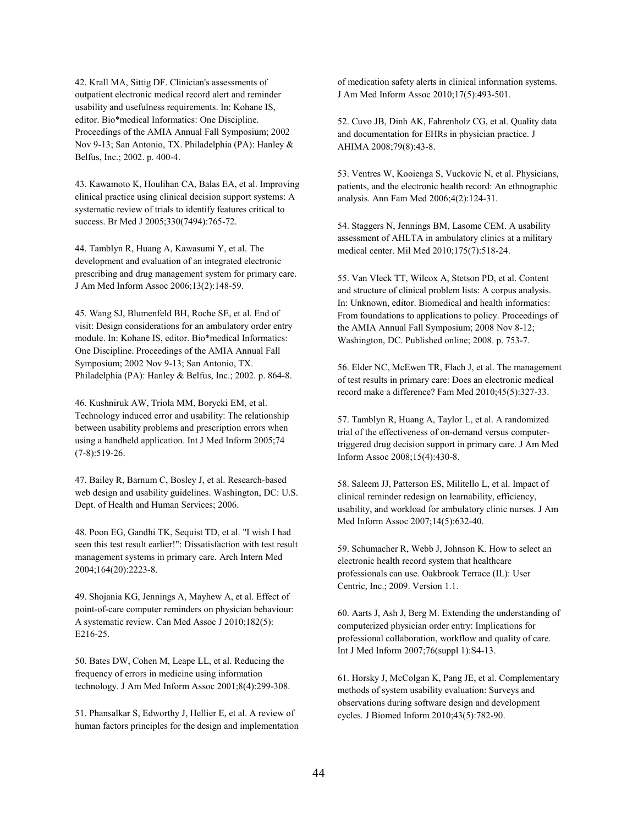42. Krall MA, Sittig DF. Clinician's assessments of outpatient electronic medical record alert and reminder usability and usefulness requirements. In: Kohane IS, editor. Bio\*medical Informatics: One Discipline. Proceedings of the AMIA Annual Fall Symposium; 2002 Nov 9-13; San Antonio, TX. Philadelphia (PA): Hanley & Belfus, Inc.; 2002. p. 400-4.

43. Kawamoto K, Houlihan CA, Balas EA, et al. Improving clinical practice using clinical decision support systems: A systematic review of trials to identify features critical to success. Br Med J 2005;330(7494):765-72.

44. Tamblyn R, Huang A, Kawasumi Y, et al. The development and evaluation of an integrated electronic prescribing and drug management system for primary care. J Am Med Inform Assoc 2006;13(2):148-59.

45. Wang SJ, Blumenfeld BH, Roche SE, et al. End of visit: Design considerations for an ambulatory order entry module. In: Kohane IS, editor. Bio\*medical Informatics: One Discipline. Proceedings of the AMIA Annual Fall Symposium; 2002 Nov 9-13; San Antonio, TX. Philadelphia (PA): Hanley & Belfus, Inc.; 2002. p. 864-8.

46. Kushniruk AW, Triola MM, Borycki EM, et al. Technology induced error and usability: The relationship between usability problems and prescription errors when using a handheld application. Int J Med Inform 2005;74 (7-8):519-26.

47. Bailey R, Barnum C, Bosley J, et al. Research-based web design and usability guidelines. Washington, DC: U.S. Dept. of Health and Human Services; 2006.

48. Poon EG, Gandhi TK, Sequist TD, et al. "I wish I had seen this test result earlier!": Dissatisfaction with test result management systems in primary care. Arch Intern Med 2004;164(20):2223-8.

49. Shojania KG, Jennings A, Mayhew A, et al. Effect of point-of-care computer reminders on physician behaviour: A systematic review. Can Med Assoc J 2010;182(5): E216-25.

50. Bates DW, Cohen M, Leape LL, et al. Reducing the frequency of errors in medicine using information technology. J Am Med Inform Assoc 2001;8(4):299-308.

51. Phansalkar S, Edworthy J, Hellier E, et al. A review of human factors principles for the design and implementation of medication safety alerts in clinical information systems. J Am Med Inform Assoc 2010;17(5):493-501.

52. Cuvo JB, Dinh AK, Fahrenholz CG, et al. Quality data and documentation for EHRs in physician practice. J AHIMA 2008;79(8):43-8.

53. Ventres W, Kooienga S, Vuckovic N, et al. Physicians, patients, and the electronic health record: An ethnographic analysis. Ann Fam Med 2006;4(2):124-31.

54. Staggers N, Jennings BM, Lasome CEM. A usability assessment of AHLTA in ambulatory clinics at a military medical center. Mil Med 2010;175(7):518-24.

55. Van Vleck TT, Wilcox A, Stetson PD, et al. Content and structure of clinical problem lists: A corpus analysis. In: Unknown, editor. Biomedical and health informatics: From foundations to applications to policy. Proceedings of the AMIA Annual Fall Symposium; 2008 Nov 8-12; Washington, DC. Published online; 2008. p. 753-7.

56. Elder NC, McEwen TR, Flach J, et al. The management of test results in primary care: Does an electronic medical record make a difference? Fam Med 2010;45(5):327-33.

57. Tamblyn R, Huang A, Taylor L, et al. A randomized trial of the effectiveness of on-demand versus computertriggered drug decision support in primary care. J Am Med Inform Assoc 2008;15(4):430-8.

58. Saleem JJ, Patterson ES, Militello L, et al. Impact of clinical reminder redesign on learnability, efficiency, usability, and workload for ambulatory clinic nurses. J Am Med Inform Assoc 2007;14(5):632-40.

59. Schumacher R, Webb J, Johnson K. How to select an electronic health record system that healthcare professionals can use. Oakbrook Terrace (IL): User Centric, Inc.; 2009. Version 1.1.

60. Aarts J, Ash J, Berg M. Extending the understanding of computerized physician order entry: Implications for professional collaboration, workflow and quality of care. Int J Med Inform 2007;76(suppl 1):S4-13.

61. Horsky J, McColgan K, Pang JE, et al. Complementary methods of system usability evaluation: Surveys and observations during software design and development cycles. J Biomed Inform 2010;43(5):782-90.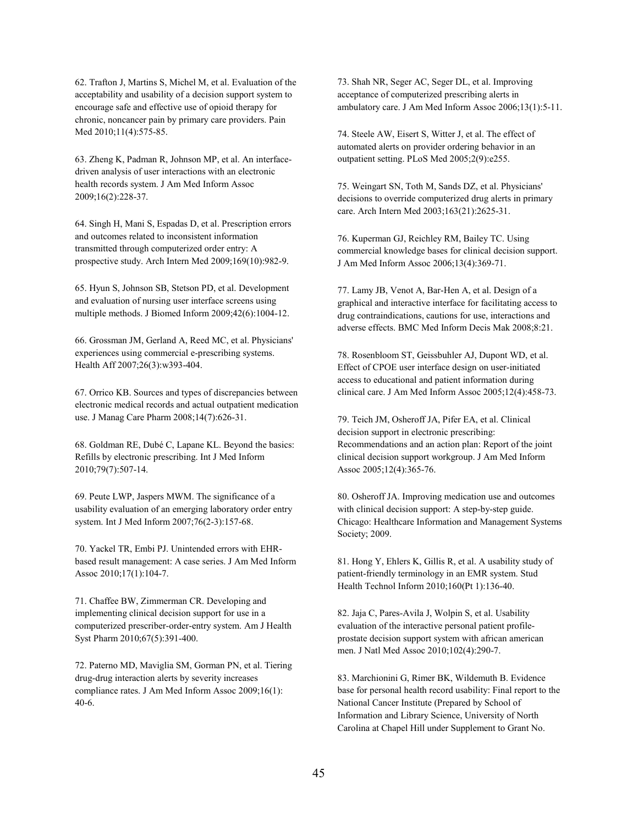62. Trafton J, Martins S, Michel M, et al. Evaluation of the acceptability and usability of a decision support system to encourage safe and effective use of opioid therapy for chronic, noncancer pain by primary care providers. Pain Med 2010;11(4):575-85.

63. Zheng K, Padman R, Johnson MP, et al. An interfacedriven analysis of user interactions with an electronic health records system. J Am Med Inform Assoc 2009;16(2):228-37.

64. Singh H, Mani S, Espadas D, et al. Prescription errors and outcomes related to inconsistent information transmitted through computerized order entry: A prospective study. Arch Intern Med 2009;169(10):982-9.

65. Hyun S, Johnson SB, Stetson PD, et al. Development and evaluation of nursing user interface screens using multiple methods. J Biomed Inform 2009;42(6):1004-12.

66. Grossman JM, Gerland A, Reed MC, et al. Physicians' experiences using commercial e-prescribing systems. Health Aff 2007;26(3):w393-404.

67. Orrico KB. Sources and types of discrepancies between electronic medical records and actual outpatient medication use. J Manag Care Pharm 2008;14(7):626-31.

68. Goldman RE, Dubé C, Lapane KL. Beyond the basics: Refills by electronic prescribing. Int J Med Inform 2010;79(7):507-14.

69. Peute LWP, Jaspers MWM. The significance of a usability evaluation of an emerging laboratory order entry system. Int J Med Inform 2007;76(2-3):157-68.

70. Yackel TR, Embi PJ. Unintended errors with EHRbased result management: A case series. J Am Med Inform Assoc 2010;17(1):104-7.

71. Chaffee BW, Zimmerman CR. Developing and implementing clinical decision support for use in a computerized prescriber-order-entry system. Am J Health Syst Pharm 2010;67(5):391-400.

72. Paterno MD, Maviglia SM, Gorman PN, et al. Tiering drug-drug interaction alerts by severity increases compliance rates. J Am Med Inform Assoc 2009;16(1): 40-6.

73. Shah NR, Seger AC, Seger DL, et al. Improving acceptance of computerized prescribing alerts in ambulatory care. J Am Med Inform Assoc 2006;13(1):5-11.

74. Steele AW, Eisert S, Witter J, et al. The effect of automated alerts on provider ordering behavior in an outpatient setting. PLoS Med 2005;2(9):e255.

75. Weingart SN, Toth M, Sands DZ, et al. Physicians' decisions to override computerized drug alerts in primary care. Arch Intern Med 2003;163(21):2625-31.

76. Kuperman GJ, Reichley RM, Bailey TC. Using commercial knowledge bases for clinical decision support. J Am Med Inform Assoc 2006;13(4):369-71.

77. Lamy JB, Venot A, Bar-Hen A, et al. Design of a graphical and interactive interface for facilitating access to drug contraindications, cautions for use, interactions and adverse effects. BMC Med Inform Decis Mak 2008;8:21.

78. Rosenbloom ST, Geissbuhler AJ, Dupont WD, et al. Effect of CPOE user interface design on user-initiated access to educational and patient information during clinical care. J Am Med Inform Assoc 2005;12(4):458-73.

79. Teich JM, Osheroff JA, Pifer EA, et al. Clinical decision support in electronic prescribing: Recommendations and an action plan: Report of the joint clinical decision support workgroup. J Am Med Inform Assoc 2005;12(4):365-76.

80. Osheroff JA. Improving medication use and outcomes with clinical decision support: A step-by-step guide. Chicago: Healthcare Information and Management Systems Society; 2009.

81. Hong Y, Ehlers K, Gillis R, et al. A usability study of patient-friendly terminology in an EMR system. Stud Health Technol Inform 2010;160(Pt 1):136-40.

82. Jaja C, Pares-Avila J, Wolpin S, et al. Usability evaluation of the interactive personal patient profileprostate decision support system with african american men. J Natl Med Assoc 2010;102(4):290-7.

83. Marchionini G, Rimer BK, Wildemuth B. Evidence base for personal health record usability: Final report to the National Cancer Institute (Prepared by School of Information and Library Science, University of North Carolina at Chapel Hill under Supplement to Grant No.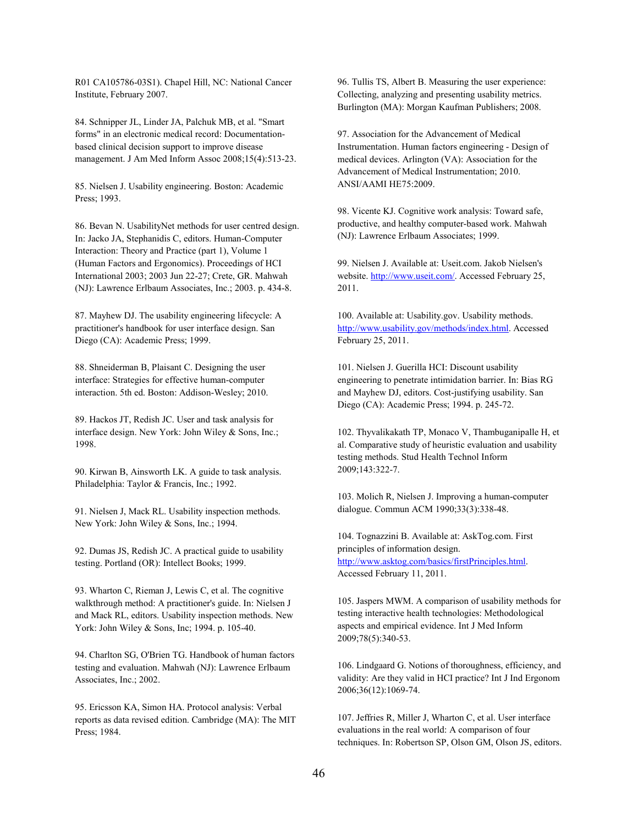R01 CA105786-03S1). Chapel Hill, NC: National Cancer Institute, February 2007.

84. Schnipper JL, Linder JA, Palchuk MB, et al. "Smart forms" in an electronic medical record: Documentationbased clinical decision support to improve disease management. J Am Med Inform Assoc 2008;15(4):513-23.

85. Nielsen J. Usability engineering. Boston: Academic Press; 1993.

86. Bevan N. UsabilityNet methods for user centred design. In: Jacko JA, Stephanidis C, editors. Human-Computer Interaction: Theory and Practice (part 1), Volume 1 (Human Factors and Ergonomics). Proceedings of HCI International 2003; 2003 Jun 22-27; Crete, GR. Mahwah (NJ): Lawrence Erlbaum Associates, Inc.; 2003. p. 434-8.

87. Mayhew DJ. The usability engineering lifecycle: A practitioner's handbook for user interface design. San Diego (CA): Academic Press; 1999.

88. Shneiderman B, Plaisant C. Designing the user interface: Strategies for effective human-computer interaction. 5th ed. Boston: Addison-Wesley; 2010.

89. Hackos JT, Redish JC. User and task analysis for interface design. New York: John Wiley & Sons, Inc.; 1998.

90. Kirwan B, Ainsworth LK. A guide to task analysis. Philadelphia: Taylor & Francis, Inc.; 1992.

91. Nielsen J, Mack RL. Usability inspection methods. New York: John Wiley & Sons, Inc.; 1994.

92. Dumas JS, Redish JC. A practical guide to usability testing. Portland (OR): Intellect Books; 1999.

93. Wharton C, Rieman J, Lewis C, et al. The cognitive walkthrough method: A practitioner's guide. In: Nielsen J and Mack RL, editors. Usability inspection methods. New York: John Wiley & Sons, Inc; 1994. p. 105-40.

94. Charlton SG, O'Brien TG. Handbook of human factors testing and evaluation. Mahwah (NJ): Lawrence Erlbaum Associates, Inc.; 2002.

95. Ericsson KA, Simon HA. Protocol analysis: Verbal reports as data revised edition. Cambridge (MA): The MIT Press; 1984.

96. Tullis TS, Albert B. Measuring the user experience: Collecting, analyzing and presenting usability metrics. Burlington (MA): Morgan Kaufman Publishers; 2008.

97. Association for the Advancement of Medical Instrumentation. Human factors engineering - Design of medical devices. Arlington (VA): Association for the Advancement of Medical Instrumentation; 2010. ANSI/AAMI HE75:2009.

98. Vicente KJ. Cognitive work analysis: Toward safe, productive, and healthy computer-based work. Mahwah (NJ): Lawrence Erlbaum Associates; 1999.

99. Nielsen J. Available at: Useit.com. Jakob Nielsen's website. [http://www.useit.com/.](http://www.useit.com/) Accessed February 25, 2011.

100. Available at: Usability.gov. Usability methods. [http://www.usability.gov/methods/index.html.](http://www.usability.gov/methods/index.html) Accessed February 25, 2011.

101. Nielsen J. Guerilla HCI: Discount usability engineering to penetrate intimidation barrier. In: Bias RG and Mayhew DJ, editors. Cost-justifying usability. San Diego (CA): Academic Press; 1994. p. 245-72.

102. Thyvalikakath TP, Monaco V, Thambuganipalle H, et al. Comparative study of heuristic evaluation and usability testing methods. Stud Health Technol Inform 2009;143:322-7.

103. Molich R, Nielsen J. Improving a human-computer dialogue. Commun ACM 1990;33(3):338-48.

104. Tognazzini B. Available at: AskTog.com. First principles of information design. [http://www.asktog.com/basics/firstPrinciples.html.](http://www.asktog.com/basics/firstPrinciples.html)  Accessed February 11, 2011.

105. Jaspers MWM. A comparison of usability methods for testing interactive health technologies: Methodological aspects and empirical evidence. Int J Med Inform 2009;78(5):340-53.

106. Lindgaard G. Notions of thoroughness, efficiency, and validity: Are they valid in HCI practice? Int J Ind Ergonom 2006;36(12):1069-74.

107. Jeffries R, Miller J, Wharton C, et al. User interface evaluations in the real world: A comparison of four techniques. In: Robertson SP, Olson GM, Olson JS, editors.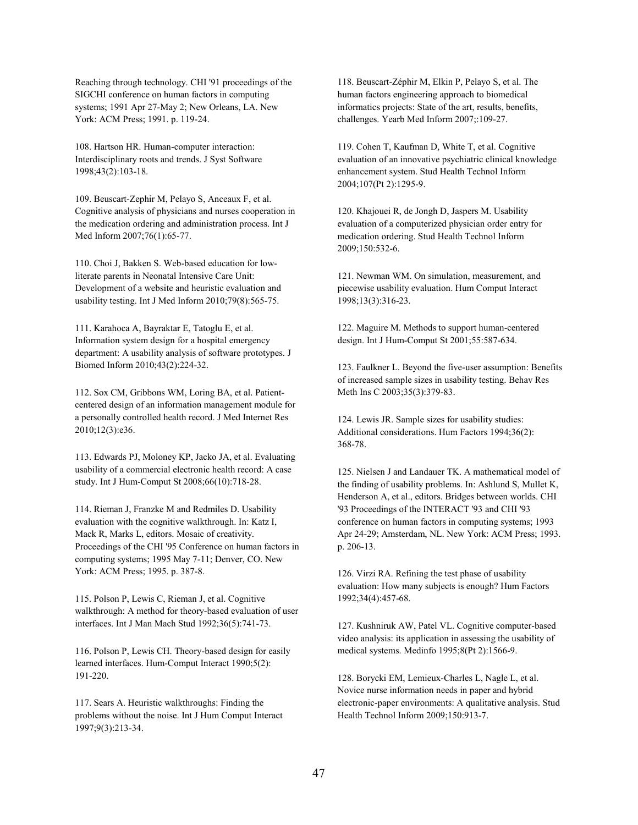Reaching through technology. CHI '91 proceedings of the SIGCHI conference on human factors in computing systems; 1991 Apr 27-May 2; New Orleans, LA. New York: ACM Press; 1991. p. 119-24.

108. Hartson HR. Human-computer interaction: Interdisciplinary roots and trends. J Syst Software 1998;43(2):103-18.

109. Beuscart-Zephir M, Pelayo S, Anceaux F, et al. Cognitive analysis of physicians and nurses cooperation in the medication ordering and administration process. Int J Med Inform 2007;76(1):65-77.

110. Choi J, Bakken S. Web-based education for lowliterate parents in Neonatal Intensive Care Unit: Development of a website and heuristic evaluation and usability testing. Int J Med Inform 2010;79(8):565-75.

111. Karahoca A, Bayraktar E, Tatoglu E, et al. Information system design for a hospital emergency department: A usability analysis of software prototypes. J Biomed Inform 2010;43(2):224-32.

112. Sox CM, Gribbons WM, Loring BA, et al. Patientcentered design of an information management module for a personally controlled health record. J Med Internet Res 2010;12(3):e36.

113. Edwards PJ, Moloney KP, Jacko JA, et al. Evaluating usability of a commercial electronic health record: A case study. Int J Hum-Comput St 2008;66(10):718-28.

114. Rieman J, Franzke M and Redmiles D. Usability evaluation with the cognitive walkthrough. In: Katz I, Mack R, Marks L, editors. Mosaic of creativity. Proceedings of the CHI '95 Conference on human factors in computing systems; 1995 May 7-11; Denver, CO. New York: ACM Press; 1995. p. 387-8.

115. Polson P, Lewis C, Rieman J, et al. Cognitive walkthrough: A method for theory-based evaluation of user interfaces. Int J Man Mach Stud 1992;36(5):741-73.

116. Polson P, Lewis CH. Theory-based design for easily learned interfaces. Hum-Comput Interact 1990;5(2): 191-220.

117. Sears A. Heuristic walkthroughs: Finding the problems without the noise. Int J Hum Comput Interact 1997;9(3):213-34.

118. Beuscart-Zéphir M, Elkin P, Pelayo S, et al. The human factors engineering approach to biomedical informatics projects: State of the art, results, benefits, challenges. Yearb Med Inform 2007;:109-27.

119. Cohen T, Kaufman D, White T, et al. Cognitive evaluation of an innovative psychiatric clinical knowledge enhancement system. Stud Health Technol Inform 2004;107(Pt 2):1295-9.

120. Khajouei R, de Jongh D, Jaspers M. Usability evaluation of a computerized physician order entry for medication ordering. Stud Health Technol Inform 2009;150:532-6.

121. Newman WM. On simulation, measurement, and piecewise usability evaluation. Hum Comput Interact 1998;13(3):316-23.

122. Maguire M. Methods to support human-centered design. Int J Hum-Comput St 2001;55:587-634.

123. Faulkner L. Beyond the five-user assumption: Benefits of increased sample sizes in usability testing. Behav Res Meth Ins C 2003;35(3):379-83.

124. Lewis JR. Sample sizes for usability studies: Additional considerations. Hum Factors 1994;36(2): 368-78.

125. Nielsen J and Landauer TK. A mathematical model of the finding of usability problems. In: Ashlund S, Mullet K, Henderson A, et al., editors. Bridges between worlds. CHI '93 Proceedings of the INTERACT '93 and CHI '93 conference on human factors in computing systems; 1993 Apr 24-29; Amsterdam, NL. New York: ACM Press; 1993. p. 206-13.

126. Virzi RA. Refining the test phase of usability evaluation: How many subjects is enough? Hum Factors 1992;34(4):457-68.

127. Kushniruk AW, Patel VL. Cognitive computer-based video analysis: its application in assessing the usability of medical systems. Medinfo 1995;8(Pt 2):1566-9.

128. Borycki EM, Lemieux-Charles L, Nagle L, et al. Novice nurse information needs in paper and hybrid electronic-paper environments: A qualitative analysis. Stud Health Technol Inform 2009;150:913-7.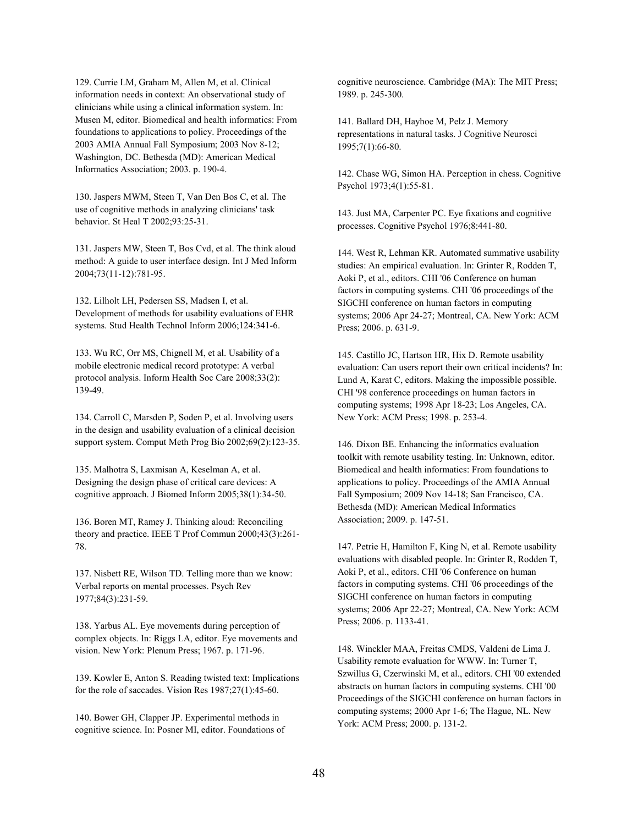129. Currie LM, Graham M, Allen M, et al. Clinical information needs in context: An observational study of clinicians while using a clinical information system. In: Musen M, editor. Biomedical and health informatics: From foundations to applications to policy. Proceedings of the 2003 AMIA Annual Fall Symposium; 2003 Nov 8-12; Washington, DC. Bethesda (MD): American Medical Informatics Association; 2003. p. 190-4.

130. Jaspers MWM, Steen T, Van Den Bos C, et al. The use of cognitive methods in analyzing clinicians' task behavior. St Heal T 2002;93:25-31.

131. Jaspers MW, Steen T, Bos Cvd, et al. The think aloud method: A guide to user interface design. Int J Med Inform 2004;73(11-12):781-95.

132. Lilholt LH, Pedersen SS, Madsen I, et al. Development of methods for usability evaluations of EHR systems. Stud Health Technol Inform 2006;124:341-6.

133. Wu RC, Orr MS, Chignell M, et al. Usability of a mobile electronic medical record prototype: A verbal protocol analysis. Inform Health Soc Care 2008;33(2): 139-49.

134. Carroll C, Marsden P, Soden P, et al. Involving users in the design and usability evaluation of a clinical decision support system. Comput Meth Prog Bio 2002;69(2):123-35.

135. Malhotra S, Laxmisan A, Keselman A, et al. Designing the design phase of critical care devices: A cognitive approach. J Biomed Inform 2005;38(1):34-50.

136. Boren MT, Ramey J. Thinking aloud: Reconciling theory and practice. IEEE T Prof Commun 2000;43(3):261- 78.

137. Nisbett RE, Wilson TD. Telling more than we know: Verbal reports on mental processes. Psych Rev 1977;84(3):231-59.

138. Yarbus AL. Eye movements during perception of complex objects. In: Riggs LA, editor. Eye movements and vision. New York: Plenum Press; 1967. p. 171-96.

139. Kowler E, Anton S. Reading twisted text: Implications for the role of saccades. Vision Res 1987;27(1):45-60.

140. Bower GH, Clapper JP. Experimental methods in cognitive science. In: Posner MI, editor. Foundations of cognitive neuroscience. Cambridge (MA): The MIT Press; 1989. p. 245-300.

141. Ballard DH, Hayhoe M, Pelz J. Memory representations in natural tasks. J Cognitive Neurosci 1995;7(1):66-80.

142. Chase WG, Simon HA. Perception in chess. Cognitive Psychol 1973;4(1):55-81.

143. Just MA, Carpenter PC. Eye fixations and cognitive processes. Cognitive Psychol 1976;8:441-80.

144. West R, Lehman KR. Automated summative usability studies: An empirical evaluation. In: Grinter R, Rodden T, Aoki P, et al., editors. CHI '06 Conference on human factors in computing systems. CHI '06 proceedings of the SIGCHI conference on human factors in computing systems; 2006 Apr 24-27; Montreal, CA. New York: ACM Press; 2006. p. 631-9.

145. Castillo JC, Hartson HR, Hix D. Remote usability evaluation: Can users report their own critical incidents? In: Lund A, Karat C, editors. Making the impossible possible. CHI '98 conference proceedings on human factors in computing systems; 1998 Apr 18-23; Los Angeles, CA. New York: ACM Press; 1998. p. 253-4.

146. Dixon BE. Enhancing the informatics evaluation toolkit with remote usability testing. In: Unknown, editor. Biomedical and health informatics: From foundations to applications to policy. Proceedings of the AMIA Annual Fall Symposium; 2009 Nov 14-18; San Francisco, CA. Bethesda (MD): American Medical Informatics Association; 2009. p. 147-51.

147. Petrie H, Hamilton F, King N, et al. Remote usability evaluations with disabled people. In: Grinter R, Rodden T, Aoki P, et al., editors. CHI '06 Conference on human factors in computing systems. CHI '06 proceedings of the SIGCHI conference on human factors in computing systems; 2006 Apr 22-27; Montreal, CA. New York: ACM Press; 2006. p. 1133-41.

148. Winckler MAA, Freitas CMDS, Valdeni de Lima J. Usability remote evaluation for WWW. In: Turner T, Szwillus G, Czerwinski M, et al., editors. CHI '00 extended abstracts on human factors in computing systems. CHI '00 Proceedings of the SIGCHI conference on human factors in computing systems; 2000 Apr 1-6; The Hague, NL. New York: ACM Press; 2000. p. 131-2.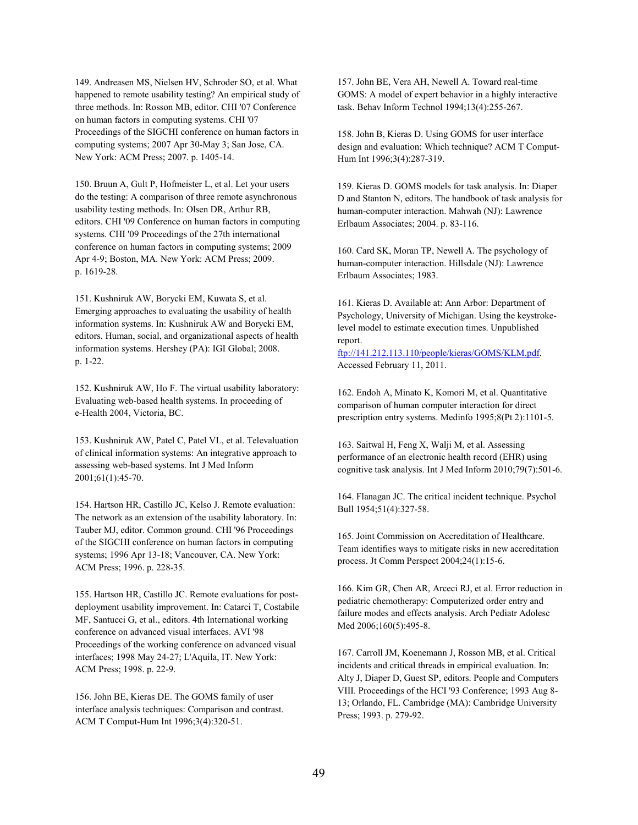149. Andreasen MS, Nielsen HV, Schroder SO, et al. What happened to remote usability testing? An empirical study of three methods. In: Rosson MB, editor. CHI '07 Conference on human factors in computing systems. CHI '07 Proceedings of the SIGCHI conference on human factors in computing systems; 2007 Apr 30-May 3; San Jose, CA. New York: ACM Press; 2007. p. 1405-14.

150. Bruun A, Gult P, Hofmeister L, et al. Let your users do the testing: A comparison of three remote asynchronous usability testing methods. In: Olsen DR, Arthur RB, editors. CHI '09 Conference on human factors in computing systems. CHI '09 Proceedings of the 27th international conference on human factors in computing systems; 2009 Apr 4-9; Boston, MA. New York: ACM Press; 2009. p. 1619-28.

151. Kushniruk AW, Borycki EM, Kuwata S, et al. Emerging approaches to evaluating the usability of health information systems. In: Kushniruk AW and Borycki EM, editors. Human, social, and organizational aspects of health information systems. Hershey (PA): IGI Global; 2008. p. 1-22.

152. Kushniruk AW, Ho F. The virtual usability laboratory: Evaluating web-based health systems. In proceeding of e-Health 2004, Victoria, BC.

153. Kushniruk AW, Patel C, Patel VL, et al. Televaluation of clinical information systems: An integrative approach to assessing web-based systems. Int J Med Inform 2001;61(1):45-70.

154. Hartson HR, Castillo JC, Kelso J. Remote evaluation: The network as an extension of the usability laboratory. In: Tauber MJ, editor. Common ground. CHI '96 Proceedings of the SIGCHI conference on human factors in computing systems; 1996 Apr 13-18; Vancouver, CA. New York: ACM Press; 1996. p. 228-35.

155. Hartson HR, Castillo JC. Remote evaluations for postdeployment usability improvement. In: Catarci T, Costabile MF, Santucci G, et al., editors. 4th International working conference on advanced visual interfaces. AVI '98 Proceedings of the working conference on advanced visual interfaces; 1998 May 24-27; L'Aquila, IT. New York: ACM Press; 1998. p. 22-9.

156. John BE, Kieras DE. The GOMS family of user interface analysis techniques: Comparison and contrast. ACM T Comput-Hum Int 1996;3(4):320-51.

157. John BE, Vera AH, Newell A. Toward real-time GOMS: A model of expert behavior in a highly interactive task. Behav Inform Technol 1994;13(4):255-267.

158. John B, Kieras D. Using GOMS for user interface design and evaluation: Which technique? ACM T Comput-Hum Int 1996;3(4):287-319.

159. Kieras D. GOMS models for task analysis. In: Diaper D and Stanton N, editors. The handbook of task analysis for human-computer interaction. Mahwah (NJ): Lawrence Erlbaum Associates; 2004. p. 83-116.

160. Card SK, Moran TP, Newell A. The psychology of human-computer interaction. Hillsdale (NJ): Lawrence Erlbaum Associates; 1983.

161. Kieras D. Available at: Ann Arbor: Department of Psychology, University of Michigan. Using the keystrokelevel model to estimate execution times. Unpublished report.

[ftp://141.212.113.110/people/kieras/GOMS/KLM.pdf.](ftp://141.212.113.110/people/kieras/GOMS/KLM.pdf) Accessed February 11, 2011.

162. Endoh A, Minato K, Komori M, et al. Quantitative comparison of human computer interaction for direct prescription entry systems. Medinfo 1995;8(Pt 2):1101-5.

163. Saitwal H, Feng X, Walji M, et al. Assessing performance of an electronic health record (EHR) using cognitive task analysis. Int J Med Inform 2010;79(7):501-6.

164. Flanagan JC. The critical incident technique. Psychol Bull 1954;51(4):327-58.

165. Joint Commission on Accreditation of Healthcare. Team identifies ways to mitigate risks in new accreditation process. Jt Comm Perspect 2004;24(1):15-6.

166. Kim GR, Chen AR, Arceci RJ, et al. Error reduction in pediatric chemotherapy: Computerized order entry and failure modes and effects analysis. Arch Pediatr Adolesc Med 2006;160(5):495-8.

167. Carroll JM, Koenemann J, Rosson MB, et al. Critical incidents and critical threads in empirical evaluation. In: Alty J, Diaper D, Guest SP, editors. People and Computers VIII. Proceedings of the HCI '93 Conference; 1993 Aug 8- 13; Orlando, FL. Cambridge (MA): Cambridge University Press; 1993. p. 279-92.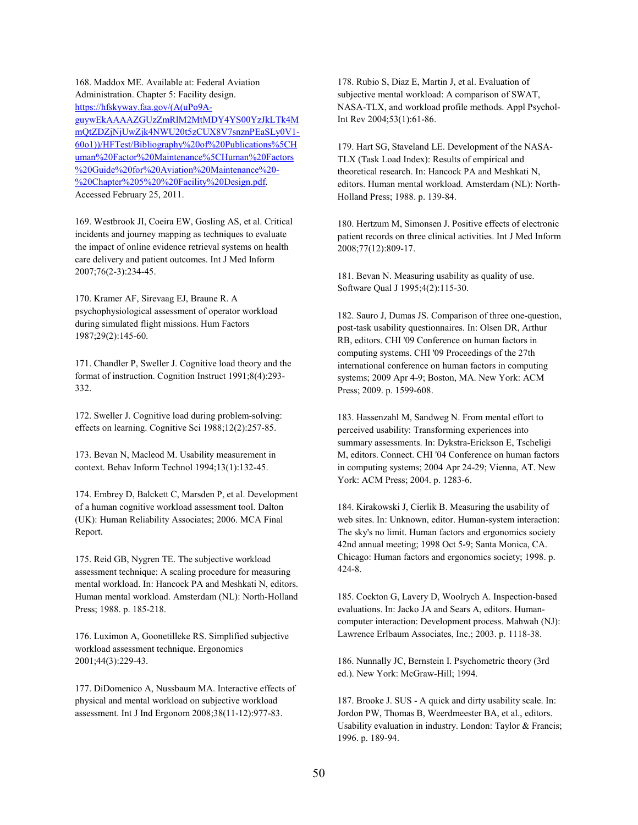168. Maddox ME. Available at: Federal Aviation Administration. Chapter 5: Facility design. https://hfskyway.faa.gov/(A(uPo9AguywEkAAAAZGUzZmRlM2MtMDY4YS00YzJkLTk4M [mQtZDZjNjUwZjk4NWU20t5zCUX8V7snznPEaSLy0V1-](https://hfskyway.faa.gov/(A(uPo9A-guywEkAAAAZGUzZmRlM2MtMDY4YS00YzJkLTk4MmQtZDZjNjUwZjk4NWU20t5zCUX8V7snznPEaSLy0V1-60o1))/HFTest/Bibliography%20of%20Publications%5CHuman%20Factor%20Maintenance%5CHuman%20Factors%20Guide%20for%20Aviation%20Maintenance%20-%20Chapter%205%20%20Facility%20Design.pdf) 60o1))/HFTest/Bibliography%20of%20Publications%5CH uman%20Factor%20Maintenance%5CHuman%20Factors %20Guide%20for%20Aviation%20Maintenance%20- %20Chapter%205%20%20Facility%20Design.pdf. Accessed February 25, 2011.

169. Westbrook JI, Coeira EW, Gosling AS, et al. Critical incidents and journey mapping as techniques to evaluate the impact of online evidence retrieval systems on health care delivery and patient outcomes. Int J Med Inform 2007;76(2-3):234-45.

170. Kramer AF, Sirevaag EJ, Braune R. A psychophysiological assessment of operator workload during simulated flight missions. Hum Factors 1987;29(2):145-60.

171. Chandler P, Sweller J. Cognitive load theory and the format of instruction. Cognition Instruct 1991;8(4):293- 332.

172. Sweller J. Cognitive load during problem-solving: effects on learning. Cognitive Sci 1988;12(2):257-85.

173. Bevan N, Macleod M. Usability measurement in context. Behav Inform Technol 1994;13(1):132-45.

174. Embrey D, Balckett C, Marsden P, et al. Development of a human cognitive workload assessment tool. Dalton (UK): Human Reliability Associates; 2006. MCA Final Report.

175. Reid GB, Nygren TE. The subjective workload assessment technique: A scaling procedure for measuring mental workload. In: Hancock PA and Meshkati N, editors. Human mental workload. Amsterdam (NL): North-Holland Press; 1988. p. 185-218.

176. Luximon A, Goonetilleke RS. Simplified subjective workload assessment technique. Ergonomics 2001;44(3):229-43.

177. DiDomenico A, Nussbaum MA. Interactive effects of physical and mental workload on subjective workload assessment. Int J Ind Ergonom 2008;38(11-12):977-83.

178. Rubio S, Diaz E, Martin J, et al. Evaluation of subjective mental workload: A comparison of SWAT, NASA-TLX, and workload profile methods. Appl Psychol-Int Rev 2004;53(1):61-86.

179. Hart SG, Staveland LE. Development of the NASA-TLX (Task Load Index): Results of empirical and theoretical research. In: Hancock PA and Meshkati N, editors. Human mental workload. Amsterdam (NL): North-Holland Press; 1988. p. 139-84.

180. Hertzum M, Simonsen J. Positive effects of electronic patient records on three clinical activities. Int J Med Inform 2008;77(12):809-17.

181. Bevan N. Measuring usability as quality of use. Software Qual J 1995;4(2):115-30.

182. Sauro J, Dumas JS. Comparison of three one-question, post-task usability questionnaires. In: Olsen DR, Arthur RB, editors. CHI '09 Conference on human factors in computing systems. CHI '09 Proceedings of the 27th international conference on human factors in computing systems; 2009 Apr 4-9; Boston, MA. New York: ACM Press; 2009. p. 1599-608.

183. Hassenzahl M, Sandweg N. From mental effort to perceived usability: Transforming experiences into summary assessments. In: Dykstra-Erickson E, Tscheligi M, editors. Connect. CHI '04 Conference on human factors in computing systems; 2004 Apr 24-29; Vienna, AT. New York: ACM Press; 2004. p. 1283-6.

184. Kirakowski J, Cierlik B. Measuring the usability of web sites. In: Unknown, editor. Human-system interaction: The sky's no limit. Human factors and ergonomics society 42nd annual meeting; 1998 Oct 5-9; Santa Monica, CA. Chicago: Human factors and ergonomics society; 1998. p. 424-8.

185. Cockton G, Lavery D, Woolrych A. Inspection-based evaluations. In: Jacko JA and Sears A, editors. Humancomputer interaction: Development process. Mahwah (NJ): Lawrence Erlbaum Associates, Inc.; 2003. p. 1118-38.

186. Nunnally JC, Bernstein I. Psychometric theory (3rd ed.). New York: McGraw-Hill; 1994.

187. Brooke J. SUS - A quick and dirty usability scale. In: Jordon PW, Thomas B, Weerdmeester BA, et al., editors. Usability evaluation in industry. London: Taylor & Francis; 1996. p. 189-94.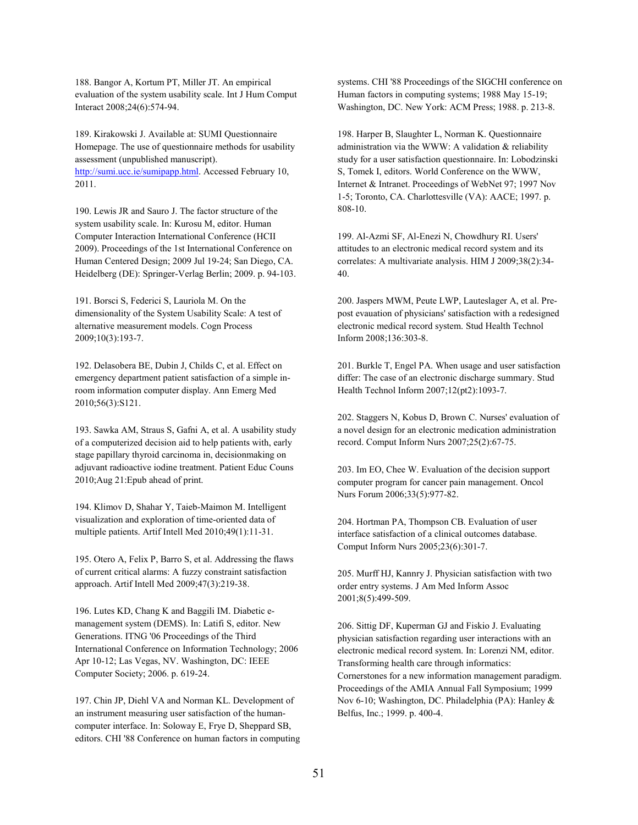188. Bangor A, Kortum PT, Miller JT. An empirical evaluation of the system usability scale. Int J Hum Comput Interact 2008;24(6):574-94.

189. Kirakowski J. Available at: SUMI Questionnaire Homepage. The use of questionnaire methods for usability assessment (unpublished manuscript). [http://sumi.ucc.ie/sumipapp.html.](http://sumi.ucc.ie/sumipapp.html) Accessed February 10, 2011.

190. Lewis JR and Sauro J. The factor structure of the system usability scale. In: Kurosu M, editor. Human Computer Interaction International Conference (HCII 2009). Proceedings of the 1st International Conference on Human Centered Design; 2009 Jul 19-24; San Diego, CA. Heidelberg (DE): Springer-Verlag Berlin; 2009. p. 94-103.

191. Borsci S, Federici S, Lauriola M. On the dimensionality of the System Usability Scale: A test of alternative measurement models. Cogn Process 2009;10(3):193-7.

192. Delasobera BE, Dubin J, Childs C, et al. Effect on emergency department patient satisfaction of a simple inroom information computer display. Ann Emerg Med 2010;56(3):S121.

193. Sawka AM, Straus S, Gafni A, et al. A usability study of a computerized decision aid to help patients with, early stage papillary thyroid carcinoma in, decisionmaking on adjuvant radioactive iodine treatment. Patient Educ Couns 2010;Aug 21:Epub ahead of print.

194. Klimov D, Shahar Y, Taieb-Maimon M. Intelligent visualization and exploration of time-oriented data of multiple patients. Artif Intell Med 2010;49(1):11-31.

195. Otero A, Felix P, Barro S, et al. Addressing the flaws of current critical alarms: A fuzzy constraint satisfaction approach. Artif Intell Med 2009;47(3):219-38.

196. Lutes KD, Chang K and Baggili IM. Diabetic emanagement system (DEMS). In: Latifi S, editor. New Generations. ITNG '06 Proceedings of the Third International Conference on Information Technology; 2006 Apr 10-12; Las Vegas, NV. Washington, DC: IEEE Computer Society; 2006. p. 619-24.

197. Chin JP, Diehl VA and Norman KL. Development of an instrument measuring user satisfaction of the humancomputer interface. In: Soloway E, Frye D, Sheppard SB, editors. CHI '88 Conference on human factors in computing systems. CHI '88 Proceedings of the SIGCHI conference on Human factors in computing systems; 1988 May 15-19; Washington, DC. New York: ACM Press; 1988. p. 213-8.

198. Harper B, Slaughter L, Norman K. Questionnaire administration via the WWW: A validation & reliability study for a user satisfaction questionnaire. In: Lobodzinski S, Tomek I, editors. World Conference on the WWW, Internet & Intranet. Proceedings of WebNet 97; 1997 Nov 1-5; Toronto, CA. Charlottesville (VA): AACE; 1997. p. 808-10.

199. Al-Azmi SF, Al-Enezi N, Chowdhury RI. Users' attitudes to an electronic medical record system and its correlates: A multivariate analysis. HIM J 2009;38(2):34- 40.

200. Jaspers MWM, Peute LWP, Lauteslager A, et al. Prepost evauation of physicians' satisfaction with a redesigned electronic medical record system. Stud Health Technol Inform 2008;136:303-8.

201. Burkle T, Engel PA. When usage and user satisfaction differ: The case of an electronic discharge summary. Stud Health Technol Inform 2007;12(pt2):1093-7.

202. Staggers N, Kobus D, Brown C. Nurses' evaluation of a novel design for an electronic medication administration record. Comput Inform Nurs 2007;25(2):67-75.

203. Im EO, Chee W. Evaluation of the decision support computer program for cancer pain management. Oncol Nurs Forum 2006;33(5):977-82.

204. Hortman PA, Thompson CB. Evaluation of user interface satisfaction of a clinical outcomes database. Comput Inform Nurs 2005;23(6):301-7.

205. Murff HJ, Kannry J. Physician satisfaction with two order entry systems. J Am Med Inform Assoc 2001;8(5):499-509.

206. Sittig DF, Kuperman GJ and Fiskio J. Evaluating physician satisfaction regarding user interactions with an electronic medical record system. In: Lorenzi NM, editor. Transforming health care through informatics: Cornerstones for a new information management paradigm. Proceedings of the AMIA Annual Fall Symposium; 1999 Nov 6-10; Washington, DC. Philadelphia (PA): Hanley & Belfus, Inc.; 1999. p. 400-4.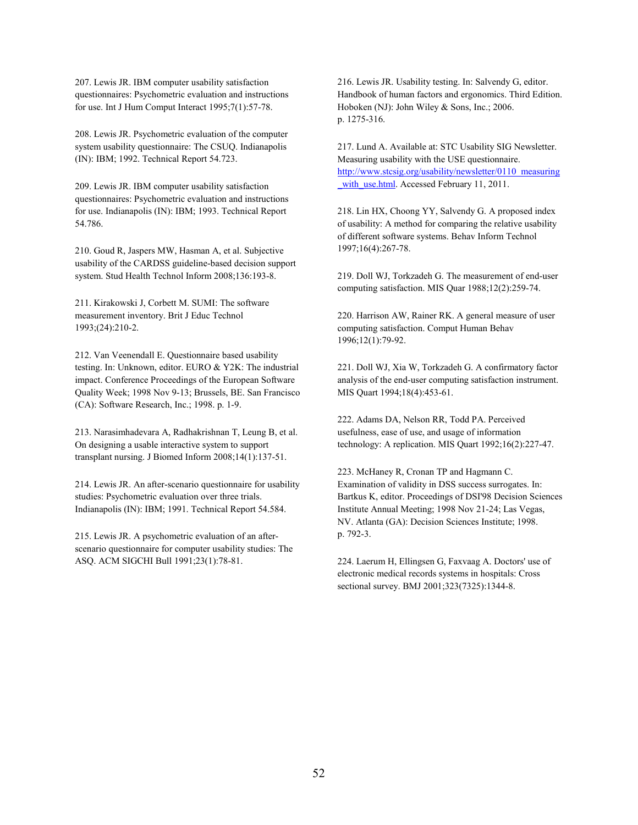207. Lewis JR. IBM computer usability satisfaction questionnaires: Psychometric evaluation and instructions for use. Int J Hum Comput Interact 1995;7(1):57-78.

208. Lewis JR. Psychometric evaluation of the computer system usability questionnaire: The CSUQ. Indianapolis (IN): IBM; 1992. Technical Report 54.723.

209. Lewis JR. IBM computer usability satisfaction questionnaires: Psychometric evaluation and instructions for use. Indianapolis (IN): IBM; 1993. Technical Report 54.786.

210. Goud R, Jaspers MW, Hasman A, et al. Subjective usability of the CARDSS guideline-based decision support system. Stud Health Technol Inform 2008;136:193-8.

211. Kirakowski J, Corbett M. SUMI: The software measurement inventory. Brit J Educ Technol 1993;(24):210-2.

212. Van Veenendall E. Questionnaire based usability testing. In: Unknown, editor. EURO & Y2K: The industrial impact. Conference Proceedings of the European Software Quality Week; 1998 Nov 9-13; Brussels, BE. San Francisco (CA): Software Research, Inc.; 1998. p. 1-9.

213. Narasimhadevara A, Radhakrishnan T, Leung B, et al. On designing a usable interactive system to support transplant nursing. J Biomed Inform 2008;14(1):137-51.

214. Lewis JR. An after-scenario questionnaire for usability studies: Psychometric evaluation over three trials. Indianapolis (IN): IBM; 1991. Technical Report 54.584.

215. Lewis JR. A psychometric evaluation of an afterscenario questionnaire for computer usability studies: The ASQ. ACM SIGCHI Bull 1991;23(1):78-81.

216. Lewis JR. Usability testing. In: Salvendy G, editor. Handbook of human factors and ergonomics. Third Edition. Hoboken (NJ): John Wiley & Sons, Inc.; 2006. p. 1275-316.

217. Lund A. Available at: STC Usability SIG Newsletter. Measuring usability with the USE questionnaire. [http://www.stcsig.org/usability/newsletter/0110\\_measuring](http://www.stcsig.org/usability/newsletter/0110_measuring_with_use.html) with use.html. Accessed February 11, 2011.

218. Lin HX, Choong YY, Salvendy G. A proposed index of usability: A method for comparing the relative usability of different software systems. Behav Inform Technol 1997;16(4):267-78.

219. Doll WJ, Torkzadeh G. The measurement of end-user computing satisfaction. MIS Quar 1988;12(2):259-74.

220. Harrison AW, Rainer RK. A general measure of user computing satisfaction. Comput Human Behav 1996;12(1):79-92.

221. Doll WJ, Xia W, Torkzadeh G. A confirmatory factor analysis of the end-user computing satisfaction instrument. MIS Quart 1994;18(4):453-61.

222. Adams DA, Nelson RR, Todd PA. Perceived usefulness, ease of use, and usage of information technology: A replication. MIS Quart 1992;16(2):227-47.

223. McHaney R, Cronan TP and Hagmann C. Examination of validity in DSS success surrogates. In: Bartkus K, editor. Proceedings of DSI'98 Decision Sciences Institute Annual Meeting; 1998 Nov 21-24; Las Vegas, NV. Atlanta (GA): Decision Sciences Institute; 1998. p. 792-3.

224. Laerum H, Ellingsen G, Faxvaag A. Doctors' use of electronic medical records systems in hospitals: Cross sectional survey. BMJ 2001;323(7325):1344-8.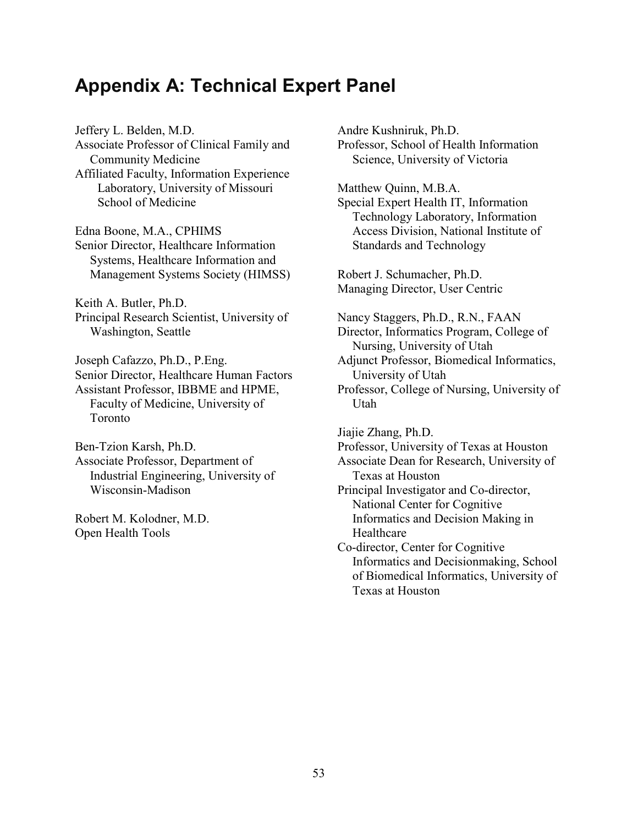# **Appendix A: Technical Expert Panel**

Jeffery L. Belden, M.D. Associate Professor of Clinical Family and Community Medicine Affiliated Faculty, Information Experience Laboratory, University of Missouri School of Medicine Edna Boone, M.A., CPHIMS Senior Director, Healthcare Information Systems, Healthcare Information and Management Systems Society (HIMSS) Keith A. Butler, Ph.D. Principal Research Scientist, University of Washington, Seattle Joseph Cafazzo, Ph.D., P.Eng. Senior Director, Healthcare Human Factors Assistant Professor, IBBME and HPME, Faculty of Medicine, University of Toronto Ben-Tzion Karsh, Ph.D. Associate Professor, Department of Industrial Engineering, University of Wisconsin-Madison Robert M. Kolodner, M.D.

Open Health Tools

Andre Kushniruk, Ph.D. Professor, School of Health Information Science, University of Victoria

Matthew Quinn, M.B.A. Special Expert Health IT, Information Technology Laboratory, Information Access Division, National Institute of Standards and Technology

Robert J. Schumacher, Ph.D. Managing Director, User Centric

Nancy Staggers, Ph.D., R.N., FAAN Director, Informatics Program, College of Nursing, University of Utah Adjunct Professor, Biomedical Informatics, University of Utah Professor, College of Nursing, University of Utah Jiajie Zhang, Ph.D. Professor, University of Texas at Houston Associate Dean for Research, University of Texas at Houston Principal Investigator and Co-director, National Center for Cognitive Informatics and Decision Making in Healthcare Co-director, Center for Cognitive Informatics and Decisionmaking, School of Biomedical Informatics, University of Texas at Houston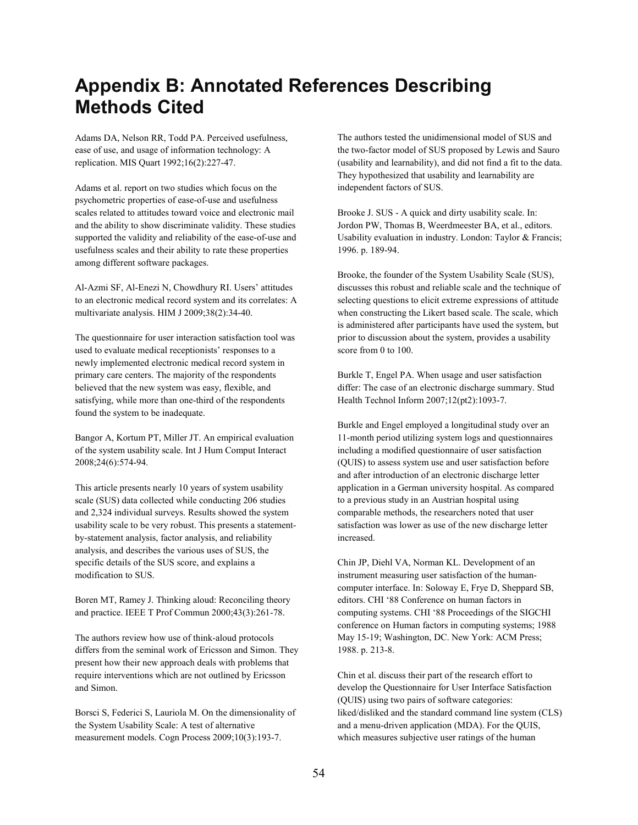# **Appendix B: Annotated References Describing Methods Cited**

Adams DA, Nelson RR, Todd PA. Perceived usefulness, ease of use, and usage of information technology: A replication. MIS Quart 1992;16(2):227-47.

Adams et al. report on two studies which focus on the psychometric properties of ease-of-use and usefulness scales related to attitudes toward voice and electronic mail and the ability to show discriminate validity. These studies supported the validity and reliability of the ease-of-use and usefulness scales and their ability to rate these properties among different software packages.

Al-Azmi SF, Al-Enezi N, Chowdhury RI. Users' attitudes to an electronic medical record system and its correlates: A multivariate analysis. HIM J 2009;38(2):34-40.

The questionnaire for user interaction satisfaction tool was used to evaluate medical receptionists' responses to a newly implemented electronic medical record system in primary care centers. The majority of the respondents believed that the new system was easy, flexible, and satisfying, while more than one-third of the respondents found the system to be inadequate.

Bangor A, Kortum PT, Miller JT. An empirical evaluation of the system usability scale. Int J Hum Comput Interact 2008;24(6):574-94.

This article presents nearly 10 years of system usability scale (SUS) data collected while conducting 206 studies and 2,324 individual surveys. Results showed the system usability scale to be very robust. This presents a statementby-statement analysis, factor analysis, and reliability analysis, and describes the various uses of SUS, the specific details of the SUS score, and explains a modification to SUS.

Boren MT, Ramey J. Thinking aloud: Reconciling theory and practice. IEEE T Prof Commun 2000;43(3):261-78.

The authors review how use of think-aloud protocols differs from the seminal work of Ericsson and Simon. They present how their new approach deals with problems that require interventions which are not outlined by Ericsson and Simon.

Borsci S, Federici S, Lauriola M. On the dimensionality of the System Usability Scale: A test of alternative measurement models. Cogn Process 2009;10(3):193-7.

The authors tested the unidimensional model of SUS and the two-factor model of SUS proposed by Lewis and Sauro (usability and learnability), and did not find a fit to the data. They hypothesized that usability and learnability are independent factors of SUS.

Brooke J. SUS - A quick and dirty usability scale. In: Jordon PW, Thomas B, Weerdmeester BA, et al., editors. Usability evaluation in industry. London: Taylor & Francis; 1996. p. 189-94.

Brooke, the founder of the System Usability Scale (SUS), discusses this robust and reliable scale and the technique of selecting questions to elicit extreme expressions of attitude when constructing the Likert based scale. The scale, which is administered after participants have used the system, but prior to discussion about the system, provides a usability score from 0 to 100.

Burkle T, Engel PA. When usage and user satisfaction differ: The case of an electronic discharge summary. Stud Health Technol Inform 2007;12(pt2):1093-7.

Burkle and Engel employed a longitudinal study over an 11-month period utilizing system logs and questionnaires including a modified questionnaire of user satisfaction (QUIS) to assess system use and user satisfaction before and after introduction of an electronic discharge letter application in a German university hospital. As compared to a previous study in an Austrian hospital using comparable methods, the researchers noted that user satisfaction was lower as use of the new discharge letter increased.

Chin JP, Diehl VA, Norman KL. Development of an instrument measuring user satisfaction of the humancomputer interface. In: Soloway E, Frye D, Sheppard SB, editors. CHI '88 Conference on human factors in computing systems. CHI '88 Proceedings of the SIGCHI conference on Human factors in computing systems; 1988 May 15-19; Washington, DC. New York: ACM Press; 1988. p. 213-8.

Chin et al. discuss their part of the research effort to develop the Questionnaire for User Interface Satisfaction (QUIS) using two pairs of software categories: liked/disliked and the standard command line system (CLS) and a menu-driven application (MDA). For the QUIS, which measures subjective user ratings of the human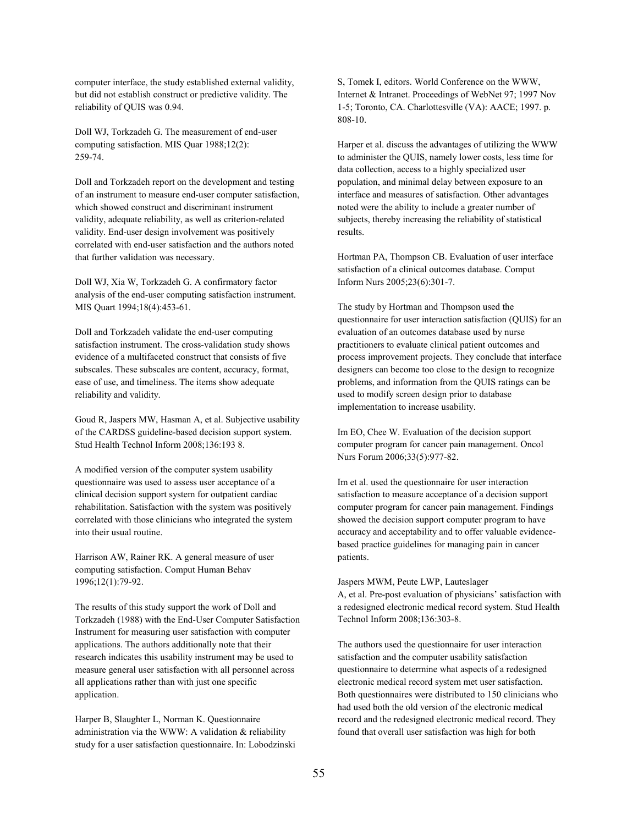computer interface, the study established external validity, but did not establish construct or predictive validity. The reliability of QUIS was 0.94.

Doll WJ, Torkzadeh G. The measurement of end-user computing satisfaction. MIS Quar 1988;12(2): 259-74.

Doll and Torkzadeh report on the development and testing of an instrument to measure end-user computer satisfaction, which showed construct and discriminant instrument validity, adequate reliability, as well as criterion-related validity. End-user design involvement was positively correlated with end-user satisfaction and the authors noted that further validation was necessary.

Doll WJ, Xia W, Torkzadeh G. A confirmatory factor analysis of the end-user computing satisfaction instrument. MIS Quart 1994;18(4):453-61.

Doll and Torkzadeh validate the end-user computing satisfaction instrument. The cross-validation study shows evidence of a multifaceted construct that consists of five subscales. These subscales are content, accuracy, format, ease of use, and timeliness. The items show adequate reliability and validity.

Goud R, Jaspers MW, Hasman A, et al. Subjective usability of the CARDSS guideline-based decision support system. Stud Health Technol Inform 2008;136:193 8.

A modified version of the computer system usability questionnaire was used to assess user acceptance of a clinical decision support system for outpatient cardiac rehabilitation. Satisfaction with the system was positively correlated with those clinicians who integrated the system into their usual routine.

Harrison AW, Rainer RK. A general measure of user computing satisfaction. Comput Human Behav 1996;12(1):79-92.

The results of this study support the work of Doll and Torkzadeh (1988) with the End-User Computer Satisfaction Instrument for measuring user satisfaction with computer applications. The authors additionally note that their research indicates this usability instrument may be used to measure general user satisfaction with all personnel across all applications rather than with just one specific application.

Harper B, Slaughter L, Norman K. Questionnaire administration via the WWW: A validation & reliability study for a user satisfaction questionnaire. In: Lobodzinski S, Tomek I, editors. World Conference on the WWW, Internet & Intranet. Proceedings of WebNet 97; 1997 Nov 1-5; Toronto, CA. Charlottesville (VA): AACE; 1997. p. 808-10.

Harper et al. discuss the advantages of utilizing the WWW to administer the QUIS, namely lower costs, less time for data collection, access to a highly specialized user population, and minimal delay between exposure to an interface and measures of satisfaction. Other advantages noted were the ability to include a greater number of subjects, thereby increasing the reliability of statistical results.

Hortman PA, Thompson CB. Evaluation of user interface satisfaction of a clinical outcomes database. Comput Inform Nurs 2005;23(6):301-7.

The study by Hortman and Thompson used the questionnaire for user interaction satisfaction (QUIS) for an evaluation of an outcomes database used by nurse practitioners to evaluate clinical patient outcomes and process improvement projects. They conclude that interface designers can become too close to the design to recognize problems, and information from the QUIS ratings can be used to modify screen design prior to database implementation to increase usability.

Im EO, Chee W. Evaluation of the decision support computer program for cancer pain management. Oncol Nurs Forum 2006;33(5):977-82.

Im et al. used the questionnaire for user interaction satisfaction to measure acceptance of a decision support computer program for cancer pain management. Findings showed the decision support computer program to have accuracy and acceptability and to offer valuable evidencebased practice guidelines for managing pain in cancer patients.

Jaspers MWM, Peute LWP, Lauteslager A, et al. Pre-post evaluation of physicians' satisfaction with a redesigned electronic medical record system. Stud Health Technol Inform 2008;136:303-8.

The authors used the questionnaire for user interaction satisfaction and the computer usability satisfaction questionnaire to determine what aspects of a redesigned electronic medical record system met user satisfaction. Both questionnaires were distributed to 150 clinicians who had used both the old version of the electronic medical record and the redesigned electronic medical record. They found that overall user satisfaction was high for both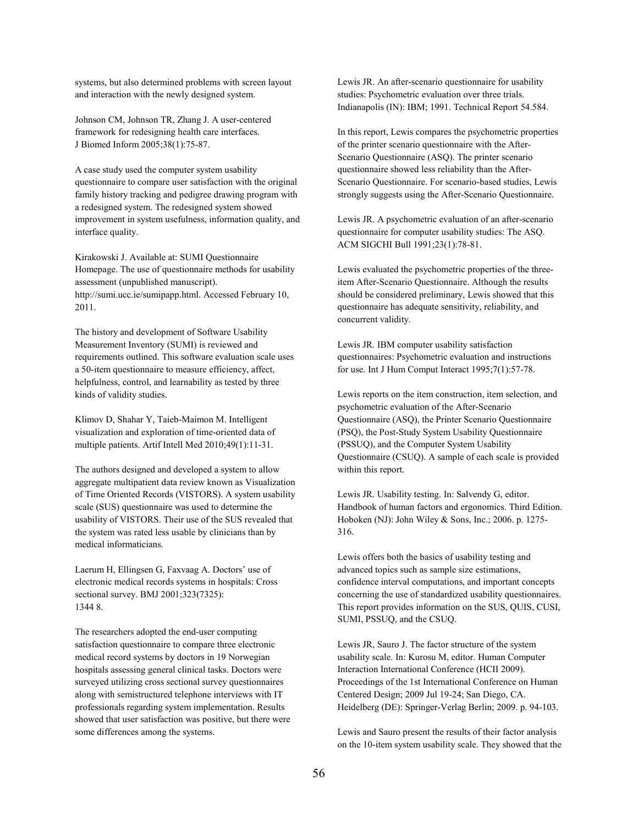systems, but also determined problems with screen layout and interaction with the newly designed system.

Johnson CM, Johnson TR, Zhang J. A user-centered framework for redesigning health care interfaces. J Biomed Inform 2005;38(1):75-87.

A case study used the computer system usability questionnaire to compare user satisfaction with the original family history tracking and pedigree drawing program with a redesigned system. The redesigned system showed improvement in system usefulness, information quality, and interface quality.

Kirakowski J. Available at: SUMI Questionnaire Homepage. The use of questionnaire methods for usability assessment (unpublished manuscript). http://sumi.ucc.ie/sumipapp.html. Accessed February 10, 2011.

The history and development of Software Usability Measurement Inventory (SUMI) is reviewed and requirements outlined. This software evaluation scale uses a 50-item questionnaire to measure efficiency, affect, helpfulness, control, and learnability as tested by three kinds of validity studies.

Klimov D, Shahar Y, Taieb-Maimon M. Intelligent visualization and exploration of time-oriented data of multiple patients. Artif Intell Med 2010;49(1):11-31.

The authors designed and developed a system to allow aggregate multipatient data review known as Visualization of Time Oriented Records (VISTORS). A system usability scale (SUS) questionnaire was used to determine the usability of VISTORS. Their use of the SUS revealed that the system was rated less usable by clinicians than by medical informaticians.

Laerum H, Ellingsen G, Faxvaag A. Doctors' use of electronic medical records systems in hospitals: Cross sectional survey. BMJ 2001;323(7325): 1344 8.

The researchers adopted the end-user computing satisfaction questionnaire to compare three electronic medical record systems by doctors in 19 Norwegian hospitals assessing general clinical tasks. Doctors were surveyed utilizing cross sectional survey questionnaires along with semistructured telephone interviews with IT professionals regarding system implementation. Results showed that user satisfaction was positive, but there were some differences among the systems.

Lewis JR. An after-scenario questionnaire for usability studies: Psychometric evaluation over three trials. Indianapolis (IN): IBM; 1991. Technical Report 54.584.

In this report, Lewis compares the psychometric properties of the printer scenario questionnaire with the After-Scenario Questionnaire (ASQ). The printer scenario questionnaire showed less reliability than the After-Scenario Questionnaire. For scenario-based studies, Lewis strongly suggests using the After-Scenario Questionnaire.

Lewis JR. A psychometric evaluation of an after-scenario questionnaire for computer usability studies: The ASQ. ACM SIGCHI Bull 1991;23(1):78-81.

Lewis evaluated the psychometric properties of the threeitem After-Scenario Questionnaire. Although the results should be considered preliminary, Lewis showed that this questionnaire has adequate sensitivity, reliability, and concurrent validity.

Lewis JR. IBM computer usability satisfaction questionnaires: Psychometric evaluation and instructions for use. Int J Hum Comput Interact 1995;7(1):57-78.

Lewis reports on the item construction, item selection, and psychometric evaluation of the After-Scenario Questionnaire (ASQ), the Printer Scenario Questionnaire (PSQ), the Post-Study System Usability Questionnaire (PSSUQ), and the Computer System Usability Questionnaire (CSUQ). A sample of each scale is provided within this report.

Lewis JR. Usability testing. In: Salvendy G, editor. Handbook of human factors and ergonomics. Third Edition. Hoboken (NJ): John Wiley & Sons, Inc.; 2006. p. 1275- 316.

Lewis offers both the basics of usability testing and advanced topics such as sample size estimations, confidence interval computations, and important concepts concerning the use of standardized usability questionnaires. This report provides information on the SUS, QUIS, CUSI, SUMI, PSSUQ, and the CSUQ.

Lewis JR, Sauro J. The factor structure of the system usability scale. In: Kurosu M, editor. Human Computer Interaction International Conference (HCII 2009). Proceedings of the 1st International Conference on Human Centered Design; 2009 Jul 19-24; San Diego, CA. Heidelberg (DE): Springer-Verlag Berlin; 2009. p. 94-103.

Lewis and Sauro present the results of their factor analysis on the 10-item system usability scale. They showed that the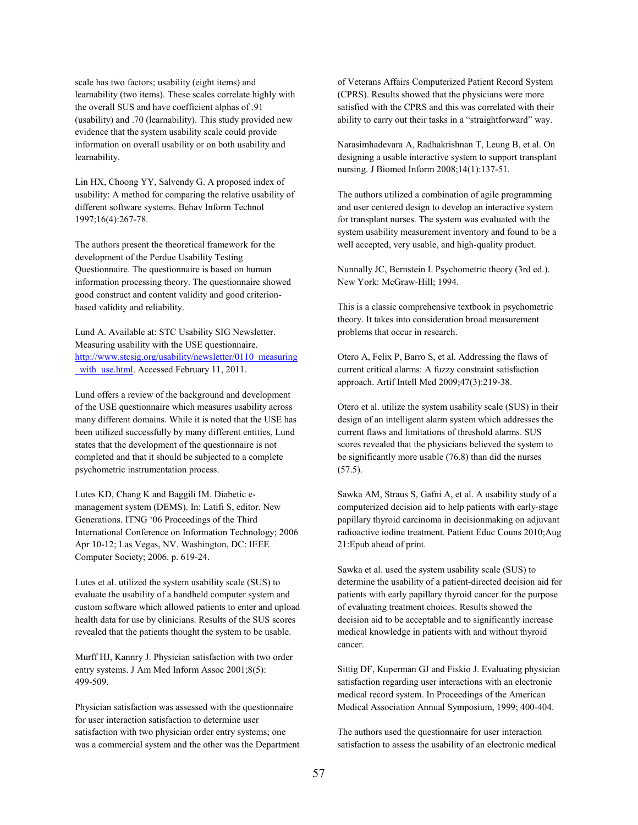scale has two factors; usability (eight items) and learnability (two items). These scales correlate highly with the overall SUS and have coefficient alphas of .91 (usability) and .70 (learnability). This study provided new evidence that the system usability scale could provide information on overall usability or on both usability and learnability.

Lin HX, Choong YY, Salvendy G. A proposed index of usability: A method for comparing the relative usability of different software systems. Behav Inform Technol 1997;16(4):267-78.

The authors present the theoretical framework for the development of the Perdue Usability Testing Questionnaire. The questionnaire is based on human information processing theory. The questionnaire showed good construct and content validity and good criterionbased validity and reliability.

Lund A. Available at: STC Usability SIG Newsletter. Measuring usability with the USE questionnaire. [http://www.stcsig.org/usability/newsletter/0110\\_measuring](http://www.stcsig.org/usability/newsletter/0110_measuring_with_use.html) with use.html. Accessed February 11, 2011.

Lund offers a review of the background and development of the USE questionnaire which measures usability across many different domains. While it is noted that the USE has been utilized successfully by many different entities, Lund states that the development of the questionnaire is not completed and that it should be subjected to a complete psychometric instrumentation process.

Lutes KD, Chang K and Baggili IM. Diabetic emanagement system (DEMS). In: Latifi S, editor. New Generations. ITNG '06 Proceedings of the Third International Conference on Information Technology; 2006 Apr 10-12; Las Vegas, NV. Washington, DC: IEEE Computer Society; 2006. p. 619-24.

Lutes et al. utilized the system usability scale (SUS) to evaluate the usability of a handheld computer system and custom software which allowed patients to enter and upload health data for use by clinicians. Results of the SUS scores revealed that the patients thought the system to be usable.

Murff HJ, Kannry J. Physician satisfaction with two order entry systems. J Am Med Inform Assoc 2001;8(5): 499-509.

Physician satisfaction was assessed with the questionnaire for user interaction satisfaction to determine user satisfaction with two physician order entry systems; one was a commercial system and the other was the Department of Veterans Affairs Computerized Patient Record System (CPRS). Results showed that the physicians were more satisfied with the CPRS and this was correlated with their ability to carry out their tasks in a "straightforward" way.

Narasimhadevara A, Radhakrishnan T, Leung B, et al. On designing a usable interactive system to support transplant nursing. J Biomed Inform 2008;14(1):137-51.

The authors utilized a combination of agile programming and user centered design to develop an interactive system for transplant nurses. The system was evaluated with the system usability measurement inventory and found to be a well accepted, very usable, and high-quality product.

Nunnally JC, Bernstein I. Psychometric theory (3rd ed.). New York: McGraw-Hill; 1994.

This is a classic comprehensive textbook in psychometric theory. It takes into consideration broad measurement problems that occur in research.

Otero A, Felix P, Barro S, et al. Addressing the flaws of current critical alarms: A fuzzy constraint satisfaction approach. Artif Intell Med 2009;47(3):219-38.

Otero et al. utilize the system usability scale (SUS) in their design of an intelligent alarm system which addresses the current flaws and limitations of threshold alarms. SUS scores revealed that the physicians believed the system to be significantly more usable (76.8) than did the nurses (57.5).

Sawka AM, Straus S, Gafni A, et al. A usability study of a computerized decision aid to help patients with early-stage papillary thyroid carcinoma in decisionmaking on adjuvant radioactive iodine treatment. Patient Educ Couns 2010;Aug 21:Epub ahead of print.

Sawka et al. used the system usability scale (SUS) to determine the usability of a patient-directed decision aid for patients with early papillary thyroid cancer for the purpose of evaluating treatment choices. Results showed the decision aid to be acceptable and to significantly increase medical knowledge in patients with and without thyroid cancer.

Sittig DF, Kuperman GJ and Fiskio J. Evaluating physician satisfaction regarding user interactions with an electronic medical record system. In Proceedings of the American Medical Association Annual Symposium, 1999; 400-404.

The authors used the questionnaire for user interaction satisfaction to assess the usability of an electronic medical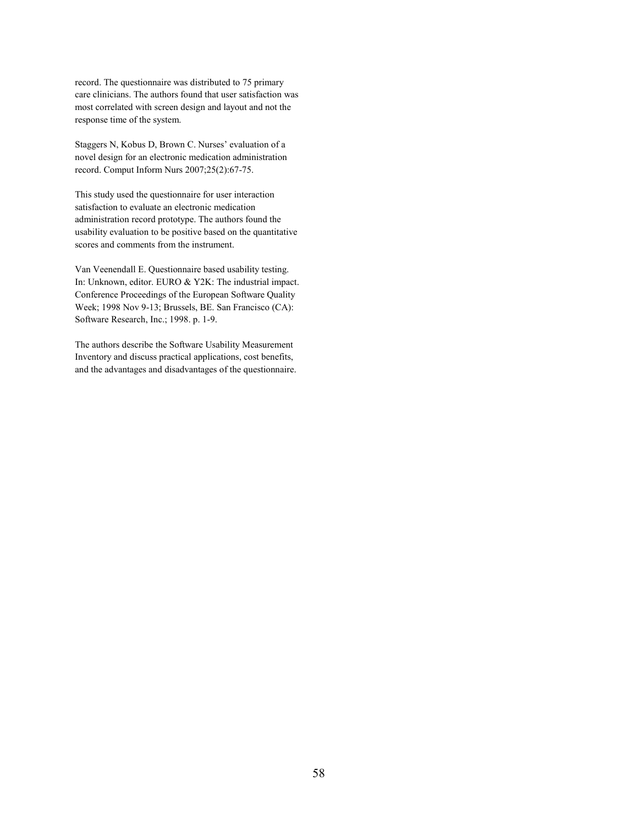record. The questionnaire was distributed to 75 primary care clinicians. The authors found that user satisfaction was most correlated with screen design and layout and not the response time of the system.

Staggers N, Kobus D, Brown C. Nurses' evaluation of a novel design for an electronic medication administration record. Comput Inform Nurs 2007;25(2):67-75.

This study used the questionnaire for user interaction satisfaction to evaluate an electronic medication administration record prototype. The authors found the usability evaluation to be positive based on the quantitative scores and comments from the instrument.

Van Veenendall E. Questionnaire based usability testing. In: Unknown, editor. EURO & Y2K: The industrial impact. Conference Proceedings of the European Software Quality Week; 1998 Nov 9-13; Brussels, BE. San Francisco (CA): Software Research, Inc.; 1998. p. 1-9.

The authors describe the Software Usability Measurement Inventory and discuss practical applications, cost benefits, and the advantages and disadvantages of the questionnaire.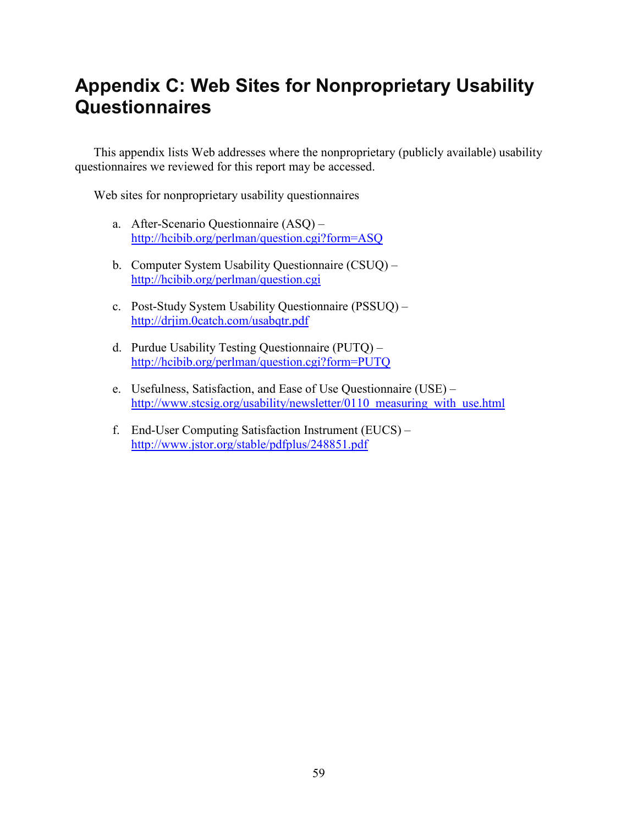# **Appendix C: Web Sites for Nonproprietary Usability Questionnaires**

This appendix lists Web addresses where the nonproprietary (publicly available) usability questionnaires we reviewed for this report may be accessed.

Web sites for nonproprietary usability questionnaires

- a. After-Scenario Questionnaire (ASQ) <http://hcibib.org/perlman/question.cgi?form=ASQ>
- b. Computer System Usability Questionnaire (CSUQ) <http://hcibib.org/perlman/question.cgi>
- c. Post-Study System Usability Questionnaire (PSSUQ) <http://drjim.0catch.com/usabqtr.pdf>
- d. Purdue Usability Testing Questionnaire (PUTQ) <http://hcibib.org/perlman/question.cgi?form=PUTQ>
- e. Usefulness, Satisfaction, and Ease of Use Questionnaire (USE) http://www.stcsig.org/usability/newsletter/0110 measuring with use.html
- f. End-User Computing Satisfaction Instrument (EUCS) <http://www.jstor.org/stable/pdfplus/248851.pdf>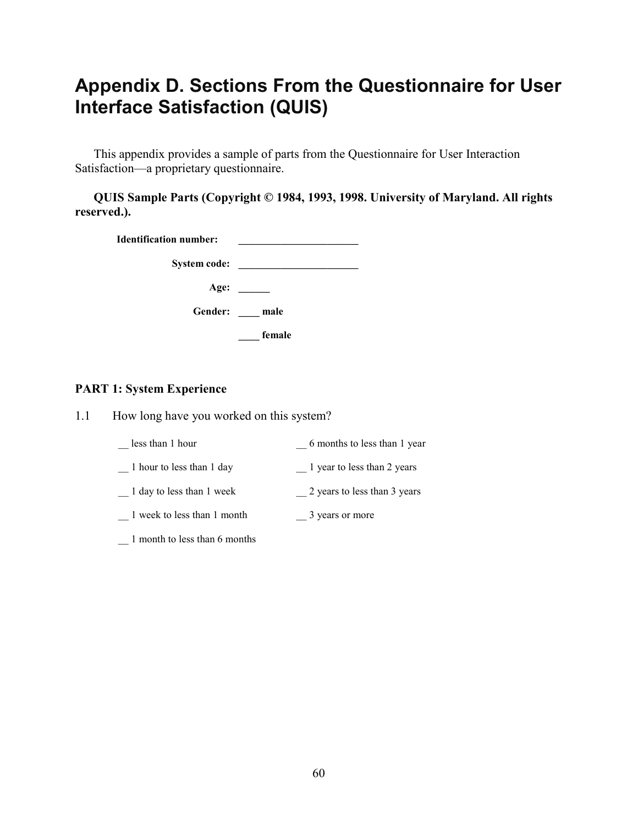# **Appendix D. Sections From the Questionnaire for User Interface Satisfaction (QUIS)**

This appendix provides a sample of parts from the Questionnaire for User Interaction Satisfaction—a proprietary questionnaire.

**QUIS Sample Parts (Copyright © 1984, 1993, 1998. University of Maryland. All rights reserved.).**

| <b>Identification number:</b> |              |
|-------------------------------|--------------|
| <b>System code:</b>           |              |
| Age:                          |              |
|                               | Gender: male |
|                               | female       |

#### **PART 1: System Experience**

1.1 How long have you worked on this system?

| less than 1 hour              | 6 months to less than 1 year |  |  |
|-------------------------------|------------------------------|--|--|
| 1 hour to less than 1 day     | 1 year to less than 2 years  |  |  |
| 1 day to less than 1 week     | 2 years to less than 3 years |  |  |
| 1 week to less than 1 month   | 3 years or more              |  |  |
| 1 month to less than 6 months |                              |  |  |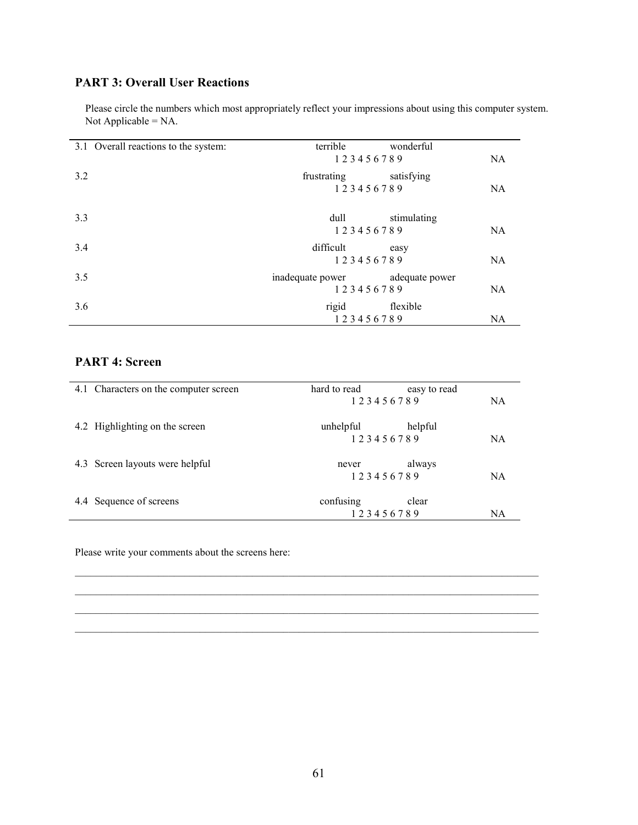#### **PART 3: Overall User Reactions**

Please circle the numbers which most appropriately reflect your impressions about using this computer system. Not Applicable = NA.

| 3.1 Overall reactions to the system: | terrible         | wonderful      |           |
|--------------------------------------|------------------|----------------|-----------|
|                                      | 123456789        |                | NA.       |
| 3.2                                  | frustrating      | satisfying     |           |
|                                      | 123456789        |                | <b>NA</b> |
| 3.3                                  | dull             | stimulating    |           |
|                                      | 123456789        |                | NA.       |
| 3.4                                  | difficult        | easy           |           |
|                                      | 123456789        |                | <b>NA</b> |
| 3.5                                  | inadequate power | adequate power |           |
|                                      | 123456789        |                | <b>NA</b> |
| 3.6                                  | rigid            | flexible       |           |
|                                      | 123456789        |                | NA        |

#### **PART 4: Screen**

| 4.1 Characters on the computer screen | hard to read | easy to read |           |
|---------------------------------------|--------------|--------------|-----------|
|                                       | 123456789    |              | <b>NA</b> |
| 4.2 Highlighting on the screen        | unhelpful    | helpful      |           |
|                                       | 123456789    |              | <b>NA</b> |
| 4.3 Screen layouts were helpful       | never        | always       |           |
|                                       | 123456789    |              | <b>NA</b> |
| 4.4 Sequence of screens               | confusing    | clear        |           |
|                                       | 123456789    |              | NA        |

 $\mathcal{L}_\mathcal{L} = \{ \mathcal{L}_\mathcal{L} = \{ \mathcal{L}_\mathcal{L} = \{ \mathcal{L}_\mathcal{L} = \{ \mathcal{L}_\mathcal{L} = \{ \mathcal{L}_\mathcal{L} = \{ \mathcal{L}_\mathcal{L} = \{ \mathcal{L}_\mathcal{L} = \{ \mathcal{L}_\mathcal{L} = \{ \mathcal{L}_\mathcal{L} = \{ \mathcal{L}_\mathcal{L} = \{ \mathcal{L}_\mathcal{L} = \{ \mathcal{L}_\mathcal{L} = \{ \mathcal{L}_\mathcal{L} = \{ \mathcal{L}_\mathcal{$  $\_$  , and the set of the set of the set of the set of the set of the set of the set of the set of the set of the set of the set of the set of the set of the set of the set of the set of the set of the set of the set of th  $\_$  , and the set of the set of the set of the set of the set of the set of the set of the set of the set of the set of the set of the set of the set of the set of the set of the set of the set of the set of the set of th  $\_$  , and the set of the set of the set of the set of the set of the set of the set of the set of the set of the set of the set of the set of the set of the set of the set of the set of the set of the set of the set of th

Please write your comments about the screens here: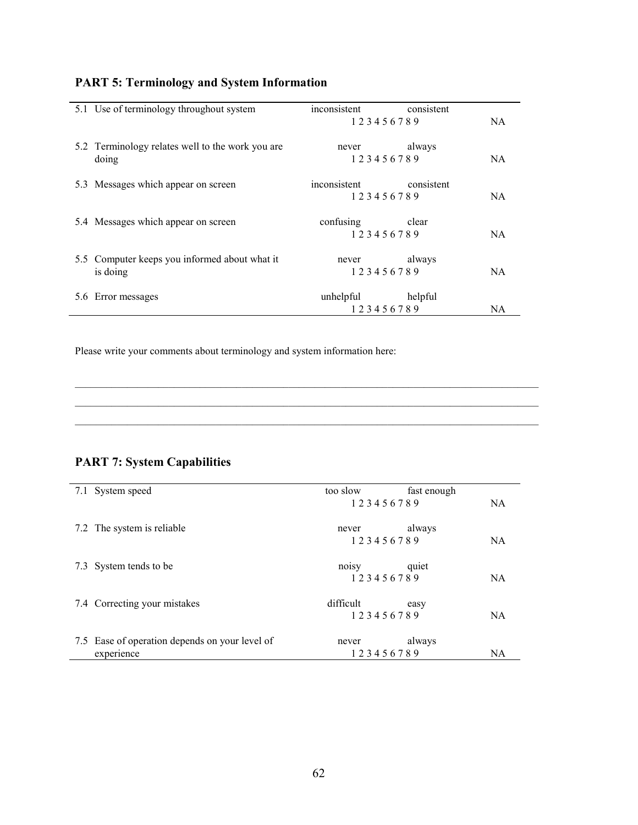| <b>PART 5: Terminology and System Information</b> |  |  |  |
|---------------------------------------------------|--|--|--|
|---------------------------------------------------|--|--|--|

| 5.1 Use of terminology throughout system                  | inconsistent<br>consistent                     |
|-----------------------------------------------------------|------------------------------------------------|
|                                                           | 123456789<br><b>NA</b>                         |
| 5.2 Terminology relates well to the work you are<br>doing | always<br>never<br>123456789<br><b>NA</b>      |
| 5.3 Messages which appear on screen                       | inconsistent<br>consistent<br>123456789<br>NA. |
| 5.4 Messages which appear on screen                       | confusing<br>clear<br>123456789<br>NA          |
| 5.5 Computer keeps you informed about what it<br>is doing | always<br>never<br>123456789<br>NA             |
| 5.6 Error messages                                        | unhelpful<br>helpful<br>123456789<br>NA.       |

\_\_\_\_\_\_\_\_\_\_\_\_\_\_\_\_\_\_\_\_\_\_\_\_\_\_\_\_\_\_\_\_\_\_\_\_\_\_\_\_\_\_\_\_\_\_\_\_\_\_\_\_\_\_\_\_\_\_\_\_\_\_\_\_\_\_\_\_\_\_\_\_\_\_\_\_\_\_\_\_\_\_\_\_\_\_\_\_\_

Please write your comments about terminology and system information here:

### **PART 7: System Capabilities**

| 7.1 System speed                               | too slow  | fast enough |           |
|------------------------------------------------|-----------|-------------|-----------|
|                                                | 123456789 |             | NA.       |
| 7.2 The system is reliable                     | never     | always      |           |
|                                                | 123456789 |             | NA.       |
| 7.3 System tends to be                         | noisy     | quiet       |           |
|                                                | 123456789 |             | <b>NA</b> |
| 7.4 Correcting your mistakes                   | difficult | easy        |           |
|                                                | 123456789 |             | NA.       |
| 7.5 Ease of operation depends on your level of | never     | always      |           |
| experience                                     | 123456789 |             | <b>NA</b> |

 $\_$  , and the set of the set of the set of the set of the set of the set of the set of the set of the set of the set of the set of the set of the set of the set of the set of the set of the set of the set of the set of th  $\_$  , and the set of the set of the set of the set of the set of the set of the set of the set of the set of the set of the set of the set of the set of the set of the set of the set of the set of the set of the set of th